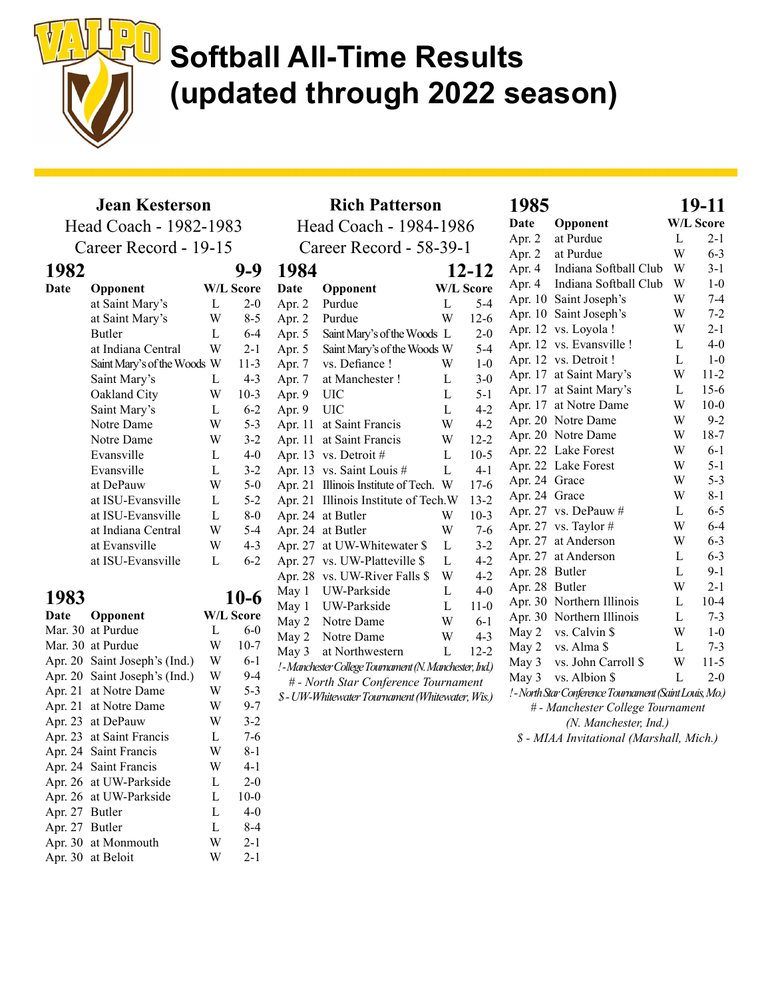

### Jean Kesterson

Head Coach - 1982-1983

Career Record - 19-15

| 1982 |                             |   |                  |
|------|-----------------------------|---|------------------|
| Date | Opponent                    |   | <b>W/L Score</b> |
|      | at Saint Mary's             | L | $2 - 0$          |
|      | at Saint Mary's             | W | 8-5              |
|      | Butler                      | L | $6 - 4$          |
|      | at Indiana Central          | W | $2 - 1$          |
|      | Saint Mary's of the Woods W |   | $11-3$           |
|      | Saint Mary's                | L | $4 - 3$          |
|      | Oakland City                | W | $10-3$           |
|      | Saint Mary's                | L | $6 - 2$          |
|      | Notre Dame                  | W | $5 - 3$          |
|      | Notre Dame                  | W | $3 - 2$          |
|      | Evansville                  | L | $4-0$            |
|      | Evansville                  | L | $3 - 2$          |
|      | at DePauw                   | W | $5-0$            |
|      | at ISU-Evansville           | L | $5-2$            |
|      | at ISU-Evansville           | L | $8-0$            |
|      | at Indiana Central          | W | $5 - 4$          |
|      | at Evansville               | W | $4 - 3$          |
|      | at ISU-Evansville           | L | $6 - 2$          |

| 1983    |                       |   | 10-6      |
|---------|-----------------------|---|-----------|
| Date    | Opponent              |   | W/L Score |
| Mar. 30 | at Purdue             | L | $6-0$     |
| Mar. 30 | at Purdue             | W | $10-7$    |
| Apr. 20 | Saint Joseph's (Ind.) | W | $6-1$     |
| Apr. 20 | Saint Joseph's (Ind.) | W | $9-4$     |
| Apr. 21 | at Notre Dame         | W | $5 - 3$   |
| Apr. 21 | at Notre Dame         | W | $9 - 7$   |
| Apr. 23 | at DePauw             | W | $3 - 2$   |
| Apr. 23 | at Saint Francis      | L | $7 - 6$   |
| Apr. 24 | Saint Francis         | W | $8-1$     |
| Apr. 24 | Saint Francis         | W | $4 - 1$   |
| Apr. 26 | at UW-Parkside        | L | $2 - 0$   |
| Apr. 26 | at UW-Parkside        | L | $10-0$    |
| Apr. 27 | Butler                | L | $4-0$     |
| Apr. 27 | Butler                | L | $8-4$     |
|         | Apr. 30 at Monmouth   | W | $2 - 1$   |
| Apr. 30 | at Beloit             | W | $2 - 1$   |

|         | <b>Rich Patterson</b>                                   | 1985   |                  |                |                                |
|---------|---------------------------------------------------------|--------|------------------|----------------|--------------------------------|
|         | Head Coach - 1984-1986                                  | Date   | Opponent         |                |                                |
|         |                                                         | Apr. 2 | at Purdue        |                |                                |
|         | Career Record - 58-39-1                                 |        |                  | Apr. 2         | at Purdue                      |
| 1984    |                                                         |        | 12-12            | Apr. 4         | Indiana Softba                 |
| Date    | Opponent                                                |        | <b>W/L Score</b> | Apr. 4         | Indiana Softba                 |
| Apr. 2  | Purdue                                                  | L      | $5 - 4$          | Apr. 10        | Saint Joseph's                 |
| Apr. 2  | Purdue                                                  | W      | $12-6$           | Apr. 10        | Saint Joseph's                 |
| Apr. 5  | Saint Mary's of the Woods L                             |        | $2 - 0$          | Apr. 12        | vs. Loyola !                   |
| Apr. 5  | Saint Mary's of the Woods W                             |        | $5-4$            | Apr. 12        | vs. Evansville                 |
| Apr. 7  | vs. Defiance !                                          | W      | $1 - 0$          |                | Apr. 12 vs. Detroit !          |
| Apr. 7  | at Manchester!                                          | L      | $3-0$            | Apr. 17        | at Saint Mary'                 |
| Apr. 9  | UIC                                                     | L      | $5-1$            | Apr. 17        | at Saint Mary'                 |
| Apr. 9  | <b>UIC</b>                                              | L      | $4 - 2$          | Apr. 17        | at Notre Dame                  |
| Apr. 11 | at Saint Francis                                        | W      | $4 - 2$          |                | Apr. 20 Notre Dame             |
| Apr. 11 | at Saint Francis                                        | W      | $12 - 2$         |                | Apr. 20 Notre Dame             |
| Apr. 13 | vs. Detroit #                                           | L      | $10-5$           |                | Apr. 22 Lake Forest            |
| Apr. 13 | vs. Saint Louis #                                       | L      | $4 - 1$          |                | Apr. 22 Lake Forest            |
| Apr. 21 | Illinois Institute of Tech.                             | W      | $17-6$           | Apr. 24        | Grace                          |
| Apr. 21 | Illinois Institute of Tech.W                            |        | $13 - 2$         | Apr. 24 Grace  |                                |
| Apr. 24 | at Butler                                               | W      | $10-3$           |                | Apr. 27 vs. DePauw #           |
| Apr. 24 | at Butler                                               | W      | $7-6$            | Apr. 27        | vs. Taylor #                   |
| Apr. 27 | at UW-Whitewater \$                                     | L      | $3 - 2$          | Apr. 27        | at Anderson                    |
| Apr. 27 | vs. UW-Platteville \$                                   | L      | $4 - 2$          | Apr. 27        | at Anderson                    |
| Apr. 28 | vs. UW-River Falls \$                                   | W      | $4 - 2$          | Apr. 28        | Butler                         |
| May 1   | UW-Parkside                                             | L      | $4 - 0$          | Apr. 28 Butler |                                |
| May 1   | UW-Parkside                                             | L      | $11-0$           |                | Apr. 30 Northern Illino        |
| May 2   | Notre Dame                                              | W      | $6-1$            | Apr. 30        | Northern Illino                |
| May 2   | Notre Dame                                              | W      | $4 - 3$          | May 2          | vs. Calvin \$                  |
| May 3   | at Northwestern                                         | L      | $12 - 2$         | May 2          | vs. Alma \$                    |
|         | ! - Manchester College Tournament (N. Manchester, Ind.) |        |                  | May 3          | vs. John Carro                 |
|         | # - North Star Conference Tournament                    |        |                  | May 3          | vs. Albion \$                  |
|         | \$ - UW-Whitewater Tournament (Whitewater, Wis.)        |        |                  |                | ! - North Star Conference Tour |
|         |                                                         |        |                  |                | # - Manchester Coll            |

| 1985           |                                                         |   | 19-11            |
|----------------|---------------------------------------------------------|---|------------------|
| Date           | Opponent                                                |   | <b>W/L Score</b> |
| Apr. 2         | at Purdue                                               | L | $2 - 1$          |
|                | Apr. 2 at Purdue                                        | W | $6 - 3$          |
| Apr. 4         | Indiana Softball Club                                   | W | $3-1$            |
|                | Apr. 4 Indiana Softball Club                            | W | $1-0$            |
|                | Apr. 10 Saint Joseph's                                  | W | $7 - 4$          |
|                | Apr. 10 Saint Joseph's                                  | W | $7 - 2$          |
|                | Apr. 12 vs. Loyola !                                    | W | $2-1$            |
|                | Apr. 12 vs. Evansville !                                | L | $4 - 0$          |
|                | Apr. 12 vs. Detroit !                                   | L | $1 - 0$          |
|                | Apr. 17 at Saint Mary's                                 | W | $11 - 2$         |
|                | Apr. 17 at Saint Mary's                                 | L | $15-6$           |
|                | Apr. 17 at Notre Dame                                   | W | $10-0$           |
|                | Apr. 20 Notre Dame                                      | W | $9-2$            |
|                | Apr. 20 Notre Dame                                      | W | 18-7             |
|                | Apr. 22 Lake Forest                                     | W | $6-1$            |
|                | Apr. 22 Lake Forest                                     | W | $5 - 1$          |
| Apr. 24 Grace  |                                                         | W | $5 - 3$          |
| Apr. 24 Grace  |                                                         | W | $8 - 1$          |
|                | Apr. 27 vs. DePauw $#$                                  | L | $6 - 5$          |
|                | Apr. 27 vs. Taylor #                                    | W | $6 - 4$          |
|                | Apr. 27 at Anderson                                     | W | $6 - 3$          |
|                | Apr. 27 at Anderson                                     | L | $6 - 3$          |
| Apr. 28 Butler |                                                         | L | $9-1$            |
| Apr. 28 Butler |                                                         | W | $2 - 1$          |
|                | Apr. 30 Northern Illinois                               | L | $10 - 4$         |
|                | Apr. 30 Northern Illinois                               | L | $7 - 3$          |
|                | May 2 vs. Calvin \$                                     | W | $1-0$            |
|                | May 2 vs. Alma \$                                       | L | $7 - 3$          |
|                | May 3 vs. John Carroll \$                               | W | $11-5$           |
|                | May 3 vs. Albion \$                                     | L | $2 - 0$          |
|                | ! - North Star Conference Tournament (Saint Louis, Mo.) |   |                  |
|                | # - Manchester College Tournament                       |   |                  |

(N. Manchester, Ind.) \$ - MIAA Invitational (Marshall, Mich.)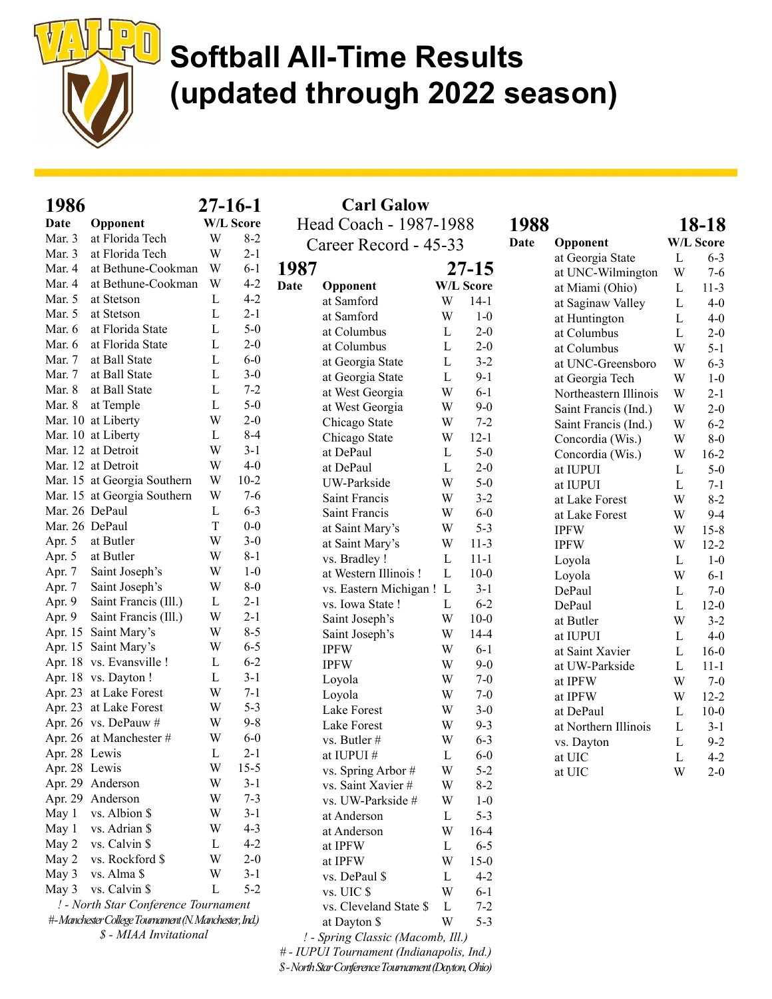

| 1986           |                                                       |   | $27 - 16 - 1$    | <b>Carl Galow</b>                 |              |                  |      |                       |   |                  |
|----------------|-------------------------------------------------------|---|------------------|-----------------------------------|--------------|------------------|------|-----------------------|---|------------------|
| Date           | Opponent                                              |   | <b>W/L Score</b> | Head Coach - 1987-1988            |              |                  | 1988 |                       |   | 18-18            |
| Mar. 3         | at Florida Tech                                       | W | $8 - 2$          | Career Record - 45-33             |              |                  | Date | Opponent              |   | <b>W/L Score</b> |
| Mar. 3         | at Florida Tech                                       | W | $2 - 1$          |                                   |              |                  |      | at Georgia State      | L | $6 - 3$          |
| Mar. 4         | at Bethune-Cookman                                    | W | $6 - 1$          | 1987                              |              | $27 - 15$        |      | at UNC-Wilmington     | W | $7 - 6$          |
| Mar. 4         | at Bethune-Cookman                                    | W | $4 - 2$          | <b>Date</b><br>Opponent           |              | <b>W/L Score</b> |      | at Miami (Ohio)       | L | $11-3$           |
| Mar. 5         | at Stetson                                            | L | $4 - 2$          | at Samford                        | W            | $14-1$           |      | at Saginaw Valley     | L | $4-0$            |
| Mar. 5         | at Stetson                                            | L | $2 - 1$          | at Samford                        | W            | $1-0$            |      | at Huntington         | L | $4-0$            |
| Mar. 6         | at Florida State                                      | L | $5-0$            | at Columbus                       | L            | $2 - 0$          |      | at Columbus           | L | $2 - 0$          |
| Mar. 6         | at Florida State                                      | L | $2 - 0$          | at Columbus                       | $\mathbf{L}$ | $2 - 0$          |      | at Columbus           | W | $5 - 1$          |
| Mar. 7         | at Ball State                                         | L | $6-0$            | at Georgia State                  | L            | $3 - 2$          |      | at UNC-Greensboro     | W | $6 - 3$          |
| Mar. 7         | at Ball State                                         | L | $3 - 0$          | at Georgia State                  | L            | $9 - 1$          |      | at Georgia Tech       | W | $1-0$            |
| Mar. 8         | at Ball State                                         | L | $7 - 2$          | at West Georgia                   | W            | $6 - 1$          |      | Northeastern Illinois | W | $2 - 1$          |
| Mar. 8         | at Temple                                             | L | $5-0$            | at West Georgia                   | W            | $9 - 0$          |      | Saint Francis (Ind.)  | W | $2 - 0$          |
|                | Mar. 10 at Liberty                                    | W | $2 - 0$          | Chicago State                     | W            | $7 - 2$          |      | Saint Francis (Ind.)  | W | $6 - 2$          |
|                | Mar. 10 at Liberty                                    | L | $8-4$            | Chicago State                     | W            | $12 - 1$         |      | Concordia (Wis.)      | W | $8-0$            |
|                | Mar. 12 at Detroit                                    | W | $3-1$            | at DePaul                         | L            | $5-0$            |      | Concordia (Wis.)      | W | $16-2$           |
|                | Mar. 12 at Detroit                                    | W | $4-0$            | at DePaul                         | L            | $2 - 0$          |      | at IUPUI              | L | $5 - 0$          |
|                | Mar. 15 at Georgia Southern                           | W | $10-2$           | UW-Parkside                       | W            | $5-0$            |      | at IUPUI              | L | $7-1$            |
|                | Mar. 15 at Georgia Southern                           | W | $7 - 6$          | Saint Francis                     | W            | $3 - 2$          |      | at Lake Forest        | W | $8 - 2$          |
| Mar. 26 DePaul |                                                       | L | $6 - 3$          | Saint Francis                     | W            | $6-0$            |      | at Lake Forest        | W | $9 - 4$          |
| Mar. 26 DePaul |                                                       | T | $0-0$            | at Saint Mary's                   | W            | $5 - 3$          |      | <b>IPFW</b>           | W | $15 - 8$         |
| Apr. 5         | at Butler                                             | W | $3-0$            | at Saint Mary's                   | W            | $11-3$           |      | <b>IPFW</b>           | W | $12 - 2$         |
| Apr. 5         | at Butler                                             | W | $8 - 1$          | vs. Bradley !                     | L            | $11 - 1$         |      | Loyola                | L | $1-0$            |
| Apr. 7         | Saint Joseph's                                        | W | $1-0$            | at Western Illinois!              | $\mathbf{L}$ | $10-0$           |      | Loyola                | W | $6-1$            |
| Apr. 7         | Saint Joseph's                                        | W | $8-0$            | vs. Eastern Michigan ! L          |              | $3 - 1$          |      | DePaul                | L | $7-0$            |
| Apr. 9         | Saint Francis (Ill.)                                  | L | $2 - 1$          | vs. Iowa State !                  | L            | $6 - 2$          |      | DePaul                | L | $12-0$           |
| Apr. 9         | Saint Francis (Ill.)                                  | W | $2 - 1$          | Saint Joseph's                    | W            | $10 - 0$         |      | at Butler             | W | $3 - 2$          |
|                | Apr. 15 Saint Mary's                                  | W | $8 - 5$          | Saint Joseph's                    | W            | $14 - 4$         |      | at IUPUI              | L | $4 - 0$          |
|                | Apr. 15 Saint Mary's                                  | W | $6 - 5$          | <b>IPFW</b>                       | W            | $6-1$            |      | at Saint Xavier       | L | $16-0$           |
|                | Apr. 18 vs. Evansville !                              | L | $6 - 2$          | <b>IPFW</b>                       | W            | $9 - 0$          |      | at UW-Parkside        | L | $11 - 1$         |
|                | Apr. 18 vs. Dayton !                                  | L | $3 - 1$          | Loyola                            | W            | $7-0$            |      | at IPFW               | W | $7 - 0$          |
|                | Apr. 23 at Lake Forest                                | W | $7 - 1$          | Loyola                            | W            | $7 - 0$          |      | at IPFW               | W | $12 - 2$         |
|                | Apr. 23 at Lake Forest                                | W | $5 - 3$          | Lake Forest                       | W            | $3 - 0$          |      | at DePaul             | L | $10 - 0$         |
|                | Apr. 26 vs. DePauw #                                  | W | $9 - 8$          | Lake Forest                       | W            | $9 - 3$          |      | at Northern Illinois  | L | $3 - 1$          |
|                | Apr. 26 at Manchester #                               | W | $6-0$            | vs. Butler #                      | W            | $6 - 3$          |      | vs. Dayton            | L | $9 - 2$          |
| Apr. 28 Lewis  |                                                       | L | $2 - 1$          | at IUPUI#                         | L            | $6-0$            |      | at UIC                | L | $4 - 2$          |
| Apr. 28 Lewis  |                                                       | W | $15 - 5$         | vs. Spring Arbor #                | W            | $5 - 2$          |      | at UIC                | W | $2 - 0$          |
|                | Apr. 29 Anderson                                      | W | $3-1$            | vs. Saint Xavier #                | W            | $8 - 2$          |      |                       |   |                  |
|                | Apr. 29 Anderson                                      | W | $7 - 3$          | vs. UW-Parkside #                 | W            | $1-0$            |      |                       |   |                  |
| May 1          | vs. Albion \$                                         | W | $3-1$            | at Anderson                       | L            | $5 - 3$          |      |                       |   |                  |
| May 1          | vs. Adrian \$                                         | W | $4 - 3$          | at Anderson                       | W            | $16-4$           |      |                       |   |                  |
| May 2          | vs. Calvin \$                                         | L | $4 - 2$          | at IPFW                           | L            | $6 - 5$          |      |                       |   |                  |
| May 2          | vs. Rockford \$                                       | W | $2 - 0$          | at IPFW                           | W            | $15-0$           |      |                       |   |                  |
| May 3          | vs. Alma \$                                           | W | $3 - 1$          | vs. DePaul \$                     | L            | $4 - 2$          |      |                       |   |                  |
| May 3          | vs. Calvin \$                                         | L | $5 - 2$          | vs. UIC \$                        | W            | $6 - 1$          |      |                       |   |                  |
|                | ! - North Star Conference Tournament                  |   |                  | vs. Cleveland State \$            | L            | $7 - 2$          |      |                       |   |                  |
|                | #-Manchester College Tournament (N. Manchester; Ind.) |   |                  | at Dayton \$                      | W            | $5 - 3$          |      |                       |   |                  |
|                | \$ - MIAA Invitational                                |   |                  | ! - Spring Classic (Macomb, Ill.) |              |                  |      |                       |   |                  |

# - IUPUI Tournament (Indianapolis, Ind.) \$ - North Star Conference Tournament (Dayton, Ohio)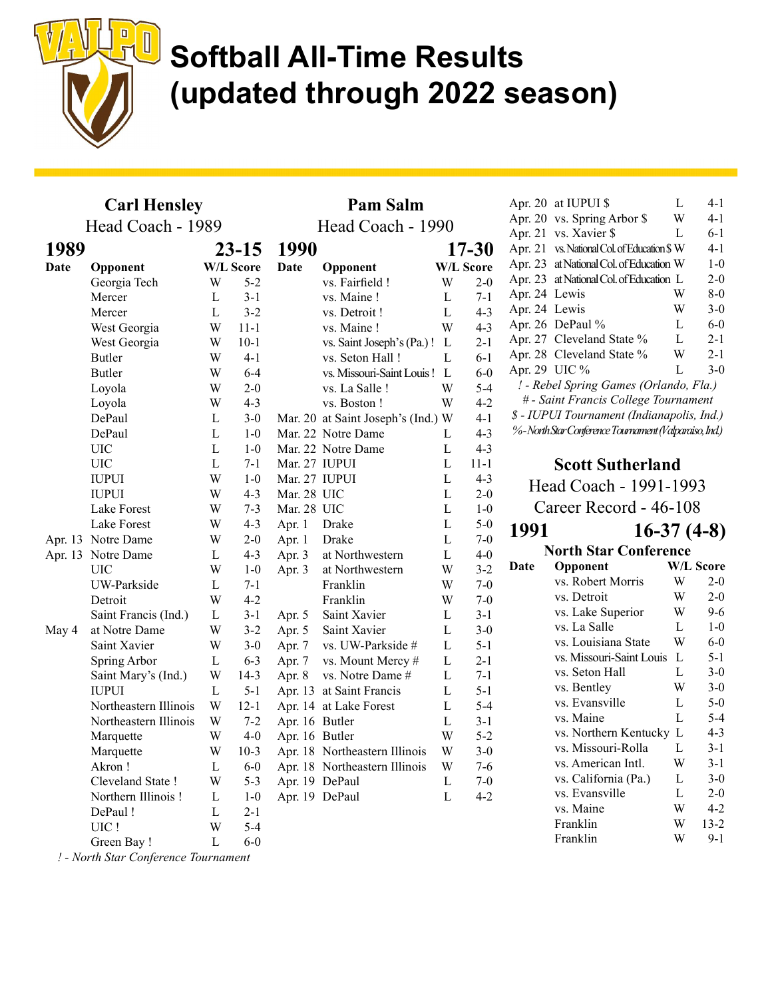

Pam Salm

#### Carl Hensley Head Coach - 1989

|             | Head Coach - 1989     |              | Head Coach - 1990 |                |                                    |             |                  |  |
|-------------|-----------------------|--------------|-------------------|----------------|------------------------------------|-------------|------------------|--|
| 1989        |                       | $23-15$      |                   | 1990           |                                    |             | $17 - 30$        |  |
| <b>Date</b> | Opponent              |              | <b>W/L Score</b>  | <b>Date</b>    | Opponent                           |             | <b>W/L Score</b> |  |
|             | Georgia Tech          | W            | $5 - 2$           |                | vs. Fairfield !                    | W           | $2 - 0$          |  |
|             | Mercer                | L            | $3 - 1$           |                | vs. Maine!                         | L           | $7 - 1$          |  |
|             | Mercer                | L            | $3 - 2$           |                | vs. Detroit!                       | L           | $4 - 3$          |  |
|             | West Georgia          | W            | 11-1              |                | vs. Maine!                         | W           | $4 - 3$          |  |
|             | West Georgia          | W            | $10-1$            |                | vs. Saint Joseph's (Pa.) !         | L           | $2 - 1$          |  |
|             | <b>Butler</b>         | W            | $4 - 1$           |                | vs. Seton Hall !                   | L           | 6-1              |  |
|             | Butler                | W            | $6 - 4$           |                | vs. Missouri-Saint Louis!          | L           | $6-0$            |  |
|             | Loyola                | W            | $2 - 0$           |                | vs. La Salle!                      | W           | $5-4$            |  |
|             | Loyola                | W            | $4 - 3$           |                | vs. Boston!                        | W           | $4 - 2$          |  |
|             | DePaul                | $\mathbf L$  | $3-0$             |                | Mar. 20 at Saint Joseph's (Ind.) W |             | $4-1$            |  |
|             | DePaul                | L            | $1-0$             |                | Mar. 22 Notre Dame                 | L           | $4 - 3$          |  |
|             | UIC                   | $\mathbf L$  | $1-0$             |                | Mar. 22 Notre Dame                 | L           | $4 - 3$          |  |
|             | <b>UIC</b>            | L            | $7-1$             | Mar. 27 IUPUI  |                                    | L           | $11 - 1$         |  |
|             | <b>IUPUI</b>          | W            | $1-0$             | Mar. 27 IUPUI  |                                    | L           | $4 - 3$          |  |
|             | <b>IUPUI</b>          | W            | $4 - 3$           | Mar. 28 UIC    |                                    | L           | $2 - 0$          |  |
|             | Lake Forest           | W            | $7 - 3$           | Mar. 28 UIC    |                                    | L           | $1-0$            |  |
|             | Lake Forest           | W            | $4 - 3$           | Apr. 1         | Drake                              | L           | $5-0$            |  |
|             | Apr. 13 Notre Dame    | W            | $2 - 0$           | Apr. 1         | Drake                              | $\mathbf L$ | $7-0$            |  |
|             | Apr. 13 Notre Dame    | L            | $4 - 3$           | Apr. 3         | at Northwestern                    | L           | $4-0$            |  |
|             | <b>UIC</b>            | W            | $1 - 0$           | Apr. 3         | at Northwestern                    | W           | $3 - 2$          |  |
|             | UW-Parkside           | $\mathbf{L}$ | $7-1$             |                | Franklin                           | W           | $7-0$            |  |
|             | Detroit               | W            | $4 - 2$           |                | Franklin                           | W           | $7-0$            |  |
|             | Saint Francis (Ind.)  | L            | $3-1$             | Apr. 5         | Saint Xavier                       | L           | 3-1              |  |
| May 4       | at Notre Dame         | W            | $3 - 2$           | Apr. 5         | Saint Xavier                       | L           | $3 - 0$          |  |
|             | Saint Xavier          | W            | $3-0$             | Apr. 7         | vs. UW-Parkside #                  | L           | 5-1              |  |
|             | Spring Arbor          | $\Gamma$     | $6 - 3$           | Apr. 7         | vs. Mount Mercy #                  | L           | $2 - 1$          |  |
|             | Saint Mary's (Ind.)   | W            | $14-3$            | Apr. 8         | vs. Notre Dame #                   | L           | $7-1$            |  |
|             | <b>IUPUI</b>          | L            | $5 - 1$           |                | Apr. 13 at Saint Francis           | L           | 5-1              |  |
|             | Northeastern Illinois | W            | $12-1$            |                | Apr. 14 at Lake Forest             | $\mathbf L$ | $5 - 4$          |  |
|             | Northeastern Illinois | W            | $7 - 2$           | Apr. 16 Butler |                                    | L           | $3 - 1$          |  |
|             | Marquette             | W            | $4 - 0$           | Apr. 16 Butler |                                    | W           | $5 - 2$          |  |
|             | Marquette             | W            | $10-3$            |                | Apr. 18 Northeastern Illinois      | W           | $3 - 0$          |  |
|             | Akron!                | L            | $6-0$             |                | Apr. 18 Northeastern Illinois      | W           | $7-6$            |  |
|             | Cleveland State !     | W            | $5 - 3$           |                | Apr. 19 DePaul                     | $\mathbf L$ | $7-0$            |  |
|             | Northern Illinois!    | $\mathbf L$  | $1-0$             | Apr. 19 DePaul |                                    | L           | $4 - 2$          |  |
|             | DePaul !              | L            | $2 - 1$           |                |                                    |             |                  |  |
|             | UIC!                  | W            | $5 - 4$           |                |                                    |             |                  |  |
|             | Green Bay!            | L            | $6 - 0$           |                |                                    |             |                  |  |

Apr. 20 at IUPUI  $\text{\$}$  L 4-1 Apr. 20 vs. Spring Arbor \$ W 4-1 Apr. 21 vs. Xavier  $\ell$  L 6-1 Apr. 21 vs. National Col. of Education \$ W 4-1 Apr. 23 at National Col. of Education W 1-0 Apr. 23 at National Col. of Education L 2-0 Apr. 24 Lewis W 8-0 Apr. 24 Lewis W 3-0 Apr. 26 DePaul % L 6-0 Apr. 27 Cleveland State % L 2-1 Apr. 28 Cleveland State % W 2-1 Apr. 29 UIC % L 3-0 ! - Rebel Spring Games (Orlando, Fla.) # - Saint Francis College Tournament \$ - IUPUI Tournament (Indianapolis, Ind.) % - North Star Conference Tournament (Valparaiso, Ind.) Scott Sutherland Head Coach - 1991-1993 Career Record - 46-108 1991 16-37 (4-8) North Star Conference Date Opponent W/L Score vs. Robert Morris W 2-0 vs. Detroit W 2-0 vs. Lake Superior W 9-6 vs. La Salle L 1-0 vs. Louisiana State W 6-0 vs. Missouri-Saint Louis L 5-1 vs. Seton Hall L 3-0 vs. Bentley W 3-0 vs. Evansville L 5-0 vs. Maine L 5-4 vs. Northern Kentucky L 4-3 vs. Missouri-Rolla L 3-1 vs. American Intl. W 3-1 vs. California (Pa.) L 3-0 vs. Evansville L 2-0 vs. Maine W 4-2

> Franklin W 13-2 Franklin W 9-1

! - North Star Conference Tournament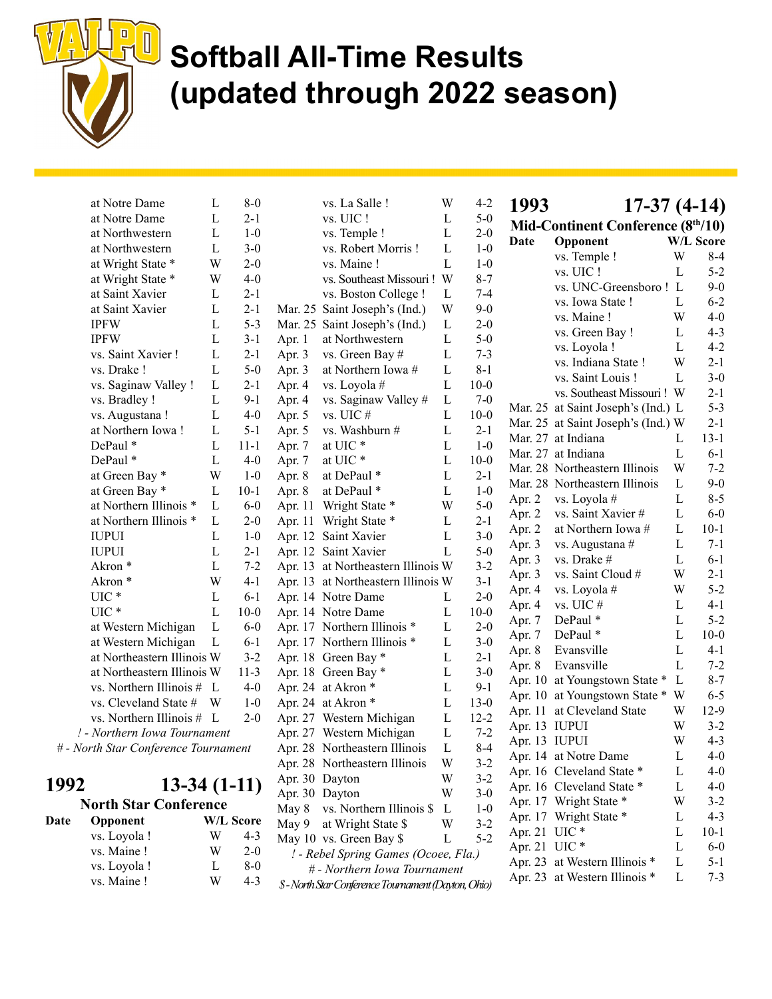

Date

# Softball All-Time Results (updated through 2022 season)

|      | at Notre Dame                        | L | $8-0$            |         | vs. La Salle !                                     | W | $4 - 2$  |
|------|--------------------------------------|---|------------------|---------|----------------------------------------------------|---|----------|
|      | at Notre Dame                        | L | $2 - 1$          |         | vs. UIC !                                          | L | $5-0$    |
|      | at Northwestern                      | L | $1 - 0$          |         | vs. Temple !                                       | L | $2 - 0$  |
|      | at Northwestern                      | L | $3-0$            |         | vs. Robert Morris!                                 | L | $1 - 0$  |
|      | at Wright State *                    | W | $2 - 0$          |         | vs. Maine!                                         | L | $1 - 0$  |
|      | at Wright State *                    | W | $4 - 0$          |         | vs. Southeast Missouri!                            | W | $8 - 7$  |
|      | at Saint Xavier                      | L | $2 - 1$          |         | vs. Boston College !                               | L | $7-4$    |
|      | at Saint Xavier                      | L | $2 - 1$          |         | Mar. 25 Saint Joseph's (Ind.)                      | W | $9 - 0$  |
|      | <b>IPFW</b>                          | L | $5 - 3$          |         | Mar. 25 Saint Joseph's (Ind.)                      | L | $2 - 0$  |
|      | <b>IPFW</b>                          | L | $3 - 1$          | Apr. 1  | at Northwestern                                    | L | $5-0$    |
|      | vs. Saint Xavier !                   | L | $2 - 1$          | Apr. 3  | vs. Green Bay #                                    | L | $7 - 3$  |
|      | vs. Drake !                          | L | $5-0$            | Apr. 3  | at Northern Iowa #                                 | L | $8-1$    |
|      | vs. Saginaw Valley !                 | L | $2 - 1$          | Apr. 4  | vs. Loyola #                                       | L | $10 - 0$ |
|      | vs. Bradley !                        | L | $9-1$            | Apr. 4  | vs. Saginaw Valley #                               | L | $7-0$    |
|      | vs. Augustana !                      | L | $4 - 0$          | Apr. 5  | vs. UIC $\#$                                       | L | $10 - 0$ |
|      | at Northern Iowa!                    | L | $5-1$            | Apr. 5  | vs. Washburn #                                     | L | $2 - 1$  |
|      | DePaul *                             | L | $11 - 1$         | Apr. 7  | at UIC $^\ast$                                     | L | $1-0$    |
|      | DePaul *                             | L | $4 - 0$          | Apr. 7  | at UIC*                                            | L | $10 - 0$ |
|      | at Green Bay *                       | W | $1-0$            | Apr. 8  | at DePaul *                                        | L | $2 - 1$  |
|      | at Green Bay *                       | L | $10-1$           | Apr. 8  | at DePaul *                                        | L | $1-0$    |
|      | at Northern Illinois *               | L | $6-0$            | Apr. 11 | Wright State *                                     | W | $5-0$    |
|      | at Northern Illinois *               | L | $2 - 0$          | Apr. 11 | Wright State *                                     | L | $2 - 1$  |
|      | <b>IUPUI</b>                         | L | $1-0$            |         | Apr. 12 Saint Xavier                               | L | $3 - 0$  |
|      | <b>IUPUI</b>                         | L | $2 - 1$          |         | Apr. 12 Saint Xavier                               | L | $5-0$    |
|      | Akron*                               | L | $7 - 2$          |         | Apr. 13 at Northeastern Illinois W                 |   | $3 - 2$  |
|      | Akron <sup>*</sup>                   | W | $4 - 1$          |         | Apr. 13 at Northeastern Illinois W                 |   | $3-1$    |
|      | UIC <sup>*</sup>                     | L | $6 - 1$          |         | Apr. 14 Notre Dame                                 | L | $2 - 0$  |
|      | $UIC*$                               | L | $10 - 0$         |         | Apr. 14 Notre Dame                                 | L | $10 - 0$ |
|      | at Western Michigan                  | L | $6-0$            |         | Apr. 17 Northern Illinois *                        | L | $2 - 0$  |
|      | at Western Michigan                  | L | $6 - 1$          |         | Apr. 17 Northern Illinois *                        | L | $3-0$    |
|      | at Northeastern Illinois W           |   | $3 - 2$          |         | Apr. 18 Green Bay *                                | L | $2-1$    |
|      | at Northeastern Illinois W           |   | $11-3$           |         | Apr. 18 Green Bay *                                | L | $3-0$    |
|      | vs. Northern Illinois #              | L | $4 - 0$          |         | Apr. 24 at Akron *                                 | L | $9-1$    |
|      | vs. Cleveland State #                | W | $1-0$            |         | Apr. 24 at Akron *                                 | L | $13-0$   |
|      | vs. Northern Illinois #              | L | $2 - 0$          |         | Apr. 27 Western Michigan                           | L | $12 - 2$ |
|      | ! - Northern Iowa Tournament         |   |                  |         | Apr. 27 Western Michigan                           | L | $7 - 2$  |
|      | # - North Star Conference Tournament |   |                  |         | Apr. 28 Northeastern Illinois                      | L | $8 - 4$  |
|      |                                      |   |                  |         | Apr. 28 Northeastern Illinois                      | W | $3 - 2$  |
|      |                                      |   |                  |         | Apr. 30 Dayton                                     | W | $3-2$    |
| 1992 | $13-34(1-11)$                        |   |                  |         | Apr. 30 Dayton                                     | W | $3-0$    |
|      | <b>North Star Conference</b>         |   |                  | May 8   | vs. Northern Illinois \$                           | L | $1-0$    |
| Date | Opponent                             |   | <b>W/L Score</b> | May 9   | at Wright State \$                                 | W | $3 - 2$  |
|      | vs. Loyola !                         | W | $4 - 3$          |         | May 10 vs. Green Bay \$                            | L | $5 - 2$  |
|      | vs. Maine !                          | W | $2 - 0$          |         | ! - Rebel Spring Games (Ocoee, Fla.)               |   |          |
|      | vs. Loyola !                         | L | $8-0$            |         | # - Northern Iowa Tournament                       |   |          |
|      | vs. Maine !                          | W | $4 - 3$          |         | \$-North Star Conference Tournament (Dayton, Ohio) |   |          |

| 1993           | 17-37 (4-14)                      |              |           |
|----------------|-----------------------------------|--------------|-----------|
|                | Mid-Continent Conference (8th/10) |              |           |
| Date           | Opponent                          |              | W/L Score |
|                | vs. Temple !                      | W            | $8-4$     |
|                | vs. UIC!                          | L            | $5 - 2$   |
|                | vs. UNC-Greensboro!               | L            | $9 - 0$   |
|                | vs. Iowa State !                  | L            | $6 - 2$   |
|                | vs. Maine!                        | W            | $4 - 0$   |
|                | vs. Green Bay !                   | L            | $4 - 3$   |
|                | vs. Loyola !                      | L            | $4 - 2$   |
|                | vs. Indiana State !               | W            | $2 - 1$   |
|                | vs. Saint Louis!                  | L            | $3 - 0$   |
|                | vs. Southeast Missouri!           | W            | $2-1$     |
| Mar. 25        | at Saint Joseph's (Ind.)          | L            | $5 - 3$   |
| Mar. 25        | at Saint Joseph's (Ind.) W        |              | $2 - 1$   |
| Mar. 27        | at Indiana                        | L            | $13 - 1$  |
| Mar. 27        | at Indiana                        | L            | $6 - 1$   |
| <b>Mar. 28</b> | Northeastern Illinois             | W            | $7 - 2$   |
| Mar. 28        | Northeastern Illinois             | L            | $9 - 0$   |
| Apr. 2         | vs. Loyola #                      | L            | $8 - 5$   |
| Apr. 2         | vs. Saint Xavier #                | L            | $6-0$     |
| Apr. 2         | at Northern Iowa #                | L            | $10-1$    |
| Apr. 3         | vs. Augustana #                   | L            | $7 - 1$   |
| Apr. 3         | vs. Drake #                       | L            | $6 - 1$   |
| Apr. 3         | vs. Saint Cloud #                 | W            | $2 - 1$   |
| Apr. 4         | vs. Loyola #                      | W            | $5 - 2$   |
| Apr. 4         | vs. UIC #                         | L            | $4 - 1$   |
| Apr. 7         | DePaul *                          | L            | $5 - 2$   |
| Apr. 7         | DePaul *                          | L            | $10-0$    |
| Apr. 8         | Evansville                        | L            | $4 - 1$   |
| Apr. 8         | Evansville                        | L            | $7 - 2$   |
| Apr. 10        | at Youngstown State *             | $\mathbf{L}$ | $8 - 7$   |
| Apr. 10        | at Youngstown State *             | W            | $6 - 5$   |
| Apr. 11        | at Cleveland State                | W            | 12-9      |
| Apr. 13        | <b>IUPUI</b>                      | W            | $3 - 2$   |
| Apr. 13        | <b>IUPUI</b>                      | W            | $4 - 3$   |
| Apr. 14        | at Notre Dame                     | L            | $4 - 0$   |
|                | Apr. 16 Cleveland State *         | L            | $4 - 0$   |
| Apr. 16        | Cleveland State *                 | L            | $4 - 0$   |
|                | Apr. 17 Wright State *            | W            | $3 - 2$   |
| Apr. 17        | Wright State *                    | L            | $4 - 3$   |
| Apr. 21        | UIC <sup>*</sup>                  | L            | $10-1$    |
| Apr. 21        | UIC <sup>*</sup>                  | L            | $6 - 0$   |
| Apr. 23        | at Western Illinois *             | L            | 5-1       |
| Apr. 23        | at Western Illinois *             | L            | $7 - 3$   |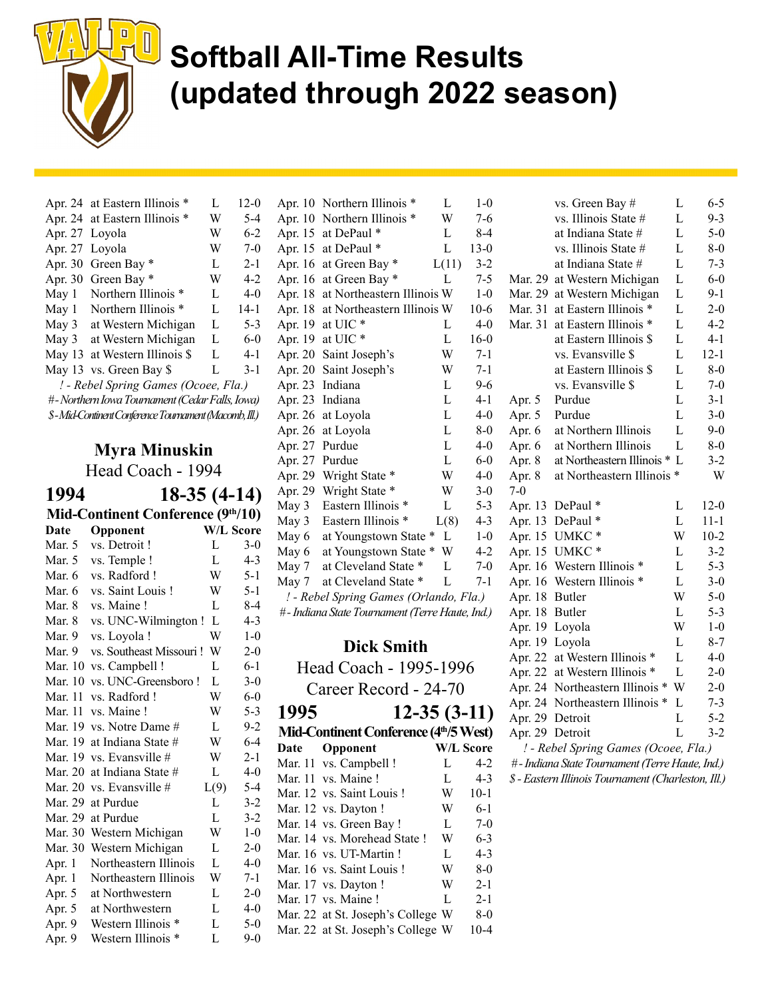

|                | Apr. 24 at Eastern Illinois *                         | L | $12-0$  |  |  |  |  |  |  |
|----------------|-------------------------------------------------------|---|---------|--|--|--|--|--|--|
|                | Apr. 24 at Eastern Illinois *                         | W | $5 - 4$ |  |  |  |  |  |  |
| Apr. 27 Loyola |                                                       | W | $6-2$   |  |  |  |  |  |  |
| Apr. 27        | Loyola                                                | W | $7-0$   |  |  |  |  |  |  |
| Apr. 30        | Green Bay *                                           | L | $2 - 1$ |  |  |  |  |  |  |
|                | Apr. 30 Green Bay *                                   | W | $4-2$   |  |  |  |  |  |  |
| May 1          | Northern Illinois *                                   | L | $4-0$   |  |  |  |  |  |  |
| May 1          | Northern Illinois *                                   | L | $14-1$  |  |  |  |  |  |  |
| May 3          | at Western Michigan                                   | L | $5 - 3$ |  |  |  |  |  |  |
| May 3          | at Western Michigan                                   | L | $6 - 0$ |  |  |  |  |  |  |
|                | May 13 at Western Illinois \$                         | L | $4 - 1$ |  |  |  |  |  |  |
|                | May 13 vs. Green Bay \$                               | L | $3-1$   |  |  |  |  |  |  |
|                | ! - Rebel Spring Games (Ocoee, Fla.)                  |   |         |  |  |  |  |  |  |
|                | #-Northern Iowa Tournament (Cedar Falls, Iowa)        |   |         |  |  |  |  |  |  |
|                | \$-Mid-Continent Conference Tournament (Macomb, Ill.) |   |         |  |  |  |  |  |  |
|                |                                                       |   |         |  |  |  |  |  |  |

### Myra Minuskin

Head Coach - 1994

1994 18-35 (4-14) Mid-Continent Conference (9th/10) Date Opponent W/L Score Mar. 5 vs. Detroit ! L 3-0 Mar. 5 vs. Temple ! L 4-3 Mar. 6 vs. Radford ! W 5-1 Mar. 6 vs. Saint Louis ! W 5-1 Mar. 8 vs. Maine ! L 8-4 Mar. 8 vs. UNC-Wilmington ! L 4-3 Mar. 9 vs. Loyola ! W 1-0 Mar. 9 vs. Southeast Missouri ! W 2-0 Mar. 10 vs. Campbell ! L 6-1 Mar. 10 vs. UNC-Greensboro ! L 3-0 Mar. 11 vs. Radford ! W 6-0 Mar. 11 vs. Maine ! W 5-3 Mar. 19 vs. Notre Dame  $\#$  L 9-2 Mar. 19 at Indiana State  $\#$  W 6-4 Mar. 19 vs. Evansville  $\#$  W 2-1 Mar. 20 at Indiana State  $\#$  L 4-0 Mar. 20 vs. Evansville  $\#$  L(9) 5-4 Mar. 29 at Purdue L 3-2 Mar. 29 at Purdue L 3-2 Mar. 30 Western Michigan W 1-0 Mar. 30 Western Michigan L 2-0 Apr. 1 Northeastern Illinois L 4-0 Apr. 1 Northeastern Illinois W 7-1 Apr. 5 at Northwestern L 2-0 Apr. 5 at Northwestern L 4-0 Apr. 9 Western Illinois \* L 5-0 Apr. 9 Western Illinois \* L 9-0

\$ - Mid-Continent Conference Tournament (Macomb, Ill.) Apr. 26 at Loyola L 4-0 Apr. 10 Northern Illinois \* L 1-0 Apr. 10 Northern Illinois \* W 7-6 Apr. 15 at DePaul  $*$  L 8-4 Apr. 15 at DePaul \* L 13-0 Apr. 16 at Green Bay  $*$  L(11) 3-2 Apr. 16 at Green Bay  $\ast$  L 7-5 Apr. 18 at Northeastern Illinois W 1-0 Apr. 18 at Northeastern Illinois W 10-6 Apr. 19 at UIC  $*$  L 4-0 Apr. 19 at UIC \* L 16-0 Apr. 20 Saint Joseph's W 7-1 Apr. 20 Saint Joseph's W 7-1 Apr. 23 Indiana L 9-6 Apr. 23 Indiana L 4-1 Apr. 26 at Loyola L 8-0 Apr. 27 Purdue L 4-0 Apr. 27 Purdue L 6-0 Apr. 29 Wright State \* W 4-0 Apr. 29 Wright State \* W 3-0 May 3 Eastern Illinois \* L 5-3 May 3 Eastern Illinois  $*$  L(8) 4-3 May  $6$  at Youngstown State  $*$  L 1-0 May  $6$  at Youngstown State  $*$  W 4-2 May 7 at Cleveland State \* L 7-0 May 7 at Cleveland State \* L 7-1 ! - Rebel Spring Games (Orlando, Fla.) # - Indiana State Tournament (Terre Haute, Ind.)

### Dick Smith

Head Coach - 1995-1996 Career Record - 24-70

| 1995 | $12 - 35(3 - 11)$                     |   |                  |
|------|---------------------------------------|---|------------------|
|      | Mid-Continent Conference (4th/5 West) |   |                  |
| Date | Opponent                              |   | <b>W/L Score</b> |
|      | Mar. 11 vs. Campbell !                | L | $4-2$            |
|      | Mar. 11 vs. Maine!                    | L | $4 - 3$          |
|      | Mar. 12 vs. Saint Louis!              | W | $10-1$           |
|      | Mar. 12 vs. Dayton !                  | W | $6 - 1$          |
|      | Mar. 14 vs. Green Bay!                | L | $7-0$            |
|      | Mar. 14 vs. Morehead State!           | W | $6 - 3$          |
|      | Mar. 16 vs. UT-Martin!                | L | $4 - 3$          |
|      | Mar. 16 vs. Saint Louis!              | W | $8-0$            |
|      | Mar. 17 vs. Dayton !                  | W | $2 - 1$          |
|      | Mar. 17 vs. Maine!                    | L | $2 - 1$          |
|      | Mar. 22 at St. Joseph's College W     |   | $8-0$            |
|      | Mar. 22 at St. Joseph's College W     |   | 10-4             |

|                 | vs. Green Bay #                                          | L              | 6-5                      |
|-----------------|----------------------------------------------------------|----------------|--------------------------|
|                 | vs. Illinois State #                                     | L              | $9 - 3$                  |
|                 | at Indiana State #                                       | L              | $5-0$                    |
|                 | vs. Illinois State #                                     | L              | 8-0                      |
|                 | at Indiana State #                                       | L              | $7-3$                    |
| Mar. 29         | at Western Michigan                                      | L              | $6-0$                    |
| Mar. 29         | at Western Michigan                                      | L              | 9-1                      |
| Mar. 31         | at Eastern Illinois                                      | L              | $2 - 0$                  |
| Mar. 31         | at Eastern Illinois *                                    | L              | $4 - 2$                  |
|                 | at Eastern Illinois \$                                   | L              | $4-1$                    |
|                 | vs. Evansville \$                                        | L              | $12 - 1$                 |
|                 | at Eastern Illinois \$                                   | L              | $8 - 0$                  |
|                 | vs. Evansville \$                                        | $\overline{L}$ | $7 - 0$                  |
| Apr. 5          | Purdue                                                   | L              | $3-1$                    |
| Apr. 5          | Purdue                                                   | L              | $3 - 0$                  |
| Apr. 6          | at Northern Illinois                                     | L              | $9 - 0$                  |
| Apr. 6          | at Northern Illinois                                     | L              | $8 - 0$                  |
| Apr. 8          | at Northeastern Illinois *                               | $\mathbf{L}$   | $3-2$                    |
| Apr. 8          | at Northeastern Illinois                                 | ∗              | W                        |
| $7-0$           |                                                          |                |                          |
| Apr. 13         | DePaul *                                                 | L              | $12-0$                   |
| Apr. 13         | DePaul*                                                  | L              | $11 - 1$                 |
| Apr. 15         | UMKC*                                                    | W              | $10-2$                   |
| Apr. 15         | UMKC*                                                    | L              | $3 - 2$                  |
| Apr. 16         | Western Illinois                                         | L              | $5 - 3$                  |
| Apr. 16         | Western Illinois                                         | L              | $3-0$                    |
| Apr. 18         | Butler                                                   | W              | $5 - 0$                  |
| Apr. 18         | Butler                                                   | L              | $5 - 3$                  |
| Apr. 19         | Loyola                                                   | W              | $1-0$                    |
| Apr. 19         | Loyola                                                   | L              | $8-7$                    |
| Apr. 22         | at Western Illinois *                                    | L              | $4 - 0$                  |
| Apr. 22         | at Western Illinois *                                    | L              | $2 - 0$                  |
| Apr. 24         | Northeastern Illinois<br>∗                               | W              | $2 - 0$                  |
| Apr. 24         | Northeastern Illinois *                                  | L              | $7 - 3$                  |
| Apr. 29 Detroit |                                                          | L              | 5-2                      |
| Apr. 29 Detroit |                                                          | L              | $3 - 2$                  |
|                 | $\sqrt{2}$<br>$1 - D - L - 1$ $C_{\text{max}}$<br>$\sim$ |                | $\Gamma$ 1.<br>$\lambda$ |

- ! Rebel Spring Games (Ocoee, Fla.)
- # Indiana State Tournament (Terre Haute, Ind.)
- \$ Eastern Illinois Tournament (Charleston, Ill.)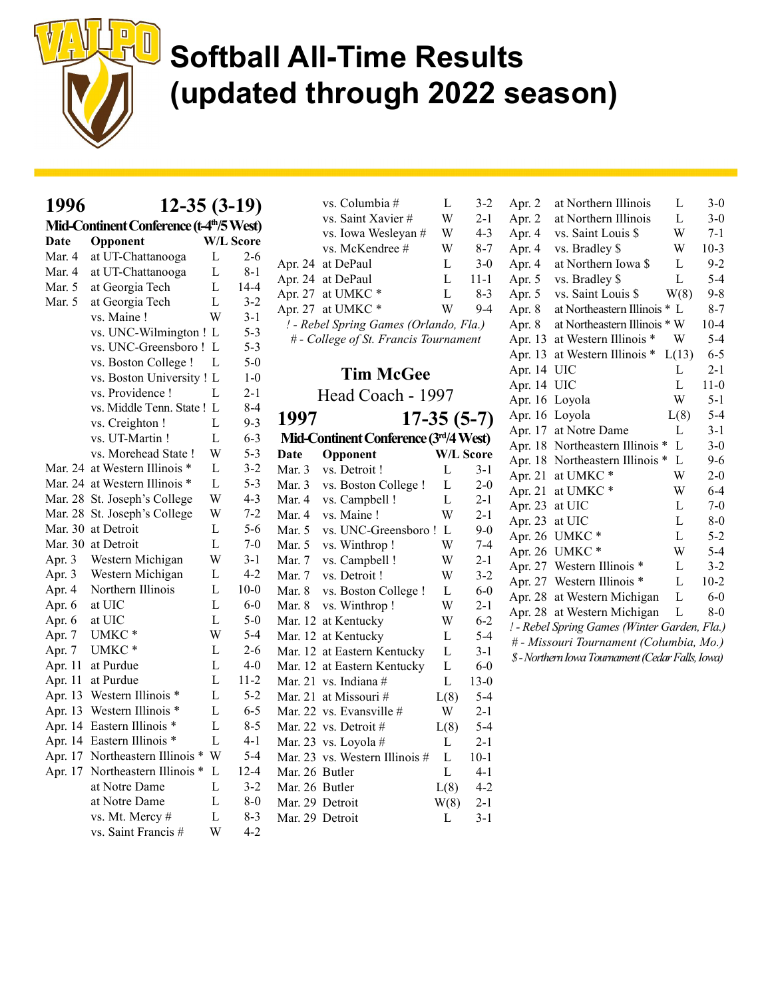

| 1996   | $12-35(3-19)$                                        |                |                  |                 | vs. Columbia #<br>vs. Saint Xavier #   | L<br>W       | $3 - 2$<br>$2 - 1$ |
|--------|------------------------------------------------------|----------------|------------------|-----------------|----------------------------------------|--------------|--------------------|
|        | Mid-Continent Conference (t-4 <sup>th</sup> /5 West) |                |                  |                 | vs. Iowa Wesleyan #                    | W            | $4 - 3$            |
| Date   | Opponent                                             |                | <b>W/L Score</b> |                 | vs. McKendree #                        | W            | $8 - 7$            |
| Mar. 4 | at UT-Chattanooga                                    | L              | $2 - 6$          |                 | Apr. 24 at DePaul                      | L            | $3-0$              |
| Mar. 4 | at UT-Chattanooga                                    | L              | $8 - 1$          |                 | Apr. 24 at DePaul                      | $\mathbf{L}$ | $11 - 1$           |
| Mar. 5 | at Georgia Tech                                      | L              | $14 - 4$         |                 | Apr. 27 at UMKC*                       | L            | $8 - 3$            |
| Mar. 5 | at Georgia Tech                                      | $\mathbf L$    | $3 - 2$          |                 | Apr. 27 at UMKC*                       | W            | $9 - 4$            |
|        | vs. Maine!                                           | W              | $3-1$            |                 | ! - Rebel Spring Games (Orlando, Fla.) |              |                    |
|        | vs. UNC-Wilmington ! L                               |                | $5 - 3$          |                 | # - College of St. Francis Tournament  |              |                    |
|        | vs. UNC-Greensboro! L                                |                | $5 - 3$          |                 |                                        |              |                    |
|        | vs. Boston College !                                 | L              | $5-0$            |                 |                                        |              |                    |
|        | vs. Boston University ! L                            |                | $1-0$            |                 | <b>Tim McGee</b>                       |              |                    |
|        | vs. Providence !                                     | L              | $2 - 1$          |                 | Head Coach - 1997                      |              |                    |
|        | vs. Middle Tenn. State ! L                           |                | $8 - 4$          | 1997            |                                        |              |                    |
|        | vs. Creighton !                                      | L              | $9 - 3$          |                 |                                        |              | $17-35(5-7)$       |
|        | vs. UT-Martin !                                      | L              | $6 - 3$          |                 | Mid-Continent Conference (3rd/4 West)  |              |                    |
|        | vs. Morehead State !                                 | W              | $5 - 3$          | Date            | Opponent                               |              | <b>W/L Score</b>   |
|        | Mar. 24 at Western Illinois *                        | L              | $3 - 2$          | Mar. 3          | vs. Detroit !                          | L            | $3 - 1$            |
|        | Mar. 24 at Western Illinois *                        | $\mathbf L$    | $5 - 3$          | Mar. 3          | vs. Boston College !                   | L            | $2 - 0$            |
|        | Mar. 28 St. Joseph's College                         | W              | $4 - 3$          | Mar. 4          | vs. Campbell !                         | L            | $2 - 1$            |
|        | Mar. 28 St. Joseph's College                         | W              | $7 - 2$          | Mar. 4          | vs. Maine !                            | W            | $2-1$              |
|        | Mar. 30 at Detroit                                   | L              | 5-6              | Mar. $5$        | vs. UNC-Greensboro! L                  |              | $9 - 0$            |
|        | Mar. 30 at Detroit                                   | $\overline{L}$ | $7-0$            | Mar. 5          | vs. Winthrop!                          | W            | $7 - 4$            |
| Apr. 3 | Western Michigan                                     | W              | $3-1$            | Mar. 7          | vs. Campbell !                         | W            | $2 - 1$            |
| Apr. 3 | Western Michigan                                     | L              | $4 - 2$          | Mar. 7          | vs. Detroit !                          | W            | $3 - 2$            |
| Apr. 4 | Northern Illinois                                    | L              | $10 - 0$         | Mar. 8          | vs. Boston College !                   | L            | $6-0$              |
| Apr. 6 | at UIC                                               | L              | $6-0$            | Mar. 8          | vs. Winthrop!                          | W            | $2 - 1$            |
| Apr. 6 | at UIC                                               | $\mathbf L$    | $5-0$            |                 | Mar. 12 at Kentucky                    | W            | $6 - 2$            |
| Apr. 7 | UMKC*                                                | W              | $5-4$            |                 | Mar. 12 at Kentucky                    | L            | $5 - 4$            |
| Apr. 7 | UMKC*                                                | L              | $2 - 6$          |                 | Mar. 12 at Eastern Kentucky            | L            | $3-1$              |
|        | Apr. 11 at Purdue                                    | L              | $4-0$            |                 | Mar. 12 at Eastern Kentucky            | L            | $6-0$              |
|        | Apr. 11 at Purdue                                    | L              | $11-2$           |                 | Mar. 21 vs. Indiana $#$                | $\mathbf{L}$ | $13-0$             |
|        | Apr. 13 Western Illinois *                           | L              | $5 - 2$          |                 | Mar. 21 at Missouri #                  | L(8)         | $5 - 4$            |
|        | Apr. 13 Western Illinois *                           | L              | $6 - 5$          |                 | Mar. 22 vs. Evansville $#$             | W            | $2 - 1$            |
|        | Apr. 14 Eastern Illinois *                           | L              | $8 - 5$          |                 | Mar. 22 vs. Detroit #                  | L(8)         | $5 - 4$            |
|        | Apr. 14 Eastern Illinois *                           | L              | $4 - 1$          |                 | Mar. 23 vs. Loyola #                   | L            | $2 - 1$            |
|        | Apr. 17 Northeastern Illinois *                      | W              | $5 - 4$          |                 | Mar. 23 vs. Western Illinois #         | L            | $10-1$             |
|        | Apr. 17 Northeastern Illinois *                      | L              | $12 - 4$         | Mar. 26 Butler  |                                        | L            | $4-1$              |
|        | at Notre Dame                                        | L              | $3 - 2$          | Mar. 26 Butler  |                                        | L(8)         | $4 - 2$            |
|        | at Notre Dame                                        | L              | $8-0$            | Mar. 29 Detroit |                                        | W(8)         | $2 - 1$            |
|        | vs. Mt. Mercy #                                      | L              | $8 - 3$          | Mar. 29 Detroit |                                        | L            | $3 - 1$            |
|        | vs. Saint Francis #                                  | W              | $4 - 2$          |                 |                                        |              |                    |

| Apr. 2  | at Northern Illinois                              | L      | $3 - 0$  |
|---------|---------------------------------------------------|--------|----------|
| Apr. 2  | at Northern Illinois                              | L      | $3-0$    |
| Apr. 4  | vs. Saint Louis \$                                | W      | $7-1$    |
| Apr. 4  | vs. Bradley \$                                    | W      | $10-3$   |
| Apr. 4  | at Northern Iowa \$                               | L      | $9-2$    |
| Apr. 5  | vs. Bradley \$                                    | L      | $5 - 4$  |
| Apr. 5  | vs. Saint Louis \$                                | W(8)   | $9 - 8$  |
| Apr. 8  | at Northeastern Illinois                          | $*$ L  | $8 - 7$  |
| Apr. 8  | at Northeastern Illinois                          | $*$ W  | $10-4$   |
| Apr. 13 | at Western Illinois                               | W      | 5-4      |
| Apr. 13 | at Western Illinois *                             | L(13)  | $6 - 5$  |
| Apr. 14 | UIC                                               | L      | $2-1$    |
| Apr. 14 | UIC                                               | L      | $11-0$   |
| Apr. 16 | Loyola                                            | W      | $5-1$    |
| Apr. 16 | Loyola                                            | L(8)   | $5 - 4$  |
| Apr. 17 | at Notre Dame                                     | L      | $3 - 1$  |
| Apr. 18 | Northeastern Illinois *                           | L      | $3-0$    |
| Apr. 18 | Northeastern Illinois                             | L<br>∗ | $9-6$    |
| Apr. 21 | at UMKC*                                          | W      | $2-0$    |
| Apr. 21 | at UMKC *                                         | W      | $6-4$    |
| Apr. 23 | at UIC                                            | L      | $7 - 0$  |
| Apr. 23 | at UIC                                            | L      | $8-0$    |
| Apr. 26 | *<br><b>UMKC</b>                                  | L      | 5-2      |
| Apr. 26 | UMKC*                                             | W      | 5-4      |
| Apr. 27 | Western Illinois                                  | L      | $3-2$    |
| Apr. 27 | Western Illinois *                                | L      | $10 - 2$ |
| Apr. 28 | at Western Michigan                               | L      | $6-0$    |
| Apr. 28 | at Western Michigan                               | L      | $8-0$    |
|         | ! - Rebel Spring Games (Winter Garden, Fla.)      |        |          |
|         | # - Missouri Tournament (Columbia, Mo.)           |        |          |
|         | \$ - Northern Iowa Tournament (Cedar Falls, Iowa) |        |          |
|         |                                                   |        |          |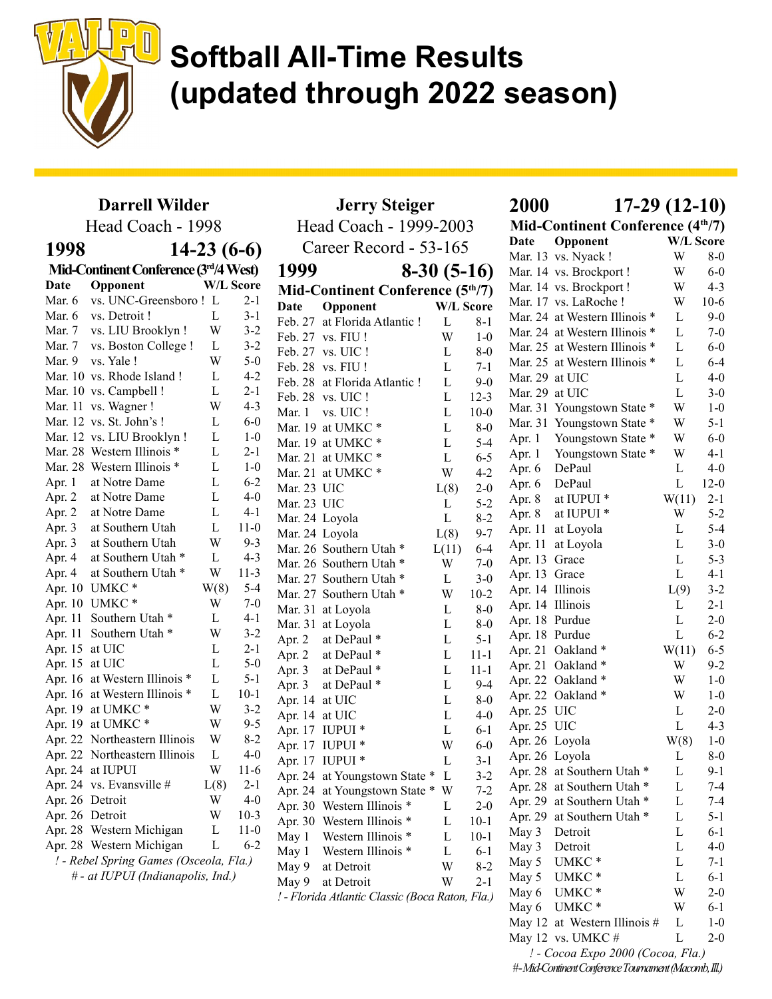

### Darrell Wilder

| Head Coach - 1998 | Hea                                    |                  |         |                    |
|-------------------|----------------------------------------|------------------|---------|--------------------|
| 1998              |                                        | $14-23(6-6)$     |         | Ca                 |
|                   | Mid-Continent Conference (3rd/4 West)  |                  |         | 1999               |
| Date              | Opponent                               | <b>W/L Score</b> |         |                    |
| Mar. 6            | vs. UNC-Greensboro! L                  |                  | $2 - 1$ | Mid-C              |
| Mar. 6            | vs. Detroit !                          | L                | $3 - 1$ | Date               |
| Mar. 7            | vs. LIU Brooklyn !                     | W                | $3-2$   | Feb. 27            |
| Mar. 7            | vs. Boston College !                   | L                | $3 - 2$ | Feb. 27            |
| Mar. 9            | vs. Yale!                              | W                | $5-0$   | Feb. 27            |
|                   | Mar. 10 vs. Rhode Island !             | L                | $4 - 2$ | Feb. 28            |
|                   | Mar. 10 vs. Campbell !                 | L                | $2-1$   | Feb. 28            |
| Mar. 11           | vs. Wagner !                           | W                | $4 - 3$ | Feb. 28            |
| Mar. 12           | vs. St. John's !                       | L                | $6-0$   | Mar. 1             |
| Mar. 12           | vs. LIU Brooklyn !                     | L                | $1-0$   | Mar. 19            |
| Mar. 28           | Western Illinois *                     | L                | $2-1$   | Mar. 19            |
| Mar. 28           | Western Illinois *                     | L                | $1 - 0$ | Mar. 21<br>Mar. 21 |
| Apr. 1            | at Notre Dame                          | L                | $6 - 2$ |                    |
| Apr. 2            | at Notre Dame                          | L                | $4 - 0$ | Mar. 23            |
| Apr. 2            | at Notre Dame                          | L                | $4 - 1$ | Mar. 23            |
| Apr. 3            | at Southern Utah                       | L                | $11-0$  | Mar. 24            |
| Apr. 3            | at Southern Utah                       | W                | $9 - 3$ | Mar. 24            |
| Apr. 4            | at Southern Utah *                     | L                | $4 - 3$ | Mar. 26            |
| Apr. 4            | at Southern Utah *                     | W                | $11-3$  | Mar. 26<br>Mar. 27 |
| Apr. 10           | UMKC <sup>*</sup>                      | W(8)             | $5-4$   |                    |
| Apr. 10           | UMKC <sup>*</sup>                      | W                | $7-0$   | Mar. 27<br>Mar. 31 |
| Apr. 11           | Southern Utah <sup>*</sup>             | L                | 4-1     | Mar. 31            |
| Apr. 11           | Southern Utah <sup>*</sup>             | W                | $3 - 2$ |                    |
| Apr. 15           | at UIC                                 | L                | $2 - 1$ | Apr. 2             |
| Apr. 15           | at UIC                                 | L                | $5-0$   | Apr. 2             |
| Apr. 16           | at Western Illinois *                  | L                | $5-1$   | Apr. 3             |
| Apr. 16           | at Western Illinois *                  | L                | $10-1$  | Apr. 3             |
| Apr. 19           | at UMKC*                               | W                | $3-2$   | Apr. 14<br>Apr. 14 |
| Apr. 19           | at UMKC*                               | W                | $9 - 5$ | Apr. 17            |
| Apr. 22           | Northeastern Illinois                  | W                | $8-2$   | Apr. 17            |
| Apr. 22           | Northeastern Illinois                  | L                | $4 - 0$ | Apr. 17            |
|                   | Apr. 24 at IUPUI                       | W                | $11-6$  | Apr. 24            |
|                   | Apr. 24 vs. Evansville #               | L(8)             | $2 - 1$ | Apr. 24            |
| Apr. 26 Detroit   |                                        | W                | $4 - 0$ | Apr. 30            |
| Apr. 26 Detroit   |                                        | W                | $10-3$  | Apr. 30            |
|                   | Apr. 28 Western Michigan               | L                | $11-0$  | May 1              |
|                   | Apr. 28 Western Michigan               | L                | $6 - 2$ | May 1              |
|                   | ! - Rebel Spring Games (Osceola, Fla.) |                  |         | May 9              |
|                   | # - at IUPUI (Indianapolis, Ind.)      |                  |         | May 9              |
|                   |                                        |                  |         | $l$ $El$ ovid      |

|                | <b>Jerry Steiger</b>                            | <b>2000</b>  | $17-29(12-10)$ |                                  |                               |                  |          |
|----------------|-------------------------------------------------|--------------|----------------|----------------------------------|-------------------------------|------------------|----------|
|                | Head Coach - 1999-2003                          |              |                | Mid-Continent Conference (4th/7) |                               |                  |          |
|                | Career Record - 53-165                          |              |                | Date                             | Opponent                      | <b>W/L Score</b> |          |
|                |                                                 |              |                |                                  | Mar. 13 vs. Nyack !           | W                | $8-0$    |
| 1999           |                                                 | $8-30(5-16)$ |                |                                  | Mar. 14 vs. Brockport!        | W                | $6 - 0$  |
|                | Mid-Continent Conference $(5th/7)$              |              |                |                                  | Mar. 14 vs. Brockport!        | W                | $4 - 3$  |
| Date           | Opponent                                        |              | W/L Score      |                                  | Mar. 17 vs. LaRoche !         | W                | $10-6$   |
|                | Feb. 27 at Florida Atlantic!                    | L            | $8-1$          |                                  | Mar. 24 at Western Illinois * | L                | $9-0$    |
|                | Feb. 27 vs. FIU!                                | W            | $1-0$          |                                  | Mar. 24 at Western Illinois * | L                | $7-0$    |
|                | Feb. 27 vs. UIC!                                | L            | $8-0$          |                                  | Mar. 25 at Western Illinois * | L                | $6 - 0$  |
|                | Feb. 28 vs. FIU!                                | L            | $7-1$          |                                  | Mar. 25 at Western Illinois * | L                | $6 - 4$  |
|                | Feb. 28 at Florida Atlantic!                    | L            | $9-0$          | Mar. 29 at UIC                   |                               | L                | $4 - 0$  |
|                | Feb. 28 vs. UIC!                                | L            | $12 - 3$       | Mar. 29 at UIC                   |                               | L                | $3-0$    |
|                | Mar. $1$ vs. UIC !                              | L            | $10-0$         |                                  | Mar. 31 Youngstown State *    | W                | $1-0$    |
|                | Mar. 19 at UMKC*                                | L            | $8-0$          |                                  | Mar. 31 Youngstown State *    | W                | $5 - 1$  |
|                | Mar. 19 at UMKC <sup>*</sup>                    | L            | $5 - 4$        |                                  | Apr. 1 Youngstown State *     | W                | $6-0$    |
|                | Mar. 21 at UMKC *                               | L            | $6-5$          |                                  | Apr. 1 Youngstown State *     | W                | $4-1$    |
|                | Mar. 21 at UMKC $*$                             | W            | $4 - 2$        | Apr. 6 DePaul                    |                               | L                | $4 - 0$  |
| Mar. 23 UIC    |                                                 | L(8)         | $2 - 0$        | Apr. 6 DePaul                    |                               | $\mathbf{L}$     | $12 - 0$ |
| Mar. 23 UIC    |                                                 | L            | $5 - 2$        |                                  | Apr. 8 at IUPUI *             | W(11)            | $2 - 1$  |
|                | Mar. 24 Loyola                                  | L            | $8 - 2$        | Apr. 8                           | at IUPUI <sup>*</sup>         | W                | $5 - 2$  |
|                | Mar. 24 Loyola                                  | L(8)         | $9 - 7$        |                                  | Apr. 11 at Loyola             | L                | $5 - 4$  |
|                | Mar. 26 Southern Utah *                         | L(11)        | $6 - 4$        |                                  | Apr. 11 at Loyola             | L                | $3-0$    |
|                | Mar. 26 Southern Utah *                         | W            | $7-0$          | Apr. 13 Grace                    |                               | L                | $5 - 3$  |
|                | Mar. 27 Southern Utah *                         | L            | $3-0$          | Apr. 13 Grace                    |                               | L                | $4 - 1$  |
|                | Mar. 27 Southern Utah *                         | W            | $10-2$         | Apr. 14 Illinois                 |                               | L(9)             | $3 - 2$  |
|                | Mar. 31 at Loyola                               | L            | $8-0$          | Apr. 14 Illinois                 |                               | L                | $2 - 1$  |
|                | Mar. 31 at Loyola                               | L            | $8-0$          | Apr. 18 Purdue                   |                               | L                | $2 - 0$  |
| Apr. 2         | at DePaul *                                     | L            | $5 - 1$        | Apr. 18 Purdue                   |                               | $\mathbf{L}$     | $6 - 2$  |
| Apr. 2         | at DePaul *                                     | L            | $11 - 1$       |                                  | Apr. 21 Oakland *             | W(11)            | $6 - 5$  |
| Apr. 3         | at DePaul *                                     | L            | $11 - 1$       |                                  | Apr. 21 Oakland *             | W                | $9 - 2$  |
| Apr. 3         | at DePaul *                                     | L            | $9 - 4$        |                                  | Apr. 22 Oakland *             | W                | $1 - 0$  |
| Apr. 14 at UIC |                                                 | L            | $8-0$          |                                  | Apr. 22 Oakland *             | W                | $1 - 0$  |
| Apr. 14 at UIC |                                                 | L            | $4 - 0$        | Apr. 25 UIC                      |                               | L                | $2 - 0$  |
|                | Apr. 17 IUPUI *                                 | L            | $6-1$          | Apr. 25 UIC                      |                               | $\mathbf{L}$     | $4 - 3$  |
|                | Apr. 17 IUPUI *                                 | W            | $6-0$          | Apr. 26 Loyola                   |                               | W(8)             | $1-0$    |
|                | Apr. 17 IUPUI *                                 | L            | $3 - 1$        | Apr. 26 Loyola                   |                               | L                | $8-0$    |
|                | Apr. 24 at Youngstown State *                   | L            | $3 - 2$        |                                  | Apr. 28 at Southern Utah *    | L                | $9 - 1$  |
|                | Apr. 24 at Youngstown State *                   | W            | $7 - 2$        |                                  | Apr. 28 at Southern Utah *    | L                | $7-4$    |
|                | Apr. 30 Western Illinois *                      | L            | $2 - 0$        |                                  | Apr. 29 at Southern Utah *    | L                | 7-4      |
|                | Apr. 30 Western Illinois *                      | L            | $10-1$         |                                  | Apr. 29 at Southern Utah *    | L                | $5 - 1$  |
| May 1          | Western Illinois *                              | L            | $10 - 1$       | May 3                            | Detroit                       | L                | $6 - 1$  |
| May 1          | Western Illinois *                              | L            | $6 - 1$        | May 3                            | Detroit                       | L                | $4 - 0$  |
| May 9          | at Detroit                                      | W            | $8 - 2$        | May 5                            | UMKC <sup>*</sup>             | L                | $7-1$    |
| May 9          | at Detroit                                      | W            | $2-1$          | May 5                            | UMKC <sup>*</sup>             | L                | $6 - 1$  |
|                | ! - Florida Atlantic Classic (Boca Raton, Fla.) |              |                | May 6                            | UMKC <sup>*</sup>             | W                | $2 - 0$  |

Date Opponent W/L Score Mar. 13 vs. Nyack ! W 8-0 Mar. 14 vs. Brockport ! W 6-0 Mar. 14 vs. Brockport ! W 4-3 Mar. 17 vs. LaRoche ! W 10-6 Mar. 24 at Western Illinois  $*$  L 9-0 Mar. 24 at Western Illinois \* L 7-0 Mar. 25 at Western Illinois \* L 6-0 Mar. 25 at Western Illinois \* L 6-4 Mar.  $29$  at UIC L 4-0 Mar. 29 at UIC  $\qquad \qquad$  L 3-0 Mar. 31 Youngstown State \* W 1-0 Mar. 31 Youngstown State \* W 5-1 Apr. 1 Youngstown State \* W 6-0 Apr. 1 Youngstown State \* W 4-1 Apr. 6 DePaul L 4-0 Apr. 6 DePaul L 12-0 Apr. 8 at IUPUI  $*$  W(11) 2-1 Apr. 8 at IUPUI  $*$  W 5-2 Apr. 11 at Loyola L 5-4 Apr. 11 at Loyola L 3-0 Apr. 13 Grace L 5-3 Apr. 13 Grace L 4-1 Apr. 14 Illinois L(9) 3-2 Apr. 14 Illinois L 2-1 Apr. 18 Purdue L 2-0 Apr. 18 Purdue L 6-2 Apr. 21 Oakland \* W(11) 6-5 Apr. 21 Oakland \* W 9-2 Apr. 22 Oakland \* W 1-0 Apr. 22 Oakland \* W 1-0 Apr. 25 UIC L 2-0 Apr. 25 UIC L 4-3 Apr. 26 Loyola W(8) 1-0 Apr. 26 Loyola L 8-0 Apr. 28 at Southern Utah \* L 9-1 Apr. 28 at Southern Utah \* L 7-4 Apr. 29 at Southern Utah \* L 7-4 Apr. 29 at Southern Utah \* L 5-1 May 3 Detroit L 6-1 May 3 Detroit L 4-0 May 5 UMKC  $*$  L 7-1 May 5 UMKC  $*$  L 6-1 May 6 UMKC  $*$  W 2-0 May 6 UMKC \* W 6-1 May 12 at Western Illinois  $\#$  L 1-0 May 12 vs. UMKC  $\#$  L 2-0 ! - Cocoa Expo 2000 (Cocoa, Fla.)

# - Mid-Continent Conference Tournament (Macomb, Ill.)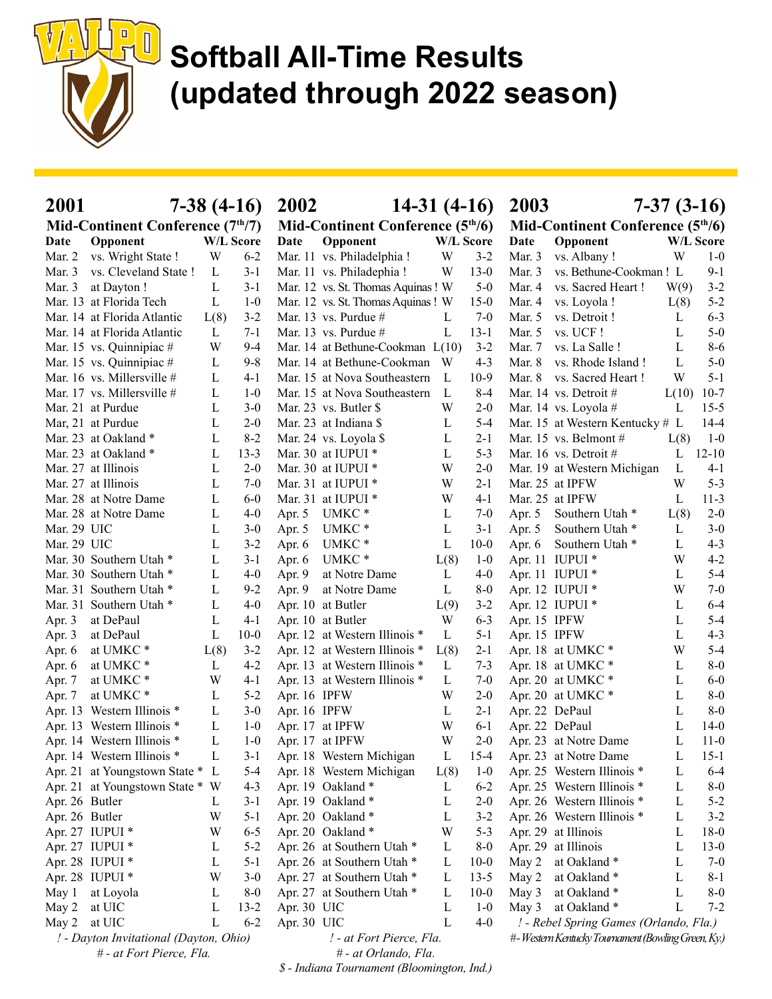

| <b>2001</b>    |                                                                    |        | $7-38(4-16)$   | 2002                               | $14-31(4-16)$                                            |        |                                    | 2003           |                                                    | $7-37(3-16)$ |                  |
|----------------|--------------------------------------------------------------------|--------|----------------|------------------------------------|----------------------------------------------------------|--------|------------------------------------|----------------|----------------------------------------------------|--------------|------------------|
|                | Mid-Continent Conference (7 <sup>th</sup> /7)                      |        |                | Mid-Continent Conference $(5th/6)$ |                                                          |        | Mid-Continent Conference $(5th/6)$ |                |                                                    |              |                  |
| Date           | Opponent                                                           |        | W/L Score      | Date                               | Opponent                                                 |        | <b>W/L Score</b>                   | Date           | Opponent                                           |              | <b>W/L Score</b> |
| Mar. 2         | vs. Wright State !                                                 | W      | $6 - 2$        |                                    | Mar. 11 vs. Philadelphia !                               | W      | $3 - 2$                            | Mar. $3$       | vs. Albany!                                        | W            | $1-0$            |
| Mar. 3         | vs. Cleveland State !                                              | L      | $3-1$          |                                    | Mar. 11 vs. Philadephia!                                 | W      | $13-0$                             | Mar. 3         | vs. Bethune-Cookman! L                             |              | $9-1$            |
| Mar. 3         | at Dayton !                                                        | L      | $3-1$          |                                    | Mar. 12 vs. St. Thomas Aquinas! W                        |        | $5-0$                              | Mar. 4         | vs. Sacred Heart!                                  | W(9)         | $3 - 2$          |
|                | Mar. 13 at Florida Tech                                            | L      | $1-0$          |                                    | Mar. 12 vs. St. Thomas Aquinas! W                        |        | $15-0$                             | Mar. 4         | vs. Loyola !                                       | L(8)         | $5 - 2$          |
|                | Mar. 14 at Florida Atlantic                                        | L(8)   | $3 - 2$        |                                    | Mar. 13 vs. Purdue $#$                                   | L      | $7-0$                              | Mar. $5$       | vs. Detroit !                                      | L            | $6 - 3$          |
|                | Mar. 14 at Florida Atlantic                                        | L      | $7-1$          |                                    | Mar. 13 vs. Purdue $#$                                   | L      | $13 - 1$                           | Mar. 5         | vs. UCF!                                           | L            | $5-0$            |
|                | Mar. 15 vs. Quinnipiac #                                           | W      | 9-4            |                                    | Mar. 14 at Bethune-Cookman L(10)                         |        | $3 - 2$                            | Mar. 7         | vs. La Salle!                                      | L            | $8 - 6$          |
|                | Mar. 15 vs. Quinnipiac #                                           | L      | $9 - 8$        |                                    | Mar. 14 at Bethune-Cookman                               | W      | $4 - 3$                            | Mar. 8         | vs. Rhode Island!                                  | L            | $5-0$            |
|                | Mar. 16 vs. Millersville #                                         | L      | $4-1$          |                                    | Mar. 15 at Nova Southeastern                             | L      | $10-9$                             | Mar. 8         | vs. Sacred Heart!                                  | W            | $5 - 1$          |
|                | Mar. 17 vs. Millersville #                                         | L      | $1-0$          |                                    | Mar. 15 at Nova Southeastern                             | L      | $8-4$                              |                | Mar. 14 vs. Detroit #                              | L(10)        | $10-7$           |
|                | Mar. 21 at Purdue                                                  | L      | $3-0$          |                                    | Mar. 23 vs. Butler \$                                    | W      | $2 - 0$                            |                | Mar. 14 vs. Loyola #                               | L            | $15 - 5$         |
|                | Mar, 21 at Purdue                                                  | L      | $2 - 0$        |                                    | Mar. 23 at Indiana \$                                    | L      | $5 - 4$                            |                | Mar. 15 at Western Kentucky # L                    |              | $14-4$           |
|                | Mar. 23 at Oakland *                                               | L      | $8 - 2$        |                                    | Mar. 24 vs. Loyola \$                                    | L      | $2 - 1$                            |                | Mar. 15 vs. Belmont $#$                            | L(8)         | $1-0$            |
|                | Mar. 23 at Oakland *                                               | L      | $13 - 3$       |                                    | Mar. 30 at IUPUI *                                       | L      | $5 - 3$                            |                | Mar. 16 vs. Detroit #                              | L            | $12 - 10$        |
|                | Mar. 27 at Illinois                                                | L      | $2 - 0$        |                                    | Mar. 30 at IUPUI *                                       | W      | $2 - 0$                            |                | Mar. 19 at Western Michigan                        | L            | $4 - 1$          |
|                | Mar. 27 at Illinois                                                | L      | $7-0$          |                                    | Mar. 31 at IUPUI *                                       | W      | $2 - 1$                            |                | Mar. 25 at IPFW                                    | W            | $5 - 3$          |
|                | Mar. 28 at Notre Dame                                              | L      | $6-0$          |                                    | Mar. 31 at IUPUI *                                       | W      | $4-1$                              |                | Mar. 25 at IPFW                                    | L            | $11-3$           |
|                | Mar. 28 at Notre Dame                                              | L      | $4-0$          | Apr. 5                             | UMKC <sup>*</sup>                                        | L      | $7-0$                              | Apr. 5         | Southern Utah <sup>*</sup>                         | L(8)         | $2 - 0$          |
| Mar. 29 UIC    |                                                                    | L      | $3-0$          | Apr. 5                             | UMKC <sup>*</sup>                                        | L      | $3 - 1$                            | Apr. $5$       | Southern Utah *                                    | L            | $3-0$            |
| Mar. 29 UIC    |                                                                    | L      | $3 - 2$        | Apr. 6                             | UMKC <sup>*</sup>                                        | L      | $10-0$                             | Apr. 6         | Southern Utah <sup>*</sup>                         | L            | $4 - 3$          |
|                | Mar. 30 Southern Utah *                                            | L      | $3-1$          | Apr. $6$                           | UMKC <sup>*</sup>                                        | L(8)   | $1-0$                              |                | Apr. 11 IUPUI *                                    | W            | $4 - 2$          |
|                | Mar. 30 Southern Utah *                                            | L      | $4-0$          | Apr. 9                             | at Notre Dame                                            | L      | $4 - 0$                            |                | Apr. 11 IUPUI *                                    | L            | $5 - 4$          |
|                | Mar. 31 Southern Utah *                                            | L      | $9 - 2$        | Apr. 9                             | at Notre Dame                                            | L      | $8-0$                              |                | Apr. 12 IUPUI *                                    | W            | $7-0$            |
|                | Mar. 31 Southern Utah *                                            | L      | $4-0$          |                                    | Apr. 10 at Butler                                        | L(9)   | $3 - 2$                            |                | Apr. 12 IUPUI *                                    | L            | $6 - 4$          |
| Apr. 3         | at DePaul                                                          | L      | $4-1$          |                                    | Apr. 10 at Butler                                        | W      | $6 - 3$                            | Apr. 15 IPFW   |                                                    | L            | $5 - 4$          |
| Apr. 3         | at DePaul                                                          | L      | $10-0$         |                                    | Apr. 12 at Western Illinois *                            | L      | $5 - 1$                            | Apr. 15 IPFW   |                                                    | L            | $4 - 3$          |
| Apr. 6         | at UMKC <sup>*</sup>                                               | L(8)   | $3 - 2$        |                                    | Apr. 12 at Western Illinois *                            | L(8)   | $2 - 1$                            |                | Apr. 18 at UMKC $*$                                | W            | $5 - 4$          |
| Apr. 6         | at UMKC*                                                           | L      | $4 - 2$        |                                    | Apr. 13 at Western Illinois *                            | L      | $7 - 3$                            |                | Apr. 18 at UMKC *                                  | L            | $8-0$            |
| Apr. 7         | at UMKC <sup>*</sup>                                               | W      | $4-1$          |                                    | Apr. 13 at Western Illinois *                            | L      | $7-0$                              |                | Apr. 20 at UMKC *                                  | L            | $6-0$            |
| Apr. 7         | at UMKC <sup>*</sup>                                               | L      | $5 - 2$        | Apr. 16 IPFW                       |                                                          | W      | $2 - 0$                            |                | Apr. 20 at UMKC *                                  | L            | $8-0$            |
|                | Apr. 13 Western Illinois *                                         | L      | $3-0$          | Apr. 16 IPFW                       |                                                          | L      | $2-1$                              | Apr. 22 DePaul |                                                    | L            | $8-0$            |
|                | Apr. 13 Western Illinois *                                         | L      | $1-0$          |                                    | Apr. 17 at IPFW                                          | W      | $6-1$                              | Apr. 22 DePaul |                                                    | L            | $14-0$           |
|                | Apr. 14 Western Illinois *                                         | L      | $1-0$          |                                    | Apr. 17 at IPFW                                          | W      | $2 - 0$                            |                | Apr. 23 at Notre Dame                              | L            | $11 - 0$         |
|                | Apr. 14 Western Illinois *                                         |        | $3-1$          |                                    | Apr. 18 Western Michigan                                 | L      | $15-4$                             |                | Apr. 23 at Notre Dame                              | L            | $15-1$           |
|                | Apr. 21 at Youngstown State * L                                    |        | 5-4            |                                    | Apr. 18 Western Michigan                                 | L(8)   | $1-0$                              |                | Apr. 25 Western Illinois *                         | L            | $6-4$            |
|                | Apr. 21 at Youngstown State * W                                    |        | $4 - 3$        |                                    | Apr. 19 Oakland *                                        | L      | $6 - 2$                            |                | Apr. 25 Western Illinois *                         | L            | $8-0$            |
| Apr. 26 Butler |                                                                    |        |                |                                    | Apr. 19 Oakland *                                        | L      | $2 - 0$                            |                | Apr. 26 Western Illinois *                         | L            | $5 - 2$          |
|                |                                                                    | L<br>W | $3-1$<br>$5-1$ |                                    | Apr. 20 Oakland *                                        | L      | $3 - 2$                            |                | Apr. 26 Western Illinois *                         | L            | $3-2$            |
| Apr. 26 Butler |                                                                    |        |                |                                    | Apr. 20 Oakland *                                        | W      | $5 - 3$                            |                |                                                    |              |                  |
|                | Apr. 27 IUPUI *                                                    | W      | $6 - 5$        |                                    | Apr. 26 at Southern Utah *                               |        | $8-0$                              |                | Apr. 29 at Illinois<br>Apr. 29 at Illinois         | L<br>L       | $18-0$<br>$13-0$ |
|                | Apr. 27 IUPUI *                                                    | L      | $5-2$          |                                    | Apr. 26 at Southern Utah *                               | L<br>L |                                    |                |                                                    | L            | $7-0$            |
|                | Apr. 28 IUPUI *                                                    | L      | $5-1$          |                                    |                                                          |        | $10-0$                             | May 2          | at Oakland *                                       |              |                  |
|                | Apr. 28 IUPUI *                                                    | W      | $3-0$          |                                    | Apr. 27 at Southern Utah *<br>Apr. 27 at Southern Utah * | L      | $13-5$                             | May 2          | at Oakland *                                       | L            | 8-1              |
| May 1          | at Loyola                                                          | L      | $8-0$          |                                    |                                                          | L      | $10-0$                             | May 3          | at Oakland *                                       | L            | $8-0$<br>$7 - 2$ |
| May 2          | at UIC                                                             | L      | $13-2$         | Apr. 30 UIC                        |                                                          | L<br>L | $1-0$                              | May 3          | at Oakland*                                        | L            |                  |
| May 2          | at UIC                                                             | L      | $6 - 2$        | Apr. 30 UIC                        |                                                          |        | $4 - 0$                            |                | ! - Rebel Spring Games (Orlando, Fla.)             |              |                  |
|                | ! - Dayton Invitational (Dayton, Ohio)<br># - at Fort Pierce, Fla. |        |                |                                    | ! - at Fort Pierce, Fla.<br># - at Orlando, Fla.         |        |                                    |                | #-Western Kentucky Tournament (Bowling Green, Ky.) |              |                  |

\$ - Indiana Tournament (Bloomington, Ind.)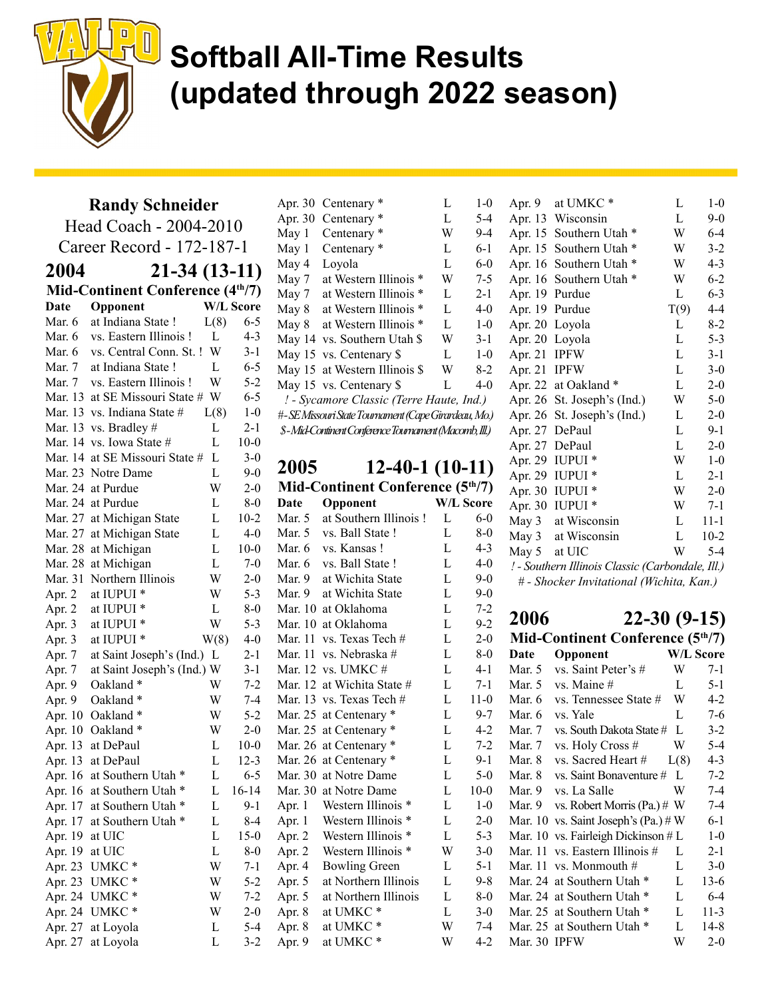

#### Randy Schneider

Head Coach - 2004-2010 Career Record - 172-187-1 2004 21-34 (13-11) Mid-Continent Conference (4<sup>th</sup>/7) Date Opponent W/L Score Mar. 6 at Indiana State ! L(8) 6-5 Mar. 6 vs. Eastern Illinois ! L 4-3 Mar. 6 vs. Central Conn. St. ! W 3-1 Mar. 7 at Indiana State ! L 6-5 Mar. 7 vs. Eastern Illinois ! W 5-2 Mar. 13 at SE Missouri State  $\# W$  6-5 Mar. 13 vs. Indiana State  $\#$  L(8) 1-0 Mar. 13 vs. Bradley  $\#$  L 2-1 Mar. 14 vs. Iowa State  $\#$  L 10-0 Mar. 14 at SE Missouri State  $\#$  L 3-0 Mar. 23 Notre Dame L 9-0 Mar. 24 at Purdue W 2-0 Mar. 24 at Purdue L 8-0 Mar. 27 at Michigan State L 10-2 Mar. 27 at Michigan State L 4-0 Mar. 28 at Michigan L 10-0 Mar. 28 at Michigan L 7-0 Mar. 31 Northern Illinois W 2-0 Apr. 2 at IUPUI  $*$  W 5-3 Apr. 2 at IUPUI  $*$  L 8-0 Apr. 3 at IUPUI  $*$  W 5-3 Apr. 3 at IUPUI  $*$  W(8) 4-0 Apr. 7 at Saint Joseph's (Ind.) L 2-1 Apr. 7 at Saint Joseph's (Ind.) W 3-1 Apr. 9 Oakland  $*$  W 7-2 Apr. 9 Oakland  $*$  W 7-4 Apr. 10 Oakland \* W 5-2 Apr. 10 Oakland  $*$  W 2-0 Apr. 13 at DePaul L 10-0 Apr. 13 at DePaul L 12-3 Apr. 16 at Southern Utah \* L 6-5 Apr. 16 at Southern Utah \* L 16-14 Apr. 17 at Southern Utah \* L 9-1 Apr. 17 at Southern Utah \* L 8-4 Apr. 19 at UIC L 15-0 Apr. 19 at UIC L 8-0 Apr. 23 UMKC \* W 7-1 Apr. 23 UMKC \* W 5-2 Apr. 24 UMKC \* W 7-2 Apr. 24 UMKC \* W 2-0 Apr. 27 at Loyola L 5-4 Apr. 27 at Loyola L 3-2 Apr. 8 at UMKC  $*$  W 7 Apr. 9 at UMKC  $*$  W 4

|       | Apr. 30 Centenary *                                   | L | $1-0$   | Apr. 9         | at UMKC <sup>*</sup>     |
|-------|-------------------------------------------------------|---|---------|----------------|--------------------------|
|       | Apr. 30 Centenary *                                   | L | $5 - 4$ |                | Apr. 13 Wisconsin        |
| May 1 | Centenary <sup>*</sup>                                | W | $9-4$   |                | Apr. 15 Southern Utah    |
| May 1 | Centenary *                                           | L | $6-1$   |                | Apr. 15 Southern Utah    |
| May 4 | Loyola                                                | L | $6-0$   |                | Apr. 16 Southern Utah    |
|       | May 7 at Western Illinois *                           | W | $7-5$   |                | Apr. 16 Southern Utah    |
|       | May 7 at Western Illinois *                           | L | $2 - 1$ | Apr. 19 Purdue |                          |
|       | May 8 at Western Illinois *                           | L | $4 - 0$ | Apr. 19 Purdue |                          |
| May 8 | at Western Illinois *                                 | L | $1-0$   |                | Apr. 20 Loyola           |
|       | May 14 vs. Southern Utah \$                           | W | $3-1$   |                | Apr. 20 Loyola           |
|       | May 15 vs. Centenary \$                               | L | $1-0$   | Apr. 21 IPFW   |                          |
|       | May 15 at Western Illinois \$                         | W | $8-2$   | Apr. 21 IPFW   |                          |
|       | May 15 vs. Centenary \$                               | L | $4-0$   |                | Apr. 22 at Oakland *     |
|       | ! - Sycamore Classic (Terre Haute, Ind.)              |   |         |                | Apr. 26 St. Joseph's (In |
|       | #-SEMissouri State Tournament (Cape Girardeau, Mo.)   |   |         |                | Apr. 26 St. Joseph's (In |
|       | \$-Mid-Continent Conference Tournament (Macomb, Ill.) |   |         |                | Apr. 27 DePaul           |
|       |                                                       |   |         |                | Apr. 27 DePaul           |
| ጎሰሰሮ  | 19 10 1 110 111                                       |   |         |                | Apr. 29 IUPUI *          |

2005 12-40-1 (10-11) Mid-Continent Conference (5<sup>th</sup>/7) Date Opponent W/L Score Mar. 5 at Southern Illinois ! L 6-0 Mar. 5 vs. Ball State ! L 8-0 Mar. 6 vs. Kansas ! L 4-3 Mar. 6 vs. Ball State ! L 4-0 Mar. 9 at Wichita State L 9-0 Mar. 9 at Wichita State L 9-0 Mar. 10 at Oklahoma L 7-2 Mar. 10 at Oklahoma L 9-2 Mar. 11 vs. Texas Tech  $#$  L 2-Mar. 11 vs. Nebraska  $\#$  L 8 Mar. 12 vs. UMKC  $\#$  L 4 Mar. 12 at Wichita State  $\#$  L 7 Mar. 13 vs. Texas Tech  $\#$  L 11 Mar. 25 at Centenary \* L 9 Mar. 25 at Centenary \* L 4 Mar. 26 at Centenary \* L 7 Mar. 26 at Centenary \* L 9 Mar. 30 at Notre Dame L 5 Mar. 30 at Notre Dame L 10 Apr. 1 Western Illinois \* L 1 Apr. 1 Western Illinois \* L 2 Apr. 2 Western Illinois \* L 5 Apr. 2 Western Illinois \* W 3 Apr. 4 Bowling Green L 5 Apr. 5 at Northern Illinois L 9 Apr. 5 at Northern Illinois L 8 Apr. 8 at UMKC  $*$  L 3

| Apr. 9         | at UMKC*                                         | L    | $1-0$    |
|----------------|--------------------------------------------------|------|----------|
|                | Apr. 13 Wisconsin                                | L    | $9 - 0$  |
|                | Apr. 15 Southern Utah *                          | W    | $6-4$    |
|                | Apr. 15 Southern Utah                            | W    | $3 - 2$  |
|                | Apr. 16 Southern Utah *                          | W    | $4 - 3$  |
|                | Apr. 16 Southern Utah *                          | W    | $6 - 2$  |
| Apr. 19 Purdue |                                                  | L    | $6 - 3$  |
| Apr. 19 Purdue |                                                  | T(9) | $4 - 4$  |
| Apr. 20 Loyola |                                                  | L    | $8 - 2$  |
| Apr. 20 Loyola |                                                  | L    | $5 - 3$  |
| Apr. 21 IPFW   |                                                  | L    | $3 - 1$  |
| Apr. 21 IPFW   |                                                  | L    | $3-0$    |
|                | Apr. 22 at Oakland *                             | L    | $2 - 0$  |
|                | Apr. 26 St. Joseph's (Ind.)                      | W    | $5-0$    |
|                | Apr. 26 St. Joseph's (Ind.)                      | L    | $2 - 0$  |
|                | Apr. 27 DePaul                                   | L    | $9-1$    |
|                | Apr. 27 DePaul                                   | L    | $2 - 0$  |
|                | Apr. 29 IUPUI *                                  | W    | $1 - 0$  |
|                | Apr. 29 IUPUI *                                  | L    | $2-1$    |
|                | Apr. 30 IUPUI *                                  | W    | $2 - 0$  |
|                | Apr. 30 IUPUI *                                  | W    | $7-1$    |
|                | May 3 at Wisconsin                               | L    | $11 - 1$ |
|                | May 3 at Wisconsin                               | L    | $10 - 2$ |
| May 5 at UIC   |                                                  | W    | 5-4      |
|                | ! - Southern Illinois Classic (Carbondale, Ill.) |      |          |

# - Shocker Invitational (Wichita, Kan.)

### 2006 22-30 (9-15)

| $-0$ |              | Mid-Continent Conference (5th/7)       |      |                  |
|------|--------------|----------------------------------------|------|------------------|
| $-0$ | Date         | Opponent                               |      | <b>W/L Score</b> |
| -1   | Mar. 5       | vs. Saint Peter's #                    | W    | $7-1$            |
| $-1$ | Mar. 5       | vs. Maine #                            | L    | $5 - 1$          |
| $-0$ | Mar. 6       | vs. Tennessee State #                  | W    | $4-2$            |
| $-7$ | Mar. 6       | vs. Yale                               | L    | $7-6$            |
| $-2$ | Mar. 7       | vs. South Dakota State # L             |      | $3 - 2$          |
| $-2$ | Mar. 7       | vs. Holy Cross #                       | W    | $5-4$            |
| $-1$ | Mar. 8       | vs. Sacred Heart #                     | L(8) | $4 - 3$          |
| $-0$ | Mar. 8       | vs. Saint Bonaventure #                | L    | $7 - 2$          |
| $-0$ | Mar. 9       | vs. La Salle                           | W    | $7 - 4$          |
| $-0$ | Mar. 9       | vs. Robert Morris (Pa.) $# W$          |      | $7-4$            |
| :-0  |              | Mar. 10 vs. Saint Joseph's (Pa.) $# W$ |      | $6 - 1$          |
| $-3$ |              | Mar. 10 vs. Fairleigh Dickinson $#L$   |      | $1-0$            |
| $-0$ |              | Mar. 11 vs. Eastern Illinois #         | L    | $2 - 1$          |
| $-1$ |              | Mar. 11 vs. Monmouth #                 | L    | $3-0$            |
| $-8$ |              | Mar. 24 at Southern Utah *             | L    | 13-6             |
| $-0$ |              | Mar. 24 at Southern Utah *             | L    | $6 - 4$          |
| $-0$ |              | Mar. 25 at Southern Utah *             | L    | $11-3$           |
| $-4$ |              | Mar. 25 at Southern Utah *             | L    | 14-8             |
| -2   | Mar. 30 IPFW |                                        | W    | $2 - 0$          |
|      |              |                                        |      |                  |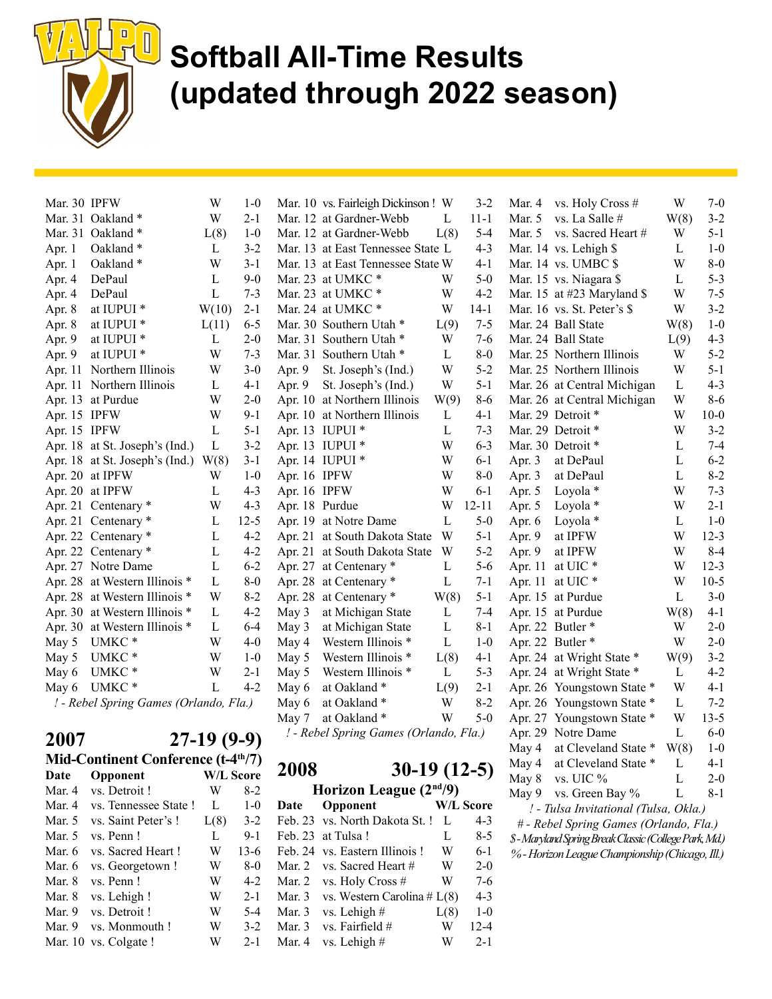

| Apr. 1<br>Apr. 1<br>Apr. 4<br>Apr. 4<br>Apr. 8<br>Apr. 8<br>Apr. 9<br>Apr. 9<br>Apr. 11<br>May 5<br>May 5<br>May 6<br>May 6 | Apr. 22 Centenary *<br>Apr. 27 Notre Dame<br>Apr. 28 at Western Illinois *<br>Apr. 28 at Western Illinois *<br>Apr. 30 at Western Illinois *<br>Apr. 30 at Western Illinois *<br>UMKC *<br>UMKC <sup>*</sup><br>UMKC*<br>UMKC*<br>! - Rebel Spring Games (Orlando, Fla.) | L<br>L<br>L<br>W<br>L<br>L<br>W<br>W<br>W<br>L | $4 - 2$<br>$6 - 2$<br>$8-0$<br>$8-2$<br>$4-2$<br>$6-4$<br>$4-0$<br>$1-0$<br>$2 - 1$<br>$4 - 2$ | May 3<br>May 3<br>May 4<br>May 5<br>May 5<br>May 6<br>May 6<br>May 7 | Apr. 21 at South Dakota State<br>Apr. 27 at Centenary *<br>Apr. 28 at Centenary *<br>Apr. 28 at Centenary *<br>at Michigan State<br>at Michigan State<br>Western Illinois *<br>Western Illinois *<br>Western Illinois *<br>at Oakland *<br>at Oakland*<br>at Oakland *<br>! - Rebel Spring Games (Orlando, Fla.) | W<br>L<br>L<br>W(8)<br>L<br>L<br>L<br>L(8)<br>L<br>L(9)<br>W<br>W | $5 - 2$<br>$5 - 6$<br>$7 - 1$<br>$5 - 1$<br>$7 - 4$<br>$8 - 1$<br>$1 - 0$<br>4-1<br>$5 - 3$<br>$2 - 1$<br>$8 - 2$<br>$5-0$ | Apr. 9<br>Apr. 11 | at IPFW<br>at UIC <sup>*</sup><br>Apr. 11 at UIC *<br>Apr. 15 at Purdue<br>Apr. 15 at Purdue<br>Apr. 22 Butler *<br>Apr. 22 Butler*<br>Apr. 24 at Wright State *<br>Apr. 24 at Wright State *<br>Apr. 26 Youngstown State *<br>Apr. 26 Youngstown State *<br>Apr. 27 Youngstown State *<br>Apr. 29 Notre Dame | W<br>W<br>W<br>L<br>W(8)<br>W<br>W<br>W(9)<br>L<br>W<br>L<br>W<br>L | $8 - 4$<br>$12 - 3$<br>$10-5$<br>$3 - 0$<br>$4-1$<br>$2 - 0$<br>$2 - 0$<br>$3 - 2$<br>$4 - 2$<br>$4-1$<br>$7 - 2$<br>$13 - 5$<br>$6-0$ |
|-----------------------------------------------------------------------------------------------------------------------------|--------------------------------------------------------------------------------------------------------------------------------------------------------------------------------------------------------------------------------------------------------------------------|------------------------------------------------|------------------------------------------------------------------------------------------------|----------------------------------------------------------------------|------------------------------------------------------------------------------------------------------------------------------------------------------------------------------------------------------------------------------------------------------------------------------------------------------------------|-------------------------------------------------------------------|----------------------------------------------------------------------------------------------------------------------------|-------------------|---------------------------------------------------------------------------------------------------------------------------------------------------------------------------------------------------------------------------------------------------------------------------------------------------------------|---------------------------------------------------------------------|----------------------------------------------------------------------------------------------------------------------------------------|
|                                                                                                                             |                                                                                                                                                                                                                                                                          |                                                |                                                                                                |                                                                      |                                                                                                                                                                                                                                                                                                                  |                                                                   |                                                                                                                            |                   |                                                                                                                                                                                                                                                                                                               |                                                                     |                                                                                                                                        |
|                                                                                                                             |                                                                                                                                                                                                                                                                          |                                                |                                                                                                |                                                                      |                                                                                                                                                                                                                                                                                                                  |                                                                   |                                                                                                                            |                   |                                                                                                                                                                                                                                                                                                               |                                                                     |                                                                                                                                        |
|                                                                                                                             |                                                                                                                                                                                                                                                                          |                                                |                                                                                                |                                                                      |                                                                                                                                                                                                                                                                                                                  |                                                                   |                                                                                                                            |                   |                                                                                                                                                                                                                                                                                                               |                                                                     |                                                                                                                                        |
|                                                                                                                             |                                                                                                                                                                                                                                                                          |                                                |                                                                                                |                                                                      |                                                                                                                                                                                                                                                                                                                  |                                                                   |                                                                                                                            |                   |                                                                                                                                                                                                                                                                                                               |                                                                     |                                                                                                                                        |
|                                                                                                                             |                                                                                                                                                                                                                                                                          |                                                |                                                                                                |                                                                      |                                                                                                                                                                                                                                                                                                                  |                                                                   |                                                                                                                            |                   |                                                                                                                                                                                                                                                                                                               |                                                                     |                                                                                                                                        |
|                                                                                                                             |                                                                                                                                                                                                                                                                          |                                                |                                                                                                |                                                                      |                                                                                                                                                                                                                                                                                                                  |                                                                   |                                                                                                                            |                   |                                                                                                                                                                                                                                                                                                               |                                                                     |                                                                                                                                        |
|                                                                                                                             |                                                                                                                                                                                                                                                                          |                                                |                                                                                                |                                                                      |                                                                                                                                                                                                                                                                                                                  |                                                                   |                                                                                                                            |                   |                                                                                                                                                                                                                                                                                                               |                                                                     |                                                                                                                                        |
|                                                                                                                             |                                                                                                                                                                                                                                                                          |                                                |                                                                                                |                                                                      |                                                                                                                                                                                                                                                                                                                  |                                                                   |                                                                                                                            |                   |                                                                                                                                                                                                                                                                                                               |                                                                     |                                                                                                                                        |
|                                                                                                                             |                                                                                                                                                                                                                                                                          |                                                |                                                                                                |                                                                      |                                                                                                                                                                                                                                                                                                                  |                                                                   |                                                                                                                            |                   |                                                                                                                                                                                                                                                                                                               |                                                                     |                                                                                                                                        |
|                                                                                                                             |                                                                                                                                                                                                                                                                          |                                                |                                                                                                |                                                                      |                                                                                                                                                                                                                                                                                                                  |                                                                   |                                                                                                                            |                   |                                                                                                                                                                                                                                                                                                               |                                                                     |                                                                                                                                        |
|                                                                                                                             |                                                                                                                                                                                                                                                                          |                                                |                                                                                                |                                                                      |                                                                                                                                                                                                                                                                                                                  |                                                                   |                                                                                                                            |                   |                                                                                                                                                                                                                                                                                                               |                                                                     |                                                                                                                                        |
|                                                                                                                             |                                                                                                                                                                                                                                                                          |                                                |                                                                                                |                                                                      |                                                                                                                                                                                                                                                                                                                  |                                                                   |                                                                                                                            |                   |                                                                                                                                                                                                                                                                                                               |                                                                     |                                                                                                                                        |
|                                                                                                                             | Apr. 22 Centenary *                                                                                                                                                                                                                                                      | L                                              | $4 - 2$                                                                                        |                                                                      | Apr. 21 at South Dakota State                                                                                                                                                                                                                                                                                    | W                                                                 | $5-1$                                                                                                                      | Apr. 9            | at IPFW                                                                                                                                                                                                                                                                                                       | W                                                                   | $12 - 3$                                                                                                                               |
|                                                                                                                             | Apr. 21 Centenary *                                                                                                                                                                                                                                                      | L                                              | $12 - 5$                                                                                       |                                                                      | Apr. 19 at Notre Dame                                                                                                                                                                                                                                                                                            | L                                                                 | $5-0$                                                                                                                      | Apr. 6            | Loyola *                                                                                                                                                                                                                                                                                                      | L                                                                   | $1-0$                                                                                                                                  |
|                                                                                                                             | Apr. 21 Centenary *                                                                                                                                                                                                                                                      | W                                              | $4 - 3$                                                                                        | Apr. 18 Purdue                                                       |                                                                                                                                                                                                                                                                                                                  | W                                                                 | $12 - 11$                                                                                                                  | Apr. 5            | Loyola *                                                                                                                                                                                                                                                                                                      | W                                                                   | $2 - 1$                                                                                                                                |
|                                                                                                                             | Apr. 20 at IPFW                                                                                                                                                                                                                                                          | L                                              | $4 - 3$                                                                                        | Apr. 16 IPFW                                                         |                                                                                                                                                                                                                                                                                                                  | W                                                                 | $6-1$                                                                                                                      | Apr. 5            | Loyola *                                                                                                                                                                                                                                                                                                      | W                                                                   | $7 - 3$                                                                                                                                |
|                                                                                                                             | Apr. 20 at IPFW                                                                                                                                                                                                                                                          | W                                              | $1-0$                                                                                          | Apr. 16 IPFW                                                         |                                                                                                                                                                                                                                                                                                                  | W                                                                 | $8-0$                                                                                                                      | Apr. 3            | at DePaul                                                                                                                                                                                                                                                                                                     | $\mathbf{L}$                                                        | $8 - 2$                                                                                                                                |
|                                                                                                                             | Apr. 18 at St. Joseph's (Ind.)                                                                                                                                                                                                                                           | W(8)                                           | $3-1$                                                                                          |                                                                      | Apr. 14 IUPUI *                                                                                                                                                                                                                                                                                                  | W                                                                 | $6-1$                                                                                                                      | Apr. 3            | at DePaul                                                                                                                                                                                                                                                                                                     | L                                                                   | $6 - 2$                                                                                                                                |
|                                                                                                                             | Apr. 18 at St. Joseph's (Ind.)                                                                                                                                                                                                                                           | L                                              | $3 - 2$                                                                                        |                                                                      | Apr. 13 IUPUI *                                                                                                                                                                                                                                                                                                  | W                                                                 | $6 - 3$                                                                                                                    |                   | Mar. 30 Detroit *                                                                                                                                                                                                                                                                                             | L                                                                   | $7 - 4$                                                                                                                                |
|                                                                                                                             | Apr. 15 IPFW                                                                                                                                                                                                                                                             | $\mathbf{L}$                                   | $5 - 1$                                                                                        |                                                                      | Apr. 13 IUPUI *                                                                                                                                                                                                                                                                                                  | L                                                                 | $7 - 3$                                                                                                                    |                   | Mar. 29 Detroit *                                                                                                                                                                                                                                                                                             | W                                                                   | $3 - 2$                                                                                                                                |
|                                                                                                                             | Apr. 15 IPFW                                                                                                                                                                                                                                                             | W                                              | $9-1$                                                                                          |                                                                      | Apr. 10 at Northern Illinois                                                                                                                                                                                                                                                                                     | L                                                                 | $4-1$                                                                                                                      |                   | Mar. 29 Detroit *                                                                                                                                                                                                                                                                                             | W                                                                   | $10 - 0$                                                                                                                               |
|                                                                                                                             | Apr. 13 at Purdue                                                                                                                                                                                                                                                        | W                                              | $2 - 0$                                                                                        |                                                                      | Apr. 10 at Northern Illinois                                                                                                                                                                                                                                                                                     | W(9)                                                              | $8 - 6$                                                                                                                    |                   | Mar. 26 at Central Michigan                                                                                                                                                                                                                                                                                   | W                                                                   | $8 - 6$                                                                                                                                |
|                                                                                                                             | Apr. 11 Northern Illinois                                                                                                                                                                                                                                                | L                                              | $4 - 1$                                                                                        | Apr. 9                                                               | St. Joseph's (Ind.)                                                                                                                                                                                                                                                                                              | W                                                                 | $5 - 1$                                                                                                                    |                   | Mar. 26 at Central Michigan                                                                                                                                                                                                                                                                                   | $\mathbf{L}$                                                        | $4 - 3$                                                                                                                                |
|                                                                                                                             | Northern Illinois                                                                                                                                                                                                                                                        | W                                              | $3 - 0$                                                                                        | Apr. 9                                                               | St. Joseph's (Ind.)                                                                                                                                                                                                                                                                                              | W                                                                 | $5 - 2$                                                                                                                    |                   | Mar. 25 Northern Illinois                                                                                                                                                                                                                                                                                     | W                                                                   | $5 - 1$                                                                                                                                |
|                                                                                                                             | at IUPUI <sup>*</sup>                                                                                                                                                                                                                                                    | W                                              | $7 - 3$                                                                                        |                                                                      | Mar. 31 Southern Utah *                                                                                                                                                                                                                                                                                          | L                                                                 | $8-0$                                                                                                                      |                   | Mar. 25 Northern Illinois                                                                                                                                                                                                                                                                                     | W                                                                   | $5 - 2$                                                                                                                                |
|                                                                                                                             | at IUPUI <sup>*</sup>                                                                                                                                                                                                                                                    | L                                              | $2 - 0$                                                                                        |                                                                      | Mar. 31 Southern Utah *                                                                                                                                                                                                                                                                                          | W                                                                 | $7 - 6$                                                                                                                    |                   | Mar. 24 Ball State                                                                                                                                                                                                                                                                                            | L(9)                                                                | $4 - 3$                                                                                                                                |
|                                                                                                                             | at IUPUI <sup>*</sup>                                                                                                                                                                                                                                                    | L(11)                                          | $6 - 5$                                                                                        |                                                                      | Mar. 30 Southern Utah *                                                                                                                                                                                                                                                                                          | L(9)                                                              | $7 - 5$                                                                                                                    |                   | Mar. 24 Ball State                                                                                                                                                                                                                                                                                            | W(8)                                                                | $1-0$                                                                                                                                  |
|                                                                                                                             | at IUPUI <sup>*</sup>                                                                                                                                                                                                                                                    | W(10)                                          | $2 - 1$                                                                                        |                                                                      | Mar. 24 at UMKC*                                                                                                                                                                                                                                                                                                 | W                                                                 | $14-1$                                                                                                                     |                   | Mar. 16 vs. St. Peter's \$                                                                                                                                                                                                                                                                                    | W                                                                   | $3 - 2$                                                                                                                                |
|                                                                                                                             | DePaul                                                                                                                                                                                                                                                                   | $\mathbf L$                                    | $7 - 3$                                                                                        |                                                                      | Mar. 23 at UMKC*                                                                                                                                                                                                                                                                                                 | W                                                                 | $4 - 2$                                                                                                                    |                   | Mar. 15 at #23 Maryland \$                                                                                                                                                                                                                                                                                    | W                                                                   | $7 - 5$                                                                                                                                |
|                                                                                                                             | DePaul                                                                                                                                                                                                                                                                   | L                                              | $9-0$                                                                                          |                                                                      | Mar. 23 at UMKC *                                                                                                                                                                                                                                                                                                | W                                                                 | $5-0$                                                                                                                      |                   | Mar. 15 vs. Niagara \$                                                                                                                                                                                                                                                                                        | L                                                                   | $5 - 3$                                                                                                                                |
|                                                                                                                             | Oakland*                                                                                                                                                                                                                                                                 | W                                              | $3 - 1$                                                                                        |                                                                      | Mar. 13 at East Tennessee State W                                                                                                                                                                                                                                                                                |                                                                   | $4-1$                                                                                                                      |                   | Mar. 14 vs. UMBC \$                                                                                                                                                                                                                                                                                           | W                                                                   | $8-0$                                                                                                                                  |
|                                                                                                                             | Oakland*                                                                                                                                                                                                                                                                 | L                                              | $3 - 2$                                                                                        |                                                                      | Mar. 13 at East Tennessee State L                                                                                                                                                                                                                                                                                |                                                                   | $4 - 3$                                                                                                                    |                   | Mar. 14 vs. Lehigh \$                                                                                                                                                                                                                                                                                         | L                                                                   | $1-0$                                                                                                                                  |
|                                                                                                                             | Mar. 31 Oakland *                                                                                                                                                                                                                                                        | L(8)                                           | $1-0$                                                                                          |                                                                      | Mar. 12 at Gardner-Webb                                                                                                                                                                                                                                                                                          | L(8)                                                              | $5 - 4$                                                                                                                    | Mar. $5$          | vs. Sacred Heart #                                                                                                                                                                                                                                                                                            | W                                                                   | $5 - 1$                                                                                                                                |
|                                                                                                                             | Mar. 31 Oakland *                                                                                                                                                                                                                                                        | W                                              | $2-1$                                                                                          |                                                                      | Mar. 12 at Gardner-Webb                                                                                                                                                                                                                                                                                          | L                                                                 | $11 - 1$                                                                                                                   | Mar. 5            | vs. La Salle #                                                                                                                                                                                                                                                                                                | W(8)                                                                | $3 - 2$                                                                                                                                |
|                                                                                                                             | Mar. 30 IPFW                                                                                                                                                                                                                                                             | W                                              | $1-0$                                                                                          |                                                                      | Mar. 10 vs. Fairleigh Dickinson! W                                                                                                                                                                                                                                                                               |                                                                   | $3 - 2$                                                                                                                    | Mar. 4            | vs. Holy Cross #                                                                                                                                                                                                                                                                                              | W                                                                   | $7-0$                                                                                                                                  |

|          |                                                 | <i>= ' 1) \) )  </i> |         |
|----------|-------------------------------------------------|----------------------|---------|
|          | Mid-Continent Conference (t-4 <sup>th</sup> /7) |                      |         |
| Date     | Opponent                                        | <b>W/L Score</b>     |         |
| Mar. 4   | vs. Detroit !                                   | W                    | 8-2     |
| Mar. 4   | vs. Tennessee State!                            | L                    | $1 - 0$ |
| Mar. $5$ | vs. Saint Peter's!                              | L(8)                 | $3-2$   |
| Mar. 5   | vs. Penn!                                       | L                    | $9 - 1$ |
| Mar. 6   | vs. Sacred Heart!                               | W                    | $13-6$  |
| Mar. 6   | vs. Georgetown !                                | W                    | $8-0$   |
| Mar. 8   | vs. Penn!                                       | W                    | $4-2$   |
| Mar. 8   | vs. Lehigh!                                     | W                    | $2 - 1$ |
| Mar. 9   | vs. Detroit !                                   | W                    | $5-4$   |
| Mar. 9   | vs. Monmouth!                                   | W                    | $3-2$   |
|          | Mar. 10 vs. Colgate!                            | W                    | $2 - 1$ |

2008 30-19 (12-5)

Horizon League (2nd/9)

| Date   | Opponent                       |      | <b>W/L Score</b> |
|--------|--------------------------------|------|------------------|
|        | Feb. 23 vs. North Dakota St. ! | L    | 4-3              |
|        | Feb. 23 at Tulsa!              | L    | $8 - 5$          |
|        | Feb. 24 vs. Eastern Illinois ! | W    | $6-1$            |
|        | Mar. 2 vs. Sacred Heart #      | W    | $2-0$            |
|        | Mar. 2 vs. Holy Cross #        | W    | $7-6$            |
| Mar. 3 | vs. Western Carolina # $L(8)$  |      | $4 - 3$          |
| Mar. 3 | vs. Lehigh #                   | L(8) | $1 - 0$          |
| Mar. 3 | vs. Fairfield #                | W    | $12 - 4$         |
| Mar. 4 | vs. Lehigh $#$                 |      | $2 - 1$          |

| ivial. J | $vs.$ Sacred Heart $H$                               | VV       | J-1      |
|----------|------------------------------------------------------|----------|----------|
| Mar. 14  | vs. Lehigh \$                                        | L        | $1-0$    |
| Mar. 14  | vs. UMBC \$                                          | W        | $8 - 0$  |
| Mar. 15  | vs. Niagara \$                                       | L        | $5 - 3$  |
| Mar. 15  | at #23 Maryland \$                                   | W        | $7 - 5$  |
| Mar. 16  | vs. St. Peter's \$                                   | W        | $3 - 2$  |
| Mar. 24  | <b>Ball State</b>                                    | W(8)     | $1-0$    |
| Mar. 24  | <b>Ball State</b>                                    | L(9)     | $4 - 3$  |
| Mar. 25  | Northern Illinois                                    | W        | $5 - 2$  |
| Mar. 25  | Northern Illinois                                    | W        | $5-1$    |
| Mar. 26  | at Central Michigan                                  | $\Gamma$ | $4 - 3$  |
| Mar. 26  | at Central Michigan                                  | W        | $8 - 6$  |
| Mar. 29  | Detroit *                                            | W        | $10 - 0$ |
| Mar. 29  | Detroit *                                            | W        | $3 - 2$  |
| Mar. 30  | Detroit *                                            | L        | $7-4$    |
| Apr. 3   | at DePaul                                            | L        | $6 - 2$  |
| Apr. 3   | at DePaul                                            | L        | $8 - 2$  |
| Apr. 5   | Loyola *                                             | W        | $7 - 3$  |
| Apr. 5   | Loyola *                                             | W        | $2 - 1$  |
| Apr. 6   | Loyola *                                             | L        | $1-0$    |
| Apr. 9   | at IPFW                                              | W        | $12 - 3$ |
| Apr. 9   | at IPFW                                              | W        | $8 - 4$  |
| Apr. 11  | at UIC*                                              | W        | $12 - 3$ |
| Apr. 11  | at UIC*                                              | W        | $10-5$   |
| Apr. 15  | at Purdue                                            | L        | $3 - 0$  |
| Apr. 15  | at Purdue                                            | W(8)     | $4 - 1$  |
| Apr. 22  | Butler*                                              | W        | $2 - 0$  |
| Apr. 22  | Butler*                                              | W        | $2 - 0$  |
| Apr. 24  | at Wright State *                                    | W(9)     | $3 - 2$  |
| Apr. 24  | at Wright State *                                    | L        | $4 - 2$  |
| Apr. 26  | Youngstown State *                                   | W        | $4-1$    |
| Apr. 26  | ∗<br>Youngstown State                                | L        | $7 - 2$  |
| Apr. 27  | Youngstown State<br>∗                                | W        | $13 - 5$ |
| Apr. 29  | Notre Dame                                           | L        | $6-0$    |
| May 4    | at Cleveland State *                                 | W(8)     | $1-0$    |
| May 4    | at Cleveland State *                                 | L        | $4 - 1$  |
| May 8    | vs. UIC %                                            | L        | $2 - 0$  |
| May 9    | vs. Green Bay %                                      | L        | $8 - 1$  |
|          | ! - Tulsa Invitational (Tulsa, Okla.)                |          |          |
|          | # - Rebel Spring Games (Orlando, Fla.)               |          |          |
|          | \$-Maryland Spring Break Classic (College Park, Md.) |          |          |
|          | % - Horizon League Championship (Chicago, Ill.)      |          |          |
|          |                                                      |          |          |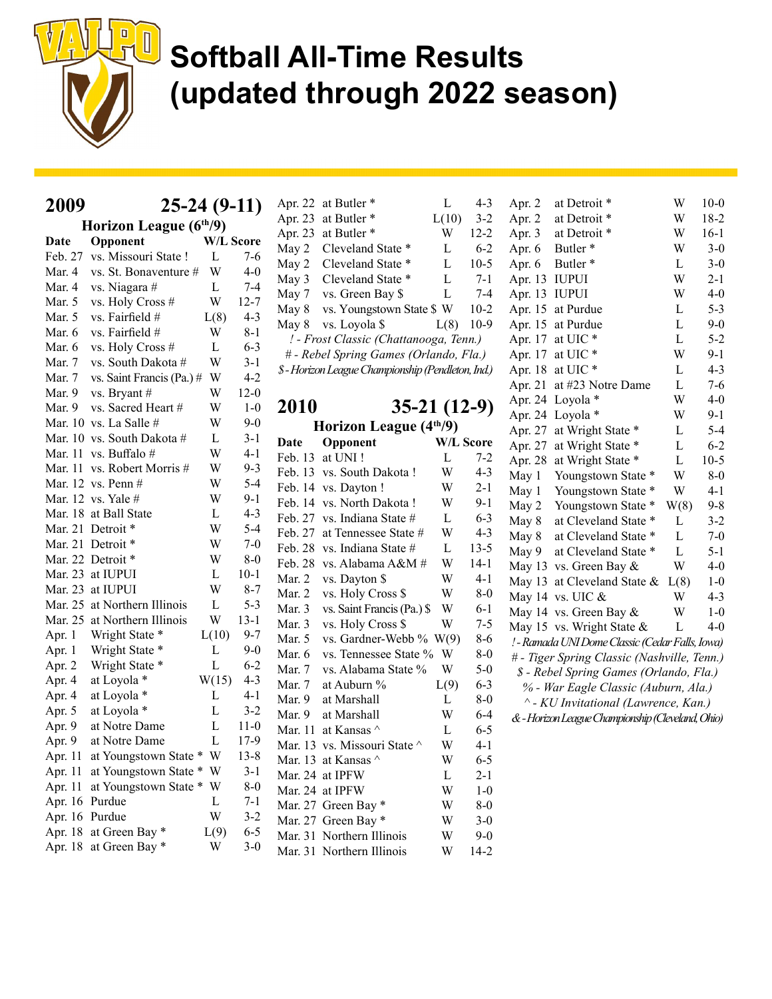

| 2009       |                           | $25-24(9-11)$    |          |
|------------|---------------------------|------------------|----------|
|            | Horizon League (6th/9)    |                  |          |
| Date       | Opponent                  | <b>W/L Score</b> |          |
| Feb. 27    | vs. Missouri State !      | L                | 7-6      |
| Mar. 4     | vs. St. Bonaventure #     | W                | $4 - 0$  |
| Mar. 4     | vs. Niagara #             | L                | 7-4      |
| Mar. 5     | vs. Holy Cross #          | W                | $12 - 7$ |
| Mar. 5     | vs. Fairfield #           | L(8)             | $4 - 3$  |
| Mar. 6     | vs. Fairfield #           | W                | $8 - 1$  |
| Mar. 6     | vs. Holy Cross #          | L                | $6 - 3$  |
| Mar. 7     | vs. South Dakota #        | W                | $3 - 1$  |
| Mar. 7     | vs. Saint Francis (Pa.) # | W                | $4 - 2$  |
| Mar. 9     | vs. Bryant #              | W                | $12-0$   |
| Mar. 9     | vs. Sacred Heart #        | W                | $1-0$    |
| Mar. 10    | vs. La Salle #            | W                | $9-0$    |
| Mar. 10    | vs. South Dakota #        | L                | $3 - 1$  |
| Mar. 11    | vs. Buffalo #             | W                | $4 - 1$  |
| Mar. 11    | vs. Robert Morris #       | W                | $9 - 3$  |
| Mar. 12    | vs. Penn#                 | W                | $5 - 4$  |
| Mar. 12    | vs. Yale #                | W                | $9-1$    |
| Mar. 18    | at Ball State             | L                | $4 - 3$  |
| Mar. 21    | Detroit *                 | W                | $5 - 4$  |
| Mar. 21    | Detroit *                 | W                | 7-0      |
| Mar. 22    | Detroit *                 | W                | $8 - 0$  |
| Mar. 23    | at IUPUI                  | L                | 10-1     |
| Mar. 23    | at IUPUI                  | W                | $8 - 7$  |
| Mar. 25    | at Northern Illinois      | L                | $5 - 3$  |
| Mar. 25    | at Northern Illinois      | W                | $13 - 1$ |
| Apr. 1     | Wright State *            | L(10)            | $9 - 7$  |
| Apr. 1     | Wright State              | L                | 9-0      |
| Apr. 2     | Wright State              | L                | $6 - 2$  |
| Apr. 4     | at Loyola *               | W(15)            | $4 - 3$  |
| Apr. 4     | at Loyola *               | L                | $4 - 1$  |
| Apr. 5     | at Loyola *               | L                | $3 - 2$  |
| Apr. 9     | at Notre Dame             | L                | $11-0$   |
| Apr. 9     | at Notre Dame             | L                | 17-9     |
| Apr. 11    | at Youngstown State *     | W                | $13 - 8$ |
| Apr. 11    | at Youngstown State       | W<br>$\ast$      | $3 - 1$  |
| Apr. 11    | at Youngstown State       | W<br>∗           | 8-0      |
| Apr. 16    | Purdue                    | L                | $7 - 1$  |
| 16<br>Apr. | Purdue                    | W                | $3 - 2$  |

|         | Apr. 22 at Butler *                              | L     | $4 - 3$  |
|---------|--------------------------------------------------|-------|----------|
| Apr. 23 | at Butler <sup>*</sup>                           | L(10) | $3 - 2$  |
| Apr. 23 | at Butler <sup>*</sup>                           | W     | $12 - 2$ |
| May 2   | Cleveland State *                                | L     | $6-2$    |
| May 2   | Cleveland State *                                | L     | $10-5$   |
| May 3   | Cleveland State *                                | L     | $7-1$    |
| May 7   | vs. Green Bay \$                                 | L     | $7 - 4$  |
| May 8   | vs. Youngstown State \$ W                        |       | $10-2$   |
| May 8   | vs. Loyola \$                                    | L(8)  | $10-9$   |
|         | ! - Frost Classic (Chattanooga, Tenn.)           |       |          |
|         | # - Rebel Spring Games (Orlando, Fla.)           |       |          |
|         | \$-Horizon League Championship (Pendleton, Ind.) |       |          |

2010 35-21 (12-9) Horizon League (4<sup>th</sup>/9) Date Opponent W/L Score Feb. 13 at UNI ! L 7-2

| Mar. $11$ vs. Buffalo $\#$ | W                                                                                                                                                                                                                                                                                                                                                                                                                                                           | 4-1                                                                                                               |                                                                                                                                                                       |                      |                                                                                                                                                                                                                                                                                                                                                                                                                                                                       | 7-2                                                                                            |
|----------------------------|-------------------------------------------------------------------------------------------------------------------------------------------------------------------------------------------------------------------------------------------------------------------------------------------------------------------------------------------------------------------------------------------------------------------------------------------------------------|-------------------------------------------------------------------------------------------------------------------|-----------------------------------------------------------------------------------------------------------------------------------------------------------------------|----------------------|-----------------------------------------------------------------------------------------------------------------------------------------------------------------------------------------------------------------------------------------------------------------------------------------------------------------------------------------------------------------------------------------------------------------------------------------------------------------------|------------------------------------------------------------------------------------------------|
|                            | W                                                                                                                                                                                                                                                                                                                                                                                                                                                           | $9 - 3$                                                                                                           |                                                                                                                                                                       |                      | W                                                                                                                                                                                                                                                                                                                                                                                                                                                                     | $4 - 3$                                                                                        |
|                            | W                                                                                                                                                                                                                                                                                                                                                                                                                                                           | $5 - 4$                                                                                                           |                                                                                                                                                                       |                      | W                                                                                                                                                                                                                                                                                                                                                                                                                                                                     | $2 - 1$                                                                                        |
|                            | W                                                                                                                                                                                                                                                                                                                                                                                                                                                           | 9-1                                                                                                               |                                                                                                                                                                       |                      | W                                                                                                                                                                                                                                                                                                                                                                                                                                                                     | 9-1                                                                                            |
|                            | L                                                                                                                                                                                                                                                                                                                                                                                                                                                           | $4 - 3$                                                                                                           |                                                                                                                                                                       |                      | L                                                                                                                                                                                                                                                                                                                                                                                                                                                                     | $6 - 3$                                                                                        |
|                            | W                                                                                                                                                                                                                                                                                                                                                                                                                                                           | $5 - 4$                                                                                                           |                                                                                                                                                                       | at Tennessee State # | W                                                                                                                                                                                                                                                                                                                                                                                                                                                                     | $4 - 3$                                                                                        |
|                            | W                                                                                                                                                                                                                                                                                                                                                                                                                                                           | $7 - 0$                                                                                                           |                                                                                                                                                                       |                      | L                                                                                                                                                                                                                                                                                                                                                                                                                                                                     | $13 - 5$                                                                                       |
|                            | W                                                                                                                                                                                                                                                                                                                                                                                                                                                           | $8-0$                                                                                                             | Feb. 28                                                                                                                                                               |                      | W                                                                                                                                                                                                                                                                                                                                                                                                                                                                     | $14-1$                                                                                         |
|                            | L                                                                                                                                                                                                                                                                                                                                                                                                                                                           | $10-1$                                                                                                            | Mar. 2                                                                                                                                                                |                      | W                                                                                                                                                                                                                                                                                                                                                                                                                                                                     | $4 - 1$                                                                                        |
|                            | W                                                                                                                                                                                                                                                                                                                                                                                                                                                           |                                                                                                                   | Mar. 2                                                                                                                                                                |                      | W                                                                                                                                                                                                                                                                                                                                                                                                                                                                     | $8-0$                                                                                          |
|                            | L                                                                                                                                                                                                                                                                                                                                                                                                                                                           |                                                                                                                   | Mar. 3                                                                                                                                                                |                      | W                                                                                                                                                                                                                                                                                                                                                                                                                                                                     | $6-1$                                                                                          |
|                            | W                                                                                                                                                                                                                                                                                                                                                                                                                                                           | $13-1$                                                                                                            | Mar. 3                                                                                                                                                                | vs. Holy Cross \$    | W                                                                                                                                                                                                                                                                                                                                                                                                                                                                     | $7 - 5$                                                                                        |
| Wright State *             |                                                                                                                                                                                                                                                                                                                                                                                                                                                             | $9 - 7$                                                                                                           | Mar. 5                                                                                                                                                                |                      |                                                                                                                                                                                                                                                                                                                                                                                                                                                                       | $8-6$                                                                                          |
|                            | L                                                                                                                                                                                                                                                                                                                                                                                                                                                           |                                                                                                                   | Mar. 6                                                                                                                                                                |                      | W                                                                                                                                                                                                                                                                                                                                                                                                                                                                     | $8-0$                                                                                          |
|                            | L                                                                                                                                                                                                                                                                                                                                                                                                                                                           |                                                                                                                   | Mar. 7                                                                                                                                                                | vs. Alabama State %  | W                                                                                                                                                                                                                                                                                                                                                                                                                                                                     | $5-0$                                                                                          |
|                            |                                                                                                                                                                                                                                                                                                                                                                                                                                                             |                                                                                                                   | Mar. 7                                                                                                                                                                | at Auburn %          |                                                                                                                                                                                                                                                                                                                                                                                                                                                                       | $6 - 3$                                                                                        |
|                            |                                                                                                                                                                                                                                                                                                                                                                                                                                                             |                                                                                                                   | Mar. 9                                                                                                                                                                | at Marshall          | L                                                                                                                                                                                                                                                                                                                                                                                                                                                                     | $8-0$                                                                                          |
| at Loyola *                | L                                                                                                                                                                                                                                                                                                                                                                                                                                                           |                                                                                                                   | Mar. 9                                                                                                                                                                | at Marshall          | W                                                                                                                                                                                                                                                                                                                                                                                                                                                                     | $6-4$                                                                                          |
| at Notre Dame              | L                                                                                                                                                                                                                                                                                                                                                                                                                                                           |                                                                                                                   |                                                                                                                                                                       | at Kansas $\wedge$   | L                                                                                                                                                                                                                                                                                                                                                                                                                                                                     | $6 - 5$                                                                                        |
| at Notre Dame              | L                                                                                                                                                                                                                                                                                                                                                                                                                                                           |                                                                                                                   |                                                                                                                                                                       |                      | W                                                                                                                                                                                                                                                                                                                                                                                                                                                                     | 4-1                                                                                            |
|                            |                                                                                                                                                                                                                                                                                                                                                                                                                                                             |                                                                                                                   |                                                                                                                                                                       |                      | W                                                                                                                                                                                                                                                                                                                                                                                                                                                                     | $6 - 5$                                                                                        |
|                            |                                                                                                                                                                                                                                                                                                                                                                                                                                                             |                                                                                                                   |                                                                                                                                                                       |                      | L                                                                                                                                                                                                                                                                                                                                                                                                                                                                     | $2 - 1$                                                                                        |
|                            |                                                                                                                                                                                                                                                                                                                                                                                                                                                             |                                                                                                                   |                                                                                                                                                                       |                      | W                                                                                                                                                                                                                                                                                                                                                                                                                                                                     | $1-0$                                                                                          |
|                            |                                                                                                                                                                                                                                                                                                                                                                                                                                                             |                                                                                                                   |                                                                                                                                                                       |                      | W                                                                                                                                                                                                                                                                                                                                                                                                                                                                     | $8-0$                                                                                          |
|                            | W                                                                                                                                                                                                                                                                                                                                                                                                                                                           |                                                                                                                   |                                                                                                                                                                       |                      | W                                                                                                                                                                                                                                                                                                                                                                                                                                                                     | $3-0$                                                                                          |
|                            | L(9)                                                                                                                                                                                                                                                                                                                                                                                                                                                        |                                                                                                                   |                                                                                                                                                                       |                      | W                                                                                                                                                                                                                                                                                                                                                                                                                                                                     | $9-0$                                                                                          |
|                            | W                                                                                                                                                                                                                                                                                                                                                                                                                                                           |                                                                                                                   |                                                                                                                                                                       |                      | W                                                                                                                                                                                                                                                                                                                                                                                                                                                                     | $14-2$                                                                                         |
|                            | Mar. 11 vs. Robert Morris #<br>Mar. 12 vs. Penn $#$<br>Mar. 12 vs. Yale $#$<br>Mar. 18 at Ball State<br>Mar. 21 Detroit *<br>Mar. 21 Detroit *<br>Mar. 22 Detroit *<br>Mar. 23 at IUPUI<br>Mar. 23 at IUPUI<br>Mar. 25 at Northern Illinois<br>Mar. 25 at Northern Illinois<br>Wright State *<br>Wright State *<br>at Loyola *<br>at Loyola *<br>Apr. 11<br>Apr. 11<br>Apr. 16 Purdue<br>Apr. 16 Purdue<br>Apr. 18 at Green Bay *<br>Apr. 18 at Green Bay * | L(10)<br>W(15)<br>L<br>at Youngstown State * W<br>at Youngstown State * W<br>Apr. 11 at Youngstown State * W<br>L | $8 - 7$<br>$5 - 3$<br>$9 - 0$<br>$6 - 2$<br>$4 - 3$<br>$4 - 1$<br>$3 - 2$<br>$11-0$<br>$17-9$<br>$13 - 8$<br>$3-1$<br>$8-0$<br>$7 - 1$<br>$3 - 2$<br>$6 - 5$<br>$3-0$ |                      | Feb. 13 at UNI!<br>Feb. 13 vs. South Dakota!<br>Feb. 14 vs. Dayton !<br>Feb. 14 vs. North Dakota!<br>Feb. 27 vs. Indiana State $#$<br>Feb. 27<br>Feb. 28 vs. Indiana State #<br>vs. Alabama A&M #<br>vs. Dayton \$<br>vs. Holy Cross \$<br>Mar. 11<br>Mar. 13 vs. Missouri State $\wedge$<br>Mar. 13 at Kansas $\wedge$<br>Mar. 24 at IPFW<br>Mar. 24 at IPFW<br>Mar. 27 Green Bay *<br>Mar. 27 Green Bay *<br>Mar. 31 Northern Illinois<br>Mar. 31 Northern Illinois | L<br>vs. Saint Francis (Pa.) \$<br>vs. Gardner-Webb $\%$ W(9)<br>vs. Tennessee State %<br>L(9) |

| Apr. 2<br>at Detroit *                            | W    | $10-0$   |  |  |  |
|---------------------------------------------------|------|----------|--|--|--|
| Apr. 2<br>at Detroit *                            | W    | $18 - 2$ |  |  |  |
| at Detroit*<br>Apr. 3                             | W    | $16-1$   |  |  |  |
| Apr. 6<br>Butler*                                 | W    | $3 - 0$  |  |  |  |
| Apr. 6<br>Butler <sup>*</sup>                     | L    | $3 - 0$  |  |  |  |
| Apr. 13<br>IUPUI                                  | W    | $2 - 1$  |  |  |  |
| <b>IUPUI</b><br>Apr. 13                           | W    | $4 - 0$  |  |  |  |
| at Purdue<br>Apr. 15                              | L    | $5 - 3$  |  |  |  |
| Apr. 15<br>at Purdue                              | L    | $9 - 0$  |  |  |  |
| at UIC <sup>*</sup><br>Apr. 17                    | L    | $5 - 2$  |  |  |  |
| at UIC *<br>Apr. 17                               | W    | $9-1$    |  |  |  |
| at UIC*<br>Apr. 18                                | L    | $4 - 3$  |  |  |  |
| at #23 Notre Dame<br>Apr. 21                      | L    | $7 - 6$  |  |  |  |
| Loyola *<br>Apr. 24                               | W    | $4 - 0$  |  |  |  |
| Loyola *<br>Apr. 24                               | W    | $9-1$    |  |  |  |
| at Wright State *<br>Apr. 27                      | L    | $5-4$    |  |  |  |
| at Wright State *<br>Apr. 27                      | L    | $6 - 2$  |  |  |  |
| at Wright State *<br>Apr. 28                      | L    | $10-5$   |  |  |  |
| Youngstown State *<br>May 1                       | W    | $8-0$    |  |  |  |
| *<br>Youngstown State<br>May 1                    | W    | $4 - 1$  |  |  |  |
| *<br>May 2<br>Youngstown State                    | W(8) | $9 - 8$  |  |  |  |
| *<br>May 8<br>at Cleveland State                  | L    | $3 - 2$  |  |  |  |
| $\ast$<br>at Cleveland State<br>May 8             | L    | $7 - 0$  |  |  |  |
| ∗<br>May 9<br>at Cleveland State                  | L    | $5 - 1$  |  |  |  |
| May 13<br>vs. Green Bay &                         | W    | $4 - 0$  |  |  |  |
| May 13<br>at Cleveland State &                    | L(8) | $1-0$    |  |  |  |
| vs. UIC &<br>May 14                               | W    | $4 - 3$  |  |  |  |
| May 14<br>vs. Green Bay &                         | W    | $1 - 0$  |  |  |  |
| vs. Wright State &<br>May 15                      | L    | $4 - 0$  |  |  |  |
| ! - Ramada UNI Dome Classic (Cedar Falls, Iowa)   |      |          |  |  |  |
| # - Tiger Spring Classic (Nashville, Tenn.)       |      |          |  |  |  |
| \$ - Rebel Spring Games (Orlando, Fla.)           |      |          |  |  |  |
| % - War Eagle Classic (Auburn, Ala.)              |      |          |  |  |  |
| ^ - KU Invitational (Lawrence, Kan.)              |      |          |  |  |  |
| & - Horizon League Championship (Cleveland, Ohio) |      |          |  |  |  |
|                                                   |      |          |  |  |  |
|                                                   |      |          |  |  |  |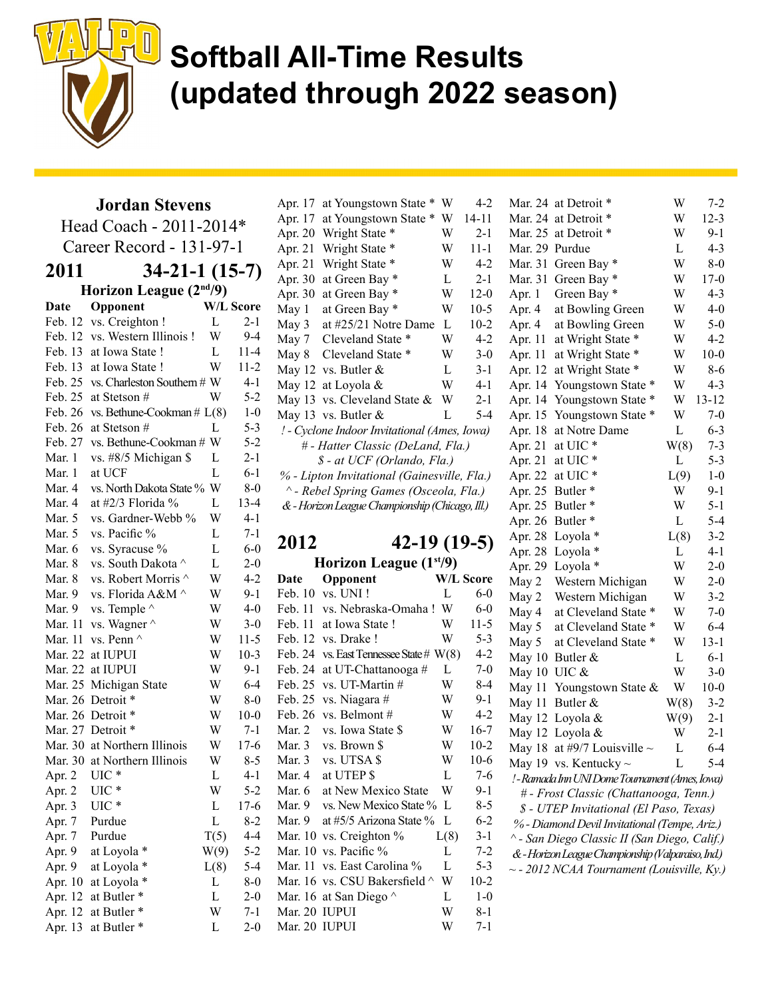

Jordan Stevens

Head Coach - 2011-2014\* Career Record - 131-97-1 2011 34-21-1 (15-7) Horizon League (2nd/9) Date Opponent W/L Score Feb. 12 vs. Creighton ! L 2-1 Feb. 12 vs. Western Illinois ! W 9-4 Feb. 13 at Iowa State ! L 11-4 Feb. 13 at Iowa State ! W 11-2 Feb. 25 vs. Charleston Southern  $# W$  4-1 Feb. 25 at Stetson  $\#$  W 5-2 Feb. 26 vs. Bethune-Cookman  $# L(8)$  1-0 Feb. 26 at Stetson  $\#$  [ 5-3 Feb. 27 vs. Bethune-Cookman # W 5-2 Mar. 1 vs. #8/5 Michigan \$ L 2-1 Mar. 1 at UCF L 6-1 Mar. 4 vs. North Dakota State % W 8-0 Mar. 4 at  $\#2/3$  Florida % L 13-4 Mar. 5 vs. Gardner-Webb % W 4-1 Mar. 5 vs. Pacific  $\%$  L 7-1 Mar. 6 vs. Syracuse  $\%$  L 6-0 Mar. 8 vs. South Dakota  $\wedge$  L 2-0 Mar. 8 vs. Robert Morris  $\wedge$  W 4-2 Mar. 9 vs. Florida  $A\&M \wedge W = 9-1$ Mar. 9 vs. Temple  $\wedge$  W 4-0 Mar. 11 vs. Wagner  $\wedge$  W 3-0 Mar. 11 vs. Penn  $\wedge$  W 11-5 Mar. 22 at IUPUI W 10-3 Mar. 22 at IUPUI W 9-1 Mar. 25 Michigan State W 6-4 Mar. 26 Detroit  $*$  W 8-0 Mar. 26 Detroit \* W 10-0 Mar. 27 Detroit  $*$  W 7-1 Mar. 30 at Northern Illinois W 17-6 Mar. 30 at Northern Illinois W 8-5 Apr. 2 UIC \* L 4-1 Apr. 2 UIC \* W 5-2 Apr. 3 UIC \* L 17-6 Apr. 7 Purdue L 8-2 Apr. 7 Purdue  $T(5)$  4-4 Apr. 9 at Loyola  $*$  W(9) 5-2 Apr. 9 at Loyola  $*$  L(8) 5-4 Apr. 10 at Loyola  $*$  L 8-0 Apr. 12 at Butler  $\ast$  L 2-0 Apr. 12 at Butler  $*$  W 7-1 Apr. 13 at Butler \* L 2-0

| Apr. 17                                     | at Youngstown State                             | W | $4-2$     |  |  |
|---------------------------------------------|-------------------------------------------------|---|-----------|--|--|
| Apr. 17                                     | at Youngstown State<br>*                        | W | $14 - 11$ |  |  |
| Apr. 20                                     | Wright State *                                  | W | $2 - 1$   |  |  |
| Apr. 21                                     | Wright State *                                  | W | $11 - 1$  |  |  |
| Apr. 21                                     | Wright State *                                  | W | $4-2$     |  |  |
| Apr. 30                                     | at Green Bay *                                  | L | $2 - 1$   |  |  |
| Apr. 30                                     | at Green Bay *                                  | W | $12-0$    |  |  |
| May 1                                       | at Green Bay *                                  | W | $10-5$    |  |  |
| May 3                                       | at #25/21 Notre Dame                            | L | $10-2$    |  |  |
| May 7                                       | Cleveland State *                               | W | $4 - 2$   |  |  |
| May 8                                       | Cleveland State *                               | W | $3-0$     |  |  |
| May 12                                      | vs. Butler &                                    | L | $3-1$     |  |  |
| May 12                                      | at Loyola &                                     | W | 4-1       |  |  |
| May 13                                      | vs. Cleveland State &                           | W | $2 - 1$   |  |  |
|                                             | May 13 vs. Butler $&$                           | L | 5-4       |  |  |
|                                             | ! - Cyclone Indoor Invitational (Ames, Iowa)    |   |           |  |  |
|                                             | # - Hatter Classic (DeLand, Fla.)               |   |           |  |  |
|                                             | \$ - at UCF (Orlando, Fla.)                     |   |           |  |  |
| % - Lipton Invitational (Gainesville, Fla.) |                                                 |   |           |  |  |
|                                             | ^ - Rebel Spring Games (Osceola, Fla.)          |   |           |  |  |
|                                             | & - Horizon League Championship (Chicago, Ill.) |   |           |  |  |
|                                             |                                                 |   |           |  |  |
|                                             |                                                 |   |           |  |  |

2012 42-19 (19-5)

#### Horizon League (1<sup>st</sup>/9) Date Opponent W/L Score Feb. 10 vs. UNI ! L 6-0 Feb. 11 vs. Nebraska-Omaha ! W 6-0 Feb. 11 at Iowa State ! W 11-5 Feb. 12 vs. Drake ! W 5-3 Feb. 24 vs. East Tennessee State  $# W(8)$  4-2 Feb. 24 at UT-Chattanooga  $\#$  L 7-0 Feb. 25 vs. UT-Martin  $\#$  W 8-4 Feb. 25 vs. Niagara  $\#$  W 9-1 Feb. 26 vs. Belmont  $\#$  W 4-2 Mar. 2 vs. Iowa State \$ W 16-7 Mar. 3 vs. Brown \$ W 10-2 Mar. 3 vs. UTSA \$ W 10-6 Mar. 4 at UTEP  $\text{S}$  L 7-6 Mar. 6 at New Mexico State W 9-Mar. 9 vs. New Mexico State % L 8-5 Mar. 9 at  $#5/5$  Arizona State % L 6-2 Mar. 10 vs. Creighton  $\%$  L(8) 3-Mar. 10 vs. Pacific  $\%$  L 7-2 Mar. 11 vs. East Carolina % L 5-3 Mar. 16 vs. CSU Bakersfield  $\land$  W 10-2 Mar. 16 at San Diego  $\wedge$  L 1-0 Mar. 20 IUPUI W 8-1 Mar. 20 IUPUI W 7-1

| $\overline{c}$          | Mar. 24      | at Detroit *                                       | W    | 7-2       |
|-------------------------|--------------|----------------------------------------------------|------|-----------|
| l                       | Mar. 24      | at Detroit *                                       | W    | $12 - 3$  |
| l                       | Mar. 25      | at Detroit *                                       | W    | $9-1$     |
| l                       | Mar. 29      | Purdue                                             | L    | $4 - 3$   |
| $\overline{\mathbf{c}}$ | Mar. 31      | Green Bay*                                         | W    | $8-0$     |
| l                       | Mar. 31      | Green Bay *                                        | W    | $17-0$    |
| $\mathfrak{I}$          | Apr. 1       | Green Bay *                                        | W    | $4 - 3$   |
| 5                       | Apr. 4       | at Bowling Green                                   | W    | $4-0$     |
|                         | Apr. 4       | at Bowling Green                                   | W    | $5 - 0$   |
| $\frac{2}{2}$           | Apr. 11      | at Wright State *                                  | W    | $4 - 2$   |
| $\mathfrak{I}$          | Apr. 11      | at Wright State *                                  | W    | $10-0$    |
| l                       | Apr. 12      | at Wright State *                                  | W    | $8 - 6$   |
| l                       | Apr. 14      | Youngstown State *                                 | W    | $4 - 3$   |
| l                       | Apr. 14      | ∗<br>Youngstown State                              | W    | $13 - 12$ |
| 4                       | Apr. 15      | Youngstown State *                                 | W    | $7 - 0$   |
| Í                       | Apr. 18      | at Notre Dame                                      | L    | $6 - 3$   |
|                         | Apr. 21      | at UIC*                                            | W(8) | $7 - 3$   |
|                         | Apr. 21      | at UIC*                                            | L    | $5 - 3$   |
| )                       | Apr. 22      | at UIC*                                            | L(9) | $1-0$     |
|                         | Apr. 25      | Butler*                                            | W    | $9-1$     |
|                         | Apr. 25      | Butler*                                            | W    | $5 - 1$   |
|                         | Apr. 26      | Butler*                                            | L    | $5-4$     |
|                         | Apr. 28      | Loyola *                                           | L(8) | $3 - 2$   |
| )                       | Apr. 28      | Loyola *                                           | L    | $4-1$     |
|                         |              | Loyola *                                           | W    | $2 - 0$   |
| e                       | Apr. 29      |                                                    | W    | $2 - 0$   |
| $\mathfrak{I}$          | May 2        | Western Michigan                                   |      |           |
| $\mathfrak{I}$          | May 2        | Western Michigan                                   | W    | $3 - 2$   |
| 5                       | May 4        | at Cleveland State *                               | W    | $7 - 0$   |
|                         | May 5        | at Cleveland State *                               | W    | $6 - 4$   |
| $\frac{3}{2}$           | May 5        | at Cleveland State *                               | W    | $13 - 1$  |
| $\mathfrak{I}$          | May 10       | Butler &                                           | L    | $6 - 1$   |
| 4                       | May 10 UIC & |                                                    | W    | $3-0$     |
| l                       | May 11       | Youngstown State &                                 | W    | $10-0$    |
|                         | May 11       | Butler &                                           | W(8) | $3-2$     |
| 2<br>7                  |              | May 12 Loyola &                                    | W(9) | $2-1$     |
|                         |              | May 12 Loyola &                                    | W    | $2 - 1$   |
| $\overline{c}$          | May 18       | at #9/7 Louisville $\sim$                          | L    | $6-4$     |
| 5                       |              | May 19 vs. Kentucky $\sim$                         | L    | $5-4$     |
| 5                       |              | ! - Ramada Inn UNI Dome Tournament (Ames, Iowa)    |      |           |
| l                       |              | # - Frost Classic (Chattanooga, Tenn.)             |      |           |
| 5                       |              | \$ - UTEP Invitational (El Paso, Texas)            |      |           |
| $\frac{2}{1}$           |              | % - Diamond Devil Invitational (Tempe, Ariz.)      |      |           |
|                         |              | ^ - San Diego Classic II (San Diego, Calif.)       |      |           |
| $\frac{2}{2}$           |              | & - Horizon League Championship (Valparaiso, Ind.) |      |           |
|                         |              | -- 2012 NCAA Tournament (Louisville, Ky.)          |      |           |
|                         |              |                                                    |      |           |
|                         |              |                                                    |      |           |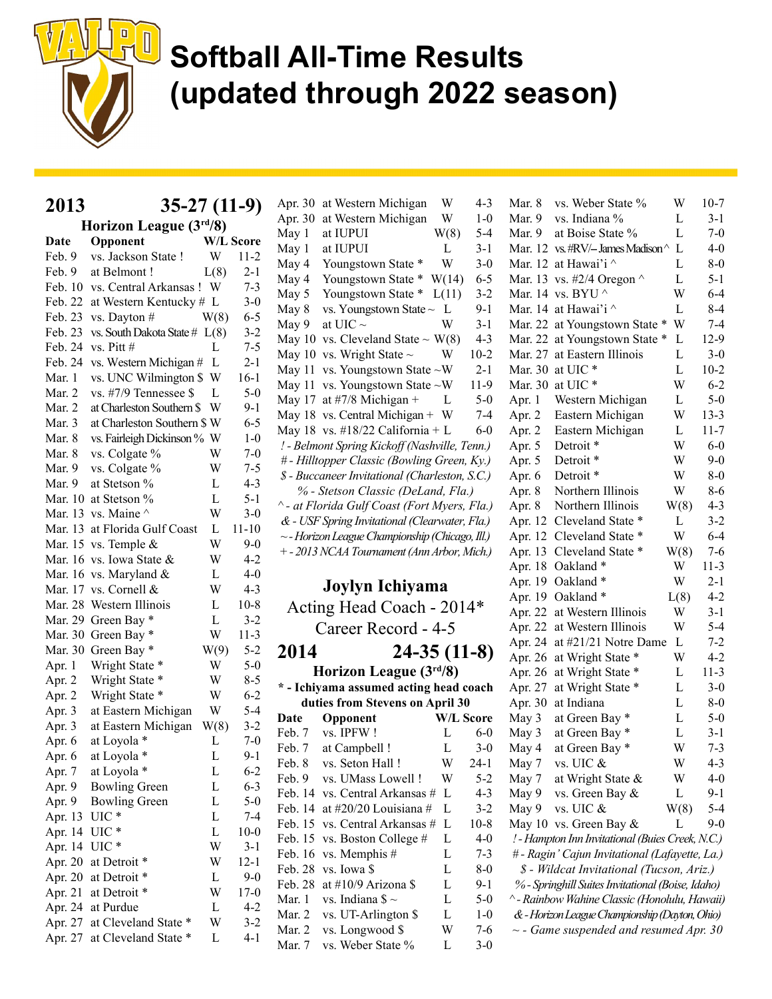

2013 35-27 (11-9)

| Horizon League (3rd/8) |                                 |      |           |  |
|------------------------|---------------------------------|------|-----------|--|
| Date                   | Opponent                        |      | W/L Score |  |
| Feb. 9                 | vs. Jackson State !             | W    | $11-2$    |  |
| Feb. 9                 | at Belmont!                     | L(8) | $2 - 1$   |  |
| Feb. 10                | vs. Central Arkansas !          | W    | $7 - 3$   |  |
| Feb. 22                | at Western Kentucky # L         |      | $3-0$     |  |
| Feb. 23                | vs. Dayton #                    | W(8) | $6 - 5$   |  |
| Feb. 23                | vs. South Dakota State $# L(8)$ |      | $3 - 2$   |  |
| Feb. 24                | vs. Pitt #                      | L    | $7 - 5$   |  |
| Feb. 24                | vs. Western Michigan #          | L    | $2 - 1$   |  |
| Mar. 1                 | vs. UNC Wilmington \$           | W    | $16-1$    |  |
| Mar. 2                 | vs. #7/9 Tennessee \$           | L    | $5 - 0$   |  |
| Mar. 2                 | at Charleston Southern \$       | W    | $9-1$     |  |
| Mar. 3                 | at Charleston Southern \$ W     |      | $6 - 5$   |  |
| Mar. 8                 | vs. Fairleigh Dickinson % W     |      | $1 - 0$   |  |
| Mar. 8                 | vs. Colgate %                   | W    | $7-0$     |  |
| Mar. 9                 | vs. Colgate %                   | W    | $7 - 5$   |  |
| Mar. 9                 | at Stetson %                    | L    | $4 - 3$   |  |
| Mar. 10                | at Stetson %                    | L    | $5-1$     |  |
| Mar. 13                | vs. Maine $\wedge$              | W    | $3-0$     |  |
| Mar. 13                | at Florida Gulf Coast           | L    | $11 - 10$ |  |
| Mar. 15                | vs. Temple &                    | W    | $9 - 0$   |  |
| Mar. 16                | vs. Iowa State &                | W    | 4-2       |  |
| Mar. 16                | vs. Maryland &                  | L    | $4 - 0$   |  |
| Mar. 17                | vs. Cornell &                   | W    | $4 - 3$   |  |
| Mar. 28                | Western Illinois                | L    | $10 - 8$  |  |
| Mar. 29                | Green Bay *                     | L    | $3-2$     |  |
| Mar. 30                | Green Bay *                     | W    | 11-3      |  |
| Mar. 30                | Green Bay *                     | W(9) | $5 - 2$   |  |
| Apr. 1                 | Wright State *                  | W    | $5-0$     |  |
| Apr. 2                 | Wright State *                  | W    | $8 - 5$   |  |
| Apr. 2                 | Wright State *                  | W    | $6 - 2$   |  |
| Apr. 3                 | at Eastern Michigan             | W    | $5-4$     |  |
| Apr. 3                 | at Eastern Michigan             | W(8) | $3 - 2$   |  |
| Apr. 6                 | at Loyola *                     | L    | $7 - 0$   |  |
| Apr. 6                 | at Loyola *                     | L    | 9-1       |  |
| Apr. 7                 | at Loyola *                     | L    | $6 - 2$   |  |
| Apr. 9                 | <b>Bowling Green</b>            | L    | $6 - 3$   |  |
| Apr. 9                 | <b>Bowling Green</b>            | L    | $5 - 0$   |  |
| Apr. 13                | $UIC*$                          | L    | $7-4$     |  |
| Apr. 14                | UIC*                            | L    | $10-0$    |  |
| Apr. 14                | $UIC*$                          | W    | $3-1$     |  |
| Apr. 20                | at Detroit *                    | W    | 12-1      |  |
| Apr. 20                | at Detroit *                    | L    | $9-0$     |  |
| Apr. 21                | at Detroit *                    | W    | $17-0$    |  |
| Apr. 24                | at Purdue                       | L    | $4 - 2$   |  |
| Apr. 27                | at Cleveland State *            | W    | $3-2$     |  |
| Apr. 27                | at Cleveland State *            | L    | $4 - 1$   |  |

| Apr. 30          | at Western Michigan                            | W                | $4 - 3$      |  |
|------------------|------------------------------------------------|------------------|--------------|--|
| Apr. 30          | at Western Michigan                            | W                | $1 - 0$      |  |
| May 1            | at IUPUI                                       | W(8)             | $5-4$        |  |
| May 1            | at IUPUI                                       | L                | $3-1$        |  |
| May 4            | Youngstown State *                             | W                | $3-0$        |  |
| May 4            | Youngstown State *                             | W(14)            | $6 - 5$      |  |
| May 5            | Youngstown State *                             | L(11)            | $3 - 2$      |  |
| May 8            | vs. Youngstown State ~                         | L                | $9-1$        |  |
| May 9            | at UIC $\sim$                                  | W                | $3 - 1$      |  |
| May 10           | vs. Cleveland State $\sim$ W(8)                |                  | $4 - 3$      |  |
| May 10           | vs. Wright State $\sim$                        | W                | $10-2$       |  |
| May 11           | vs. Youngstown State ~W                        |                  | $2-1$        |  |
| May 11           | vs. Youngstown State ~W                        |                  | 11-9         |  |
| May 17           | at #7/8 Michigan +                             | L                | $5 - 0$      |  |
| May 18           | vs. Central Michigan + W                       |                  | $7-4$        |  |
| May 18           | vs. #18/22 California + L                      |                  | $6-0$        |  |
|                  | ! - Belmont Spring Kickoff (Nashville, Tenn.)  |                  |              |  |
|                  | # - Hilltopper Classic (Bowling Green, Ky.)    |                  |              |  |
|                  | \$ - Buccaneer Invitational (Charleston, S.C.) |                  |              |  |
|                  | % - Stetson Classic (DeLand, Fla.)             |                  |              |  |
|                  | ^ - at Florida Gulf Coast (Fort Myers, Fla.)   |                  |              |  |
|                  | & - USF Spring Invitational (Clearwater, Fla.) |                  |              |  |
|                  | ~- Horizon League Championship (Chicago, Ill.) |                  |              |  |
|                  | + - 2013 NCAA Tournament (Ann Arbor, Mich.)    |                  |              |  |
|                  |                                                |                  |              |  |
|                  |                                                |                  |              |  |
|                  |                                                |                  |              |  |
|                  | <b>Joylyn Ichiyama</b>                         |                  |              |  |
|                  | Acting Head Coach - 2014*                      |                  |              |  |
|                  | Career Record - 4-5                            |                  |              |  |
| 2014             | $24-35(11-8)$                                  |                  |              |  |
|                  | Horizon League (3rd/8)                         |                  |              |  |
|                  | * - Ichiyama assumed acting head coach         |                  |              |  |
|                  | duties from Stevens on April 30                |                  |              |  |
| Date             | Opponent                                       | <b>W/L Score</b> |              |  |
| Feb. 7           | vs. IPFW!                                      | L                | $6 - 0$      |  |
| Feb. 7           | at Campbell !                                  | L                | $3-0$        |  |
| Feb. 8           | vs. Seton Hall !                               | W                | $24 - 1$     |  |
| Feb. 9           | vs. UMass Lowell !                             | W                | $5 - 2$      |  |
| Feb. 14          | vs. Central Arkansas #                         | L                | $4 - 3$      |  |
| Feb. 14          | at #20/20 Louisiana #                          | L                | $3-2$        |  |
| Feb. 15          | vs. Central Arkansas #                         | L                | $10-8$       |  |
| Feb. 15          | vs. Boston College #                           | L                | $4 - 0$      |  |
| Feb. 16          | vs. Memphis #                                  | L                | $7 - 3$      |  |
| Feb. 28          | vs. Iowa \$                                    | L                | $8-0$        |  |
| Feb. 28          | at #10/9 Arizona \$                            | L                | $9-1$        |  |
| Mar. 1           | vs. Indiana \$ $\sim$                          | L                | $5-0$        |  |
| Mar. 2           | vs. UT-Arlington \$                            | L                | $1-0$        |  |
| Mar. 2<br>Mar. 7 | vs. Longwood \$<br>vs. Weber State %           | W<br>L           | 7-6<br>$3-0$ |  |

| Mar. 8  | vs. Weber State %                                 | W           | $10-7$   |
|---------|---------------------------------------------------|-------------|----------|
| Mar. 9  | vs. Indiana %                                     | L           | $3-1$    |
| Mar. 9  | at Boise State %                                  | L           | $7 - 0$  |
| Mar. 12 | vs. #RV/- James Madison ^                         | L           | $4 - 0$  |
| Mar. 12 | at Hawai'i ^                                      | L           | $8 - 0$  |
| Mar. 13 | vs. #2/4 Oregon $\wedge$                          | L           | $5 - 1$  |
| Mar. 14 | vs. BYU $^\wedge$                                 | W           | $6-4$    |
| Mar. 14 | at Hawai'i ^                                      | L           | $8-4$    |
| Mar. 22 | at Youngstown State *                             | W           | $7 - 4$  |
| Mar. 22 | at Youngstown State                               | $\ast$<br>L | 12-9     |
| Mar. 27 | at Eastern Illinois                               | L           | $3-0$    |
| Mar. 30 | at UIC*                                           | L           | $10-2$   |
| Mar. 30 | at UIC*                                           | W           | $6 - 2$  |
| Apr. 1  | Western Michigan                                  | L           | $5-0$    |
| Apr. 2  | Eastern Michigan                                  | W           | $13-3$   |
| Apr. 2  | Eastern Michigan                                  | L           | $11 - 7$ |
| Apr. 5  | Detroit *                                         | W           | $6-0$    |
| Apr. 5  | Detroit *                                         | W           | $9-0$    |
|         | Detroit <sup>*</sup>                              |             |          |
| Apr. 6  |                                                   | W           | $8-0$    |
| Apr. 8  | Northern Illinois                                 | W           | 8-6      |
| Apr. 8  | Northern Illinois                                 | W(8)        | $4 - 3$  |
| Apr. 12 | Cleveland State *                                 | L           | $3 - 2$  |
| Apr. 12 | Cleveland State                                   | W           | $6 - 4$  |
| Apr. 13 | <b>Cleveland State</b>                            | W(8)        | $7 - 6$  |
| Apr. 18 | Oakland *                                         | W           | $11 - 3$ |
| Apr. 19 | Oakland *                                         | W           | $2 - 1$  |
| Apr. 19 | Oakland*                                          | L(8)        | $4 - 2$  |
| Apr. 22 | at Western Illinois                               | W           | $3 - 1$  |
| Apr. 22 | at Western Illinois                               | W           | 5-4      |
| Apr. 24 | at #21/21 Notre Dame                              | L           | $7 - 2$  |
| Apr. 26 | at Wright State *                                 | W           | $4-2$    |
| Apr. 26 | at Wright State *                                 | L           | $11 - 3$ |
| Apr. 27 | at Wright State *                                 | L           | $3-0$    |
| Apr. 30 | at Indiana                                        | L           | $8-0$    |
| May 3   | at Green Bay                                      | L           | $5-0$    |
| May 3   | at Green Bay *                                    | L           | $3-1$    |
| May 4   | at Green Bay *                                    | W           | $7 - 3$  |
| May 7   | vs. UIC &                                         | W           | $4-3$    |
| May 7   | at Wright State &                                 | W           | $4-0$    |
| May 9   | vs. Green Bay &                                   | L           | $9-1$    |
| May 9   | vs. UIC &                                         | W(8)        | $5-4$    |
|         | May 10 vs. Green Bay &                            | L           | 9-0      |
|         | ! - Hampton Inn Invitational (Buies Creek, N.C.)  |             |          |
|         | # - Ragin' Cajun Invitational (Lafayette, La.)    |             |          |
|         | \$ - Wildcat Invitational (Tucson, Ariz.)         |             |          |
|         | % - Springhill Suites Invitational (Boise, Idaho) |             |          |
|         | ^ - Rainbow Wahine Classic (Honolulu, Hawaii)     |             |          |
|         | & - Horizon League Championship (Dayton, Ohio)    |             |          |
|         | $\sim$ - Game suspended and resumed Apr. 30       |             |          |
|         |                                                   |             |          |
|         |                                                   |             |          |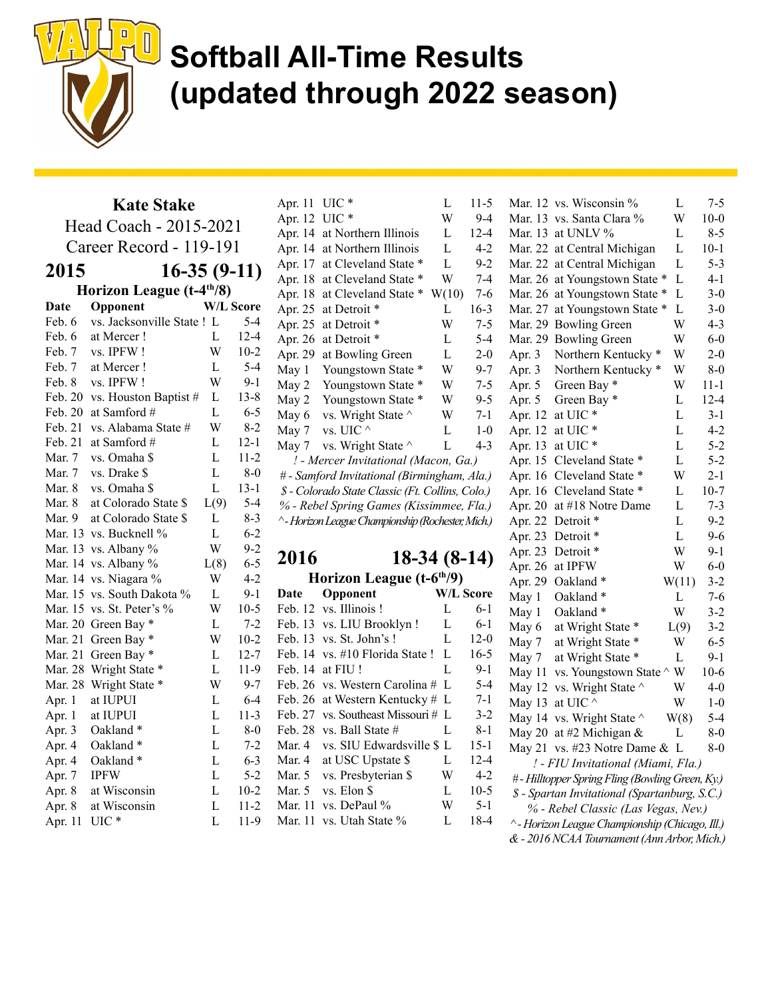

Kate Stake Head Coach - 2015-2021 Career Record - 119-191 2015 16-35 (9-11) Horizon League (t-4th/8) Date Opponent W/L Score Feb. 6 vs. Jacksonville State ! L 5-4 Feb. 6 at Mercer ! L 12-4 Feb. 7 vs. IPFW ! W 10-2 Feb. 7 at Mercer ! L 5-4 Feb. 8 vs. IPFW ! W 9-1 Feb. 20 vs. Houston Baptist # L 13-8 Feb. 20 at Samford  $\#$  L 6-5 Feb. 21 vs. Alabama State # W 8-2 Feb. 21 at Samford  $\#$  L 12-1 Mar. 7 vs. Omaha \$ L 11-2 Mar.  $7 \text{ vs. Drake } $ L \qquad L \qquad 8-0$ Mar. 8 vs. Omaha \$ L 13-1 Mar. 8 at Colorado State \$ L(9) 5-4 Mar. 9 at Colorado State \$ L 8-3 Mar. 13 vs. Bucknell  $\%$  L 6-2 Mar. 13 vs. Albany  $\%$  W 9-2 Mar. 14 vs. Albany %  $L(8)$  6-5 Mar. 14 vs. Niagara  $\%$  W 4-2 Mar. 15 vs. South Dakota % L 9-1 Mar. 15 vs. St. Peter's % W 10-5 Mar. 20 Green Bay \* L 7-2 Mar. 21 Green Bay  $*$  W 10-2 Mar. 21 Green Bay  $\ast$  L 12-7 Mar. 28 Wright State \* L 11-9 Mar. 28 Wright State \* W 9-7 Apr. 1 at IUPUI L 6-4 Apr. 1 at IUPUI L 11-3 Apr. 3 Oakland  $*$  L 8-0 Apr. 4 Oakland  $*$  L 7-2 Apr. 4 Oakland  $*$  L 6-3 Apr. 7 IPFW L 5-2 Apr. 8 at Wisconsin L 10-2 Apr. 8 at Wisconsin L 11-2 Apr. 11 UIC \* L 11-9

Apr. 11 UIC \* L 11-5 Apr. 12 UIC \* W 9-4 Apr. 14 at Northern Illinois L 12-4 Apr. 14 at Northern Illinois L 4-2 Apr. 17 at Cleveland State \* L 9-2 Apr. 18 at Cleveland State \* W 7-4 Apr. 18 at Cleveland State \* W(10) 7-6 Apr. 25 at Detroit \* L 16-3 Apr. 25 at Detroit \* W 7-5 Apr. 26 at Detroit \* L 5-4 Apr. 29 at Bowling Green L 2-0 May 1 Youngstown State \* W 9-7 May 2 Youngstown State \* W 7-5 May 2 Youngstown State \* W 9-5 May 6 vs. Wright State  $\sim$  W 7-1 May 7 vs. UIC  $\wedge$  L 1-0 May 7 vs. Wright State  $\wedge$  L 4-3 ! - Mercer Invitational (Macon, Ga.) # - Samford Invitational (Birmingham, Ala.) \$ - Colorado State Classic (Ft. Collins, Colo.) % - Rebel Spring Games (Kissimmee, Fla.) ^ - Horizon League Championship (Rochester, Mich.) 2016 18-34 (8-14) Horizon League  $(t-6<sup>th</sup>/9)$ Date Opponent W/L Score Feb. 12 vs. Illinois ! L 6-1 Feb. 13 vs. LIU Brooklyn ! L 6-1 Feb. 13 vs. St. John's ! L 12-0 Feb. 14 vs. #10 Florida State ! L 16-5 Feb. 14 at FIU ! L 9-1 Feb. 26 vs. Western Carolina  $\#$  L 5-4 Feb. 26 at Western Kentucky  $\#$  L 7-1 Feb. 27 vs. Southeast Missouri # L 3-2 Feb. 28 vs. Ball State  $\#$  L 8-1 Mar. 4 vs. SIU Edwardsville \$ L 15-1 Mar. 4 at USC Upstate \$ L 12-4 Mar. 5 vs. Presbyterian \$ W 4-2 Mar. 5 vs. Elon \$ L 10-5 Mar. 11 vs. DePaul % W 5-1 Mar. 11 vs. Utah State % L 18-4

| 5                        | Mar. 12 | vs. Wisconsin %                                 | L     | $7 - 5$  |
|--------------------------|---------|-------------------------------------------------|-------|----------|
| t                        | Mar. 13 | vs. Santa Clara %                               | W     | $10 - 0$ |
| į                        | Mar. 13 | at UNLV %                                       | L     | $8 - 5$  |
| $\overline{a}$           | Mar. 22 | at Central Michigan                             | L     | $10 - 1$ |
| $\overline{\mathbf{r}}$  | Mar. 22 | at Central Michigan                             | L     | $5 - 3$  |
| į                        | Mar. 26 | at Youngstown State *                           | L     | $4 - 1$  |
| 5                        | Mar. 26 | at Youngstown State *                           | L     | $3 - 0$  |
| $\mathbf{\hat{5}}$       | Mar. 27 | at Youngstown State *                           | L     | $3 - 0$  |
| 5                        | Mar. 29 | <b>Bowling Green</b>                            | W     | $4 - 3$  |
| 1                        | Mar. 29 | <b>Bowling Green</b>                            | W     | $6-0$    |
| $\mathbf{)}$             | Apr. 3  | Northern Kentucky <sup>*</sup>                  | W     | $2 - 0$  |
| 7                        | Apr. 3  | Northern Kentucky <sup>*</sup>                  | W     | $8 - 0$  |
|                          | Apr. 5  | Green Bay *                                     | W     | $11 - 1$ |
| $\frac{1}{2}$            | Apr. 5  | Green Bay *                                     | L     | $12 - 4$ |
| l                        | Apr. 12 | at UIC <sup>*</sup>                             | L     | $3 - 1$  |
| $\mathcal{E}$            | Apr. 12 | at UIC *                                        | L     | $4 - 2$  |
| ś                        | Apr. 13 | at UIC*                                         | L     | $5 - 2$  |
|                          | Apr. 15 | Cleveland State *                               | L     | $5 - 2$  |
| )                        | Apr. 16 | Cleveland State<br>∗                            | W     | $2 - 1$  |
|                          | Apr. 16 | Cleveland State *                               | L     | $10 - 7$ |
| )                        | Apr. 20 | at #18 Notre Dame                               | L     | $7 - 3$  |
| )                        | Apr. 22 | Detroit *                                       | L     | $9 - 2$  |
|                          | Apr. 23 | Detroit *                                       | L     | $9 - 6$  |
|                          | Apr. 23 | Detroit *                                       | W     | 9-1      |
| )                        | Apr. 26 | at IPFW                                         | W     | $6-0$    |
|                          | Apr. 29 | Oakland *                                       | W(11) | $3 - 2$  |
| e                        | May 1   | Oakland *                                       | L     | $7 - 6$  |
| L                        | May 1   | Oakland*                                        | W     | $3 - 2$  |
| L                        | May 6   | at Wright State *                               | L(9)  | $3 - 2$  |
| $\mathbf{)}$             | May 7   | at Wright State *                               | W     | $6 - 5$  |
| 5                        | May 7   | at Wright State *                               | L     | $9 - 1$  |
| l                        | May 11  | vs. Youngstown State ^ W                        |       | 10-6     |
| l                        | May 12  | vs. Wright State ^                              | W     | $4 - 0$  |
| l                        | May 13  | at UIC ^                                        | W     | $1-0$    |
| $\overline{\phantom{a}}$ | May 14  | vs. Wright State ^                              | W(8)  | $5 - 4$  |
| $\overline{\phantom{a}}$ | May 20  | at #2 Michigan &                                | L     | $8-0$    |
| l                        | May 21  | vs. #23 Notre Dame & L                          |       | $8-0$    |
| į                        |         | ! - FIU Invitational (Miami, Fla.)              |       |          |
| $\frac{2}{5}$            |         | #- Hilltopper Spring Fling (Bowling Green, Ky.) |       |          |
|                          |         | \$ - Spartan Invitational (Spartanburg, S.C.)   |       |          |
| ĺ                        |         | % - Rebel Classic (Las Vegas, Nev.)             |       |          |
| 1                        |         | ^- Horizon League Championship (Chicago, Ill.)  |       |          |
|                          |         | & - 2016 NCAA Tournament (Ann Arbor, Mich.)     |       |          |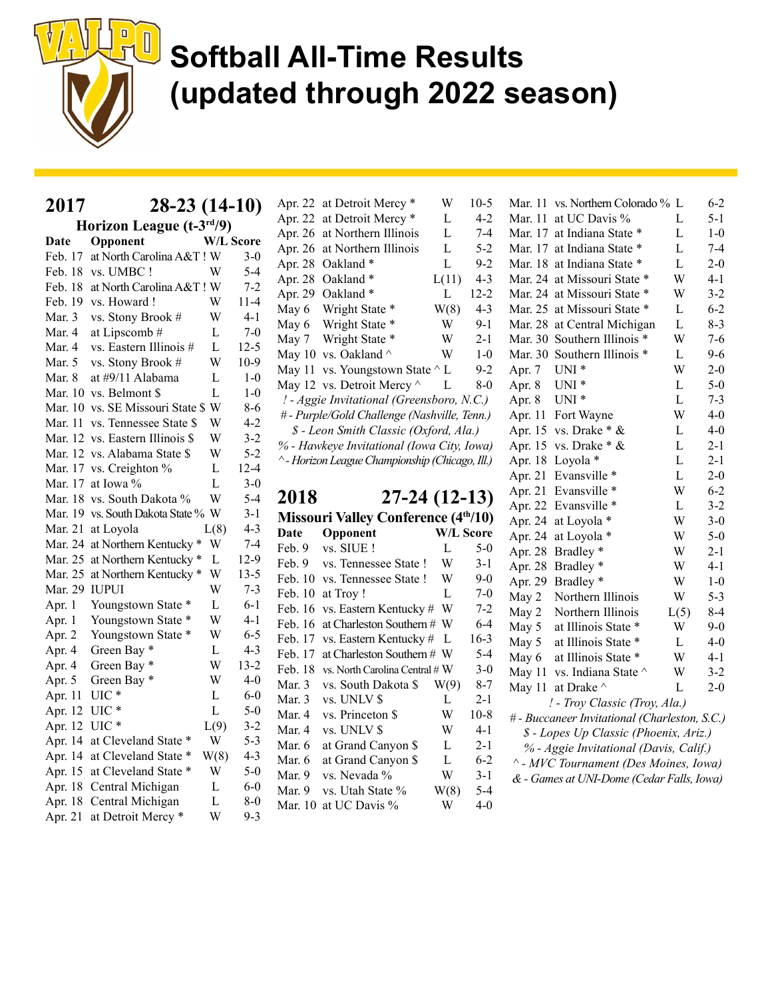

| 2017 | $28-23(14-10)$ |
|------|----------------|

Horizon League (t-3rd/9) Date Opponent W/L Score Feb. 17 at North Carolina A&T ! W 3-0 Feb. 18 vs. UMBC ! W 5-4 Feb. 18 at North Carolina A&T ! W 7-2 Feb. 19 vs. Howard ! W 11-4 Mar. 3 vs. Stony Brook # W 4-1 Mar. 4 at Lipscomb  $\#$  L 7-0 Mar. 4 vs. Eastern Illinois # L 12-5 Mar. 5 vs. Stony Brook  $#$  W 10-9 Mar. 8 at #9/11 Alabama L 1-0 Mar. 10 vs. Belmont \$ L 1-0 Mar. 10 vs. SE Missouri State \$ W 8-6 Mar. 11 vs. Tennessee State \$ W 4-2 Mar. 12 vs. Eastern Illinois \$ W 3-2 Mar. 12 vs. Alabama State \$ W 5-2 Mar. 17 vs. Creighton % L 12-4 Mar. 17 at Iowa % L  $3-0$ Mar. 18 vs. South Dakota % W 5-4 Mar. 19 vs. South Dakota State % W 3-1 Mar. 21 at Loyola  $L(8)$  4-3 Mar. 24 at Northern Kentucky \* W 7-4 Mar. 25 at Northern Kentucky \* L 12-9 Mar. 25 at Northern Kentucky \* W 13-5 Mar. 29 IUPUI W 7-3 Apr. 1 Youngstown State \* L 6-1 Apr. 1 Youngstown State \* W 4-1 Apr. 2 Youngstown State \* W 6-5 Apr. 4 Green Bay  $\ast$  L 4-3 Apr. 4 Green Bay  $*$  W 13-2 Apr. 5 Green Bay \* W 4-0 Apr. 11 UIC \* L 6-0 Apr. 12 UIC \* L 5-0 Apr. 12 UIC  $*$  L(9) 3-2 Apr. 14 at Cleveland State \* W 5-3 Apr. 14 at Cleveland State \* W(8) 4-3 Apr. 15 at Cleveland State \* W 5-0 Apr. 18 Central Michigan L 6-0 Apr. 18 Central Michigan L 8-0 Apr. 21 at Detroit Mercy \* W 9-3

Apr. 22 at Detroit Mercy \* W 10-5 Apr. 22 at Detroit Mercy \* L 4-2 Apr. 26 at Northern Illinois L 7-4 Apr. 26 at Northern Illinois L 5-2 Apr. 28 Oakland \* L 9-2 Apr. 28 Oakland \* L(11) 4-3 Apr. 29 Oakland \* L 12-2 May 6 Wright State  $*$  W(8) 4-3 May 6 Wright State \* W 9-1 May 7 Wright State \* W 2-1 May 10 vs. Oakland  $\wedge$  W 1-0 May 11 vs. Youngstown State  $\wedge$  L 9-2 May 12 vs. Detroit Mercy  $\wedge$  L 8-0 ! - Aggie Invitational (Greensboro, N.C.) # - Purple/Gold Challenge (Nashville, Tenn.) \$ - Leon Smith Classic (Oxford, Ala.) % - Hawkeye Invitational (Iowa City, Iowa) ^ - Horizon League Championship (Chicago, Ill.)

2018 27-24 (12-13) Missouri Valley Conference (4<sup>th</sup>/10) Date Opponent W/L Score Feb. 9 vs. SIUE ! L 5-0 Feb. 9 vs. Tennessee State ! W 3-1 Feb. 10 vs. Tennessee State ! W 9-0 Feb. 10 at Troy ! L 7-0 Feb. 16 vs. Eastern Kentucky # W 7-2 Feb. 16 at Charleston Southern # W 6-4 Feb. 17 vs. Eastern Kentucky # L 16-3 Feb. 17 at Charleston Southern # W 5-4 Feb. 18 vs. North Carolina Central  $#W = 3-0$ Mar. 3 vs. South Dakota \$ W(9) 8-7 Mar. 3 vs. UNLV \$ L 2-1 Mar. 4 vs. Princeton \$ W 10-8 Mar. 4 vs. UNLV \$ W 4-1 Mar. 6 at Grand Canyon \$ L 2-1 Mar. 6 at Grand Canyon \$ L 6-2 Mar. 9 vs. Nevada  $\%$  W 3-1 Mar. 9 vs. Utah State  $\%$  W(8) 5-4 Mar. 10 at UC Davis  $\%$  W 4-0

|                                        | Mar. 11 | vs. Northern Colorado % L                     |                | $6 - 2$ |
|----------------------------------------|---------|-----------------------------------------------|----------------|---------|
|                                        | Mar. 11 | at UC Davis %                                 | L              | $5 - 1$ |
|                                        | Mar. 17 | at Indiana State *                            | L              | $1-0$   |
|                                        | Mar. 17 | at Indiana State *                            | L              | $7-4$   |
|                                        | Mar. 18 | at Indiana State *                            | L              | $2 - 0$ |
|                                        | Mar. 24 | at Missouri State *                           | W              | $4 - 1$ |
|                                        | Mar. 24 | at Missouri State *                           | W              | $3 - 2$ |
|                                        | Mar. 25 | at Missouri State *                           | L              | $6 - 2$ |
|                                        | Mar. 28 | at Central Michigan                           | L              | $8 - 3$ |
|                                        | Mar. 30 | Southern Illinois *                           | W              | $7 - 6$ |
|                                        | Mar. 30 | Southern Illinois *                           | $\overline{L}$ | $9 - 6$ |
|                                        | Apr. 7  | $UNI^*$                                       | W              | $2 - 0$ |
|                                        | Apr. 8  | $UNI^*$                                       | L              | $5-0$   |
|                                        | Apr. 8  | $UNI^*$                                       | L              | $7 - 3$ |
|                                        | Apr. 11 | Fort Wayne                                    | W              | $4 - 0$ |
|                                        | Apr. 15 | vs. Drake * &                                 | L              | $4 - 0$ |
|                                        | Apr. 15 | vs. Drake * &                                 | L              | $2 - 1$ |
|                                        | Apr. 18 | Loyola *                                      | L              | $2 - 1$ |
|                                        | Apr. 21 | Evansville *                                  | L              | $2 - 0$ |
|                                        | Apr. 21 | Evansville*                                   | W              | $6 - 2$ |
|                                        | Apr. 22 | Evansville *                                  | L              | $3 - 2$ |
|                                        | Apr. 24 | at Loyola *                                   | W              | $3 - 0$ |
|                                        | Apr. 24 | at Loyola *                                   | W              | $5 - 0$ |
|                                        | Apr. 28 | Bradley*                                      | W              | $2 - 1$ |
|                                        | Apr. 28 | Bradley <sup>*</sup>                          | W              | 4-1     |
|                                        | Apr. 29 | Bradley*                                      | W              | $1-0$   |
|                                        | May 2   | Northern Illinois                             | W              | $5 - 3$ |
|                                        | May 2   | Northern Illinois                             | L(5)           | $8 - 4$ |
|                                        | May 5   | at Illinois State *                           | W              | $9 - 0$ |
|                                        | May 5   | at Illinois State<br>∗                        | L              | $4 - 0$ |
|                                        | May 6   | at Illinois State *                           | W              | $4 - 1$ |
|                                        | May 11  | vs. Indiana State ^                           | W              | $3 - 2$ |
|                                        | May 11  | at Drake ^                                    | L              | $2 - 0$ |
|                                        |         | ! - Troy Classic (Troy, Ala.)                 |                |         |
|                                        |         | # - Buccaneer Invitational (Charleston, S.C.) |                |         |
|                                        |         | \$ - Lopes Up Classic (Phoenix, Ariz.)        |                |         |
| % - Aggie Invitational (Davis, Calif.) |         |                                               |                |         |
|                                        |         | ^ - MVC Tournament (Des Moines, Iowa)         |                |         |
|                                        |         | & - Games at UNI-Dome (Cedar Falls, Iowa)     |                |         |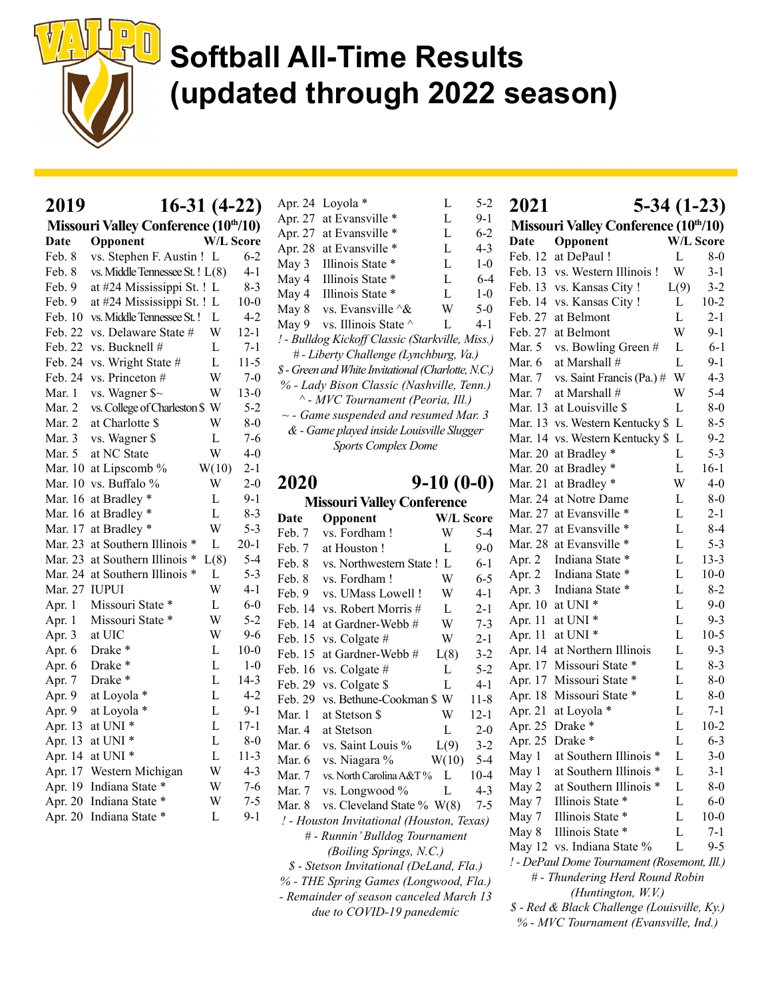

| 2019    | 16-31 (4-22)                         |                  |          |
|---------|--------------------------------------|------------------|----------|
|         | Missouri Valley Conference (10th/10) |                  |          |
| Date    | Opponent                             | <b>W/L Score</b> |          |
| Feb. 8  | vs. Stephen F. Austin !              | L                | $6 - 2$  |
| Feb. 8  | vs. Middle Tennessee St. ! L(8)      |                  | $4 - 1$  |
| Feb. 9  | at #24 Mississippi St. ! L           |                  | $8 - 3$  |
| Feb. 9  | at #24 Mississippi St. !             | L                | $10-0$   |
| Feb. 10 | vs. Middle Tennessee St. !           | L                | 4-2      |
| Feb. 22 | vs. Delaware State #                 | W                | $12 - 1$ |
| Feb. 22 | vs. Bucknell #                       | L                | $7-1$    |
| Feb. 24 | vs. Wright State #                   | L                | $11-5$   |
| Feb. 24 | vs. Princeton #                      | W                | $7-0$    |
| Mar. 1  | vs. Wagner $\sim$                    | W                | $13-0$   |
| Mar. 2  | vs. College of Charleston \$         | W                | 5-2      |
| Mar. 2  | at Charlotte \$                      | W                | $8-0$    |
| Mar. 3  | vs. Wagner \$                        | L                | 7-6      |
| Mar. 5  | at NC State                          | W                | 4-0      |
| Mar. 10 | at Lipscomb %                        | W(10)            | $2-1$    |
| Mar. 10 | vs. Buffalo %                        | W                | $2 - 0$  |
| Mar. 16 | at Bradley *                         | L                | $9-1$    |
| Mar. 16 | at Bradley *                         | L                | $8 - 3$  |
| Mar. 17 | at Bradley <sup>*</sup>              | W                | $5 - 3$  |
| Mar. 23 | at Southern Illinois<br>∗            | L                | $20 - 1$ |
| Mar. 23 | at Southern Illinois                 | L(8)             | $5 - 4$  |
| Mar. 24 | at Southern Illinois                 | L                | $5-3$    |
| Mar. 27 | IUPUI                                | W                | 4-1      |
| Apr. 1  | Missouri State *                     | L                | $6 - 0$  |
| Apr. 1  | Missouri State<br>∗                  | W                | 5-2      |
| Apr. 3  | at UIC                               | W                | 9-6      |
| Apr. 6  | Drake *                              | L                | $10-0$   |
| Apr. 6  | Drake *                              | L                | $1 - 0$  |
| Apr. 7  | Drake *                              | L                | $14-3$   |
| Apr. 9  | at Loyola *                          | L                | $4 - 2$  |
| Apr. 9  | at Loyola                            | L                | 9-1      |
| Apr. 13 | at UNI <sup>*</sup>                  | L                | $17 - 1$ |
| Apr. 13 | at UNI *                             | L                | $8 - 0$  |
| Apr. 14 | at UNI *                             | L                | $11-3$   |
| Apr. 17 | Western Michigan                     | W                | $4 - 3$  |
| Apr. 19 | Indiana State *                      | W                | 7-6      |
| Apr. 20 | Indiana State                        | W                | $7 - 5$  |
| Apr. 20 | Indiana State *                      | L                | 9-1      |

| Apr. 24                                             | Loyola *                                   | L | 5-2     |
|-----------------------------------------------------|--------------------------------------------|---|---------|
| Apr. 27                                             | at Evansville *                            | L | $9 - 1$ |
| Apr. 27                                             | at Evansville *                            | L | $6-2$   |
| Apr. 28                                             | at Evansville *                            | L | $4 - 3$ |
| May 3                                               | Illinois State *                           | L | $1-0$   |
| May 4                                               | Illinois State *                           | L | $6-4$   |
| May 4                                               | Illinois State *                           | L | $1 - 0$ |
| May 8                                               | vs. Evansville $\&$                        | W | $5-0$   |
| May 9                                               | vs. Illinois State ^                       | L | $4 - 1$ |
| ! - Bulldog Kickoff Classic (Starkville, Miss.)     |                                            |   |         |
| # - Liberty Challenge (Lynchburg, Va.)              |                                            |   |         |
| \$ - Green and White Invitational (Charlotte, N.C.) |                                            |   |         |
| % - Lady Bison Classic (Nashville, Tenn.)           |                                            |   |         |
| ^ - MVC Tournament (Peoria, Ill.)                   |                                            |   |         |
|                                                     | $\sim$ - Game suspended and resumed Mar. 3 |   |         |
| & - Game played inside Louisville Slugger           |                                            |   |         |
| <b>Sports Complex Dome</b>                          |                                            |   |         |

### 2020 9-10 (0-0)

| <b>Missouri Valley Conference</b>       |         |                                           |           |          |
|-----------------------------------------|---------|-------------------------------------------|-----------|----------|
|                                         | Date    | Opponent                                  | W/L Score |          |
| ś                                       | Feb. 7  | vs. Fordham!                              | W         | $5-4$    |
|                                         | Feb. 7  | at Houston!                               | L         | $9-0$    |
| 1                                       | Feb. 8  | vs. Northwestern State !                  | L         | 6-1      |
| 3                                       | Feb. 8  | vs. Fordham!                              | W         | $6 - 5$  |
|                                         | Feb. 9  | vs. UMass Lowell !                        | W         | $4-1$    |
| つこう ひろ 2-5                              | Feb. 14 | vs. Robert Morris #                       | L         | $2 - 1$  |
|                                         | Feb. 14 | at Gardner-Webb#                          | W         | $7 - 3$  |
|                                         | Feb. 15 | vs. Colgate #                             | W         | $2 - 1$  |
|                                         | Feb. 15 | at Gardner-Webb #                         | L(8)      | $3 - 2$  |
|                                         | Feb. 16 | vs. Colgate #                             | L         | $5-2$    |
|                                         | Feb. 29 | vs. Colgate \$                            | L         | $4-1$    |
|                                         | Feb. 29 | vs. Bethune-Cookman \$ W                  |           | $11 - 8$ |
|                                         | Mar. 1  | at Stetson \$                             | W         | $12 - 1$ |
|                                         | Mar. 4  | at Stetson                                | L         | $2 - 0$  |
| )                                       | Mar. 6  | vs. Saint Louis %                         | L(9)      | $3 - 2$  |
| $\mathbf{\hat{3}}$                      | Mar. 6  | vs. Niagara %                             | W(10)     | $5 - 4$  |
| $\frac{3}{5}$                           | Mar. 7  | vs. North Carolina A&T%                   | L         | $10-4$   |
|                                         | Mar. 7  | vs. Longwood %                            | L         | $4 - 3$  |
|                                         | Mar. 8  | vs. Cleveland State % $W(8)$              |           | 7-5      |
|                                         |         | ! - Houston Invitational (Houston, Texas) |           |          |
|                                         |         | # - Runnin' Bulldog Tournament            |           |          |
| (Boiling Springs, N.C.)                 |         |                                           |           |          |
|                                         |         | \$ - Stetson Invitational (DeLand, Fla.)  |           |          |
| % - THE Spring Games (Longwood, Fla.)   |         |                                           |           |          |
| - Remainder of season canceled March 13 |         |                                           |           |          |
| due to COVID-19 panedemic               |         |                                           |           |          |

| 2021    | $5-34(1-23)$                                      |                  |          |
|---------|---------------------------------------------------|------------------|----------|
|         | Missouri Valley Conference (10 <sup>th</sup> /10) |                  |          |
| Date    | Opponent                                          | <b>W/L Score</b> |          |
| Feb. 12 | at DePaul !                                       | L                | $8 - 0$  |
| Feb. 13 | vs. Western Illinois!                             | W                | $3-1$    |
| Feb. 13 | vs. Kansas City !                                 | L(9)             | $3 - 2$  |
| Feb. 14 | vs. Kansas City !                                 | L                | $10-2$   |
| Feb. 27 | at Belmont                                        | L                | $2 - 1$  |
| Feb. 27 | at Belmont                                        | W                | $9-1$    |
| Mar. 5  | vs. Bowling Green #                               | L                | $6-1$    |
| Mar. 6  | at Marshall #                                     | L                | 9-1      |
| Mar. 7  | vs. Saint Francis (Pa.) #                         | W                | $4 - 3$  |
| Mar. 7  | at Marshall #                                     | W                | $5-4$    |
| Mar. 13 | at Louisville \$                                  | L                | $8-0$    |
| Mar. 13 | vs. Western Kentucky \$                           | L                | 8-5      |
| Mar. 14 | vs. Western Kentucky \$                           | L                | $9 - 2$  |
| Mar. 20 | at Bradley *                                      | L                | $5 - 3$  |
| Mar. 20 | at Bradley *                                      | L                | $16-1$   |
| Mar. 21 | at Bradley *                                      | W                | $4 - 0$  |
| Mar. 24 | at Notre Dame                                     | L                | $8 - 0$  |
| Mar. 27 | at Evansville                                     | L                | $2 - 1$  |
| Mar. 27 | at Evansville<br>×                                | L                | $8-4$    |
| Mar. 28 | at Evansville<br>×                                | L                | $5 - 3$  |
| Apr. 2  | Indiana State                                     | L                | $13 - 3$ |
| Apr. 2  | Indiana State                                     | L                | $10-0$   |
| Apr. 3  | Indiana State<br>∗                                | L                | $8-2$    |
| Apr. 10 | at UNI <sup>*</sup>                               | L                | $9-0$    |
| Apr. 11 | at UNI <sup>*</sup>                               | L                | $9 - 3$  |
| Apr. 11 | at UNI <sup>*</sup>                               | L                | $10-5$   |
| Apr. 14 | at Northern Illinois                              | L                | $9 - 3$  |
| Apr. 17 | Missouri State                                    | L                | $8-3$    |
| Apr. 17 | Missouri State                                    | L                | $8 - 0$  |
| Apr. 18 | Missouri State<br>∗                               | L                | $8-0$    |
| Apr. 21 | at Loyola *                                       | L                | 7-1      |
| Apr. 25 | Drake *                                           | L                | $10-2$   |
| Apr. 25 | Drake *                                           | L                | $6 - 3$  |
| May 1   | at Southern Illinois *                            | L.               | $3-0$    |
| May 1   | at Southern Illinois *                            | L                | 3-1      |
| May 2   | at Southern Illinois *                            | L                | $8-0$    |
| May 7   | Illinois State *                                  | L                | $6-0$    |
| May 7   | Illinois State *                                  | L                | $10-0$   |
| May 8   | Illinois State *                                  | L                | $7 - 1$  |
|         | May 12 vs. Indiana State %                        | L                | 9-5      |
|         | ! - DePaul Dome Tournament (Rosemont, Ill.)       |                  |          |
|         | # - Thundering Herd Round Robin                   |                  |          |
|         | (Huntington, W.V.)                                |                  |          |
|         | \$ - Red & Black Challenge (Louisville, Ky.)      |                  |          |

% - MVC Tournament (Evansville, Ind.)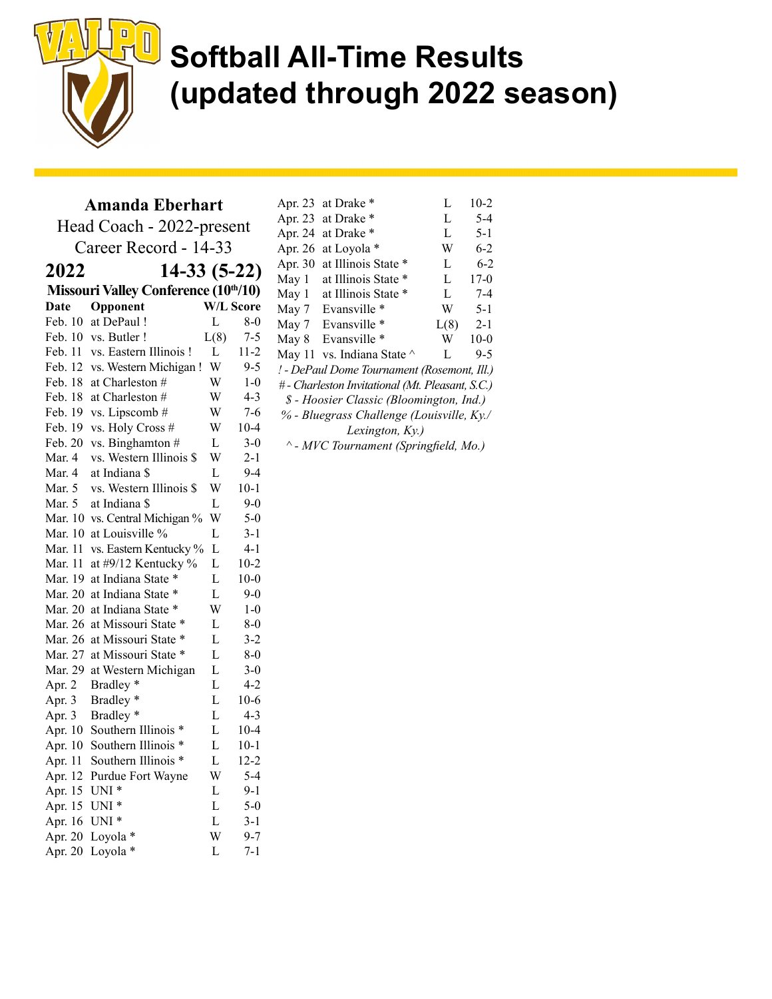

#### Amanda Eberhart

Head Coach - 2022-present Career Record - 14-33 2022 14-33 (5-22) Missouri Valley Conference (10<sup>th</sup>/10) Date Opponent W/L Score Feb. 10 at DePaul ! L 8-0 Feb. 10 vs. Butler ! [(8) 7-5 Feb. 11 vs. Eastern Illinois ! L 11-2 Feb. 12 vs. Western Michigan ! W 9-5 Feb. 18 at Charleston  $#$  W 1-0 Feb. 18 at Charleston  $\#$  W 4-3 Feb. 19 vs. Lipscomb  $#$  W 7-6 Feb. 19 vs. Holy Cross  $#$  W 10-4 Feb. 20 vs. Binghamton  $\#$  L 3-0 Mar. 4 vs. Western Illinois \$ W 2-1 Mar. 4 at Indiana \$ L 9-4 Mar. 5 vs. Western Illinois \$ W 10-1 Mar. 5 at Indiana  $\ell$  L 9-0 Mar. 10 vs. Central Michigan % W 5-0 Mar. 10 at Louisville  $\%$  L 3-1 Mar. 11 vs. Eastern Kentucky % L 4-1 Mar. 11 at #9/12 Kentucky % L 10-2 Mar. 19 at Indiana State \* L 10-0 Mar. 20 at Indiana State \* L 9-0 Mar. 20 at Indiana State \* W 1-0 Mar. 26 at Missouri State \* L 8-0 Mar. 26 at Missouri State \* L 3-2 Mar. 27 at Missouri State \* L 8-0 Mar. 29 at Western Michigan L 3-0 Apr. 2 Bradley  $\ast$  L 4-2 Apr. 3 Bradley \* L 10-6 Apr. 3 Bradley  $*$  L 4-3 Apr. 10 Southern Illinois \* L 10-4 Apr. 10 Southern Illinois \* L 10-1 Apr. 11 Southern Illinois \* L 12-2 Apr. 12 Purdue Fort Wayne W 5-4 Apr. 15 UNI \* L 9-1 Apr. 15 UNI \* L 5-0 Apr. 16 UNI \* L 3-1 Apr. 20 Loyola  $*$  W 9-7 Apr. 20 Loyola \* L 7-1

| Apr. 23                                          | at Drake *          | L    | $10-2$  |
|--------------------------------------------------|---------------------|------|---------|
|                                                  | at Drake *          | L    | $5 - 4$ |
| Apr. 23                                          |                     |      |         |
| Apr. 24                                          | at Drake *          | L    | $5 - 1$ |
| Apr. 26                                          | at Loyola *         | W    | $6-2$   |
| Apr. 30                                          | at Illinois State * | L    | $6-2$   |
| May 1                                            | at Illinois State   | L    | $17-0$  |
| May 1                                            | at Illinois State * | L    | $7 - 4$ |
| May 7                                            | Evansville *        | W    | $5-1$   |
| May 7                                            | Evansville *        | L(8) | $2 - 1$ |
| May 8                                            | Evansville *        | W    | $10-0$  |
| May 11                                           | vs. Indiana State ^ | L    | 9-5     |
| ! - DePaul Dome Tournament (Rosemont, Ill.)      |                     |      |         |
| # - Charleston Invitational (Mt. Pleasant, S.C.) |                     |      |         |
| \$ - Hoosier Classic (Bloomington, Ind.)         |                     |      |         |
| % - Bluegrass Challenge (Louisville, Ky./        |                     |      |         |
| Lexington, Ky.)                                  |                     |      |         |
| ^ - MVC Tournament (Springfield, Mo.)            |                     |      |         |